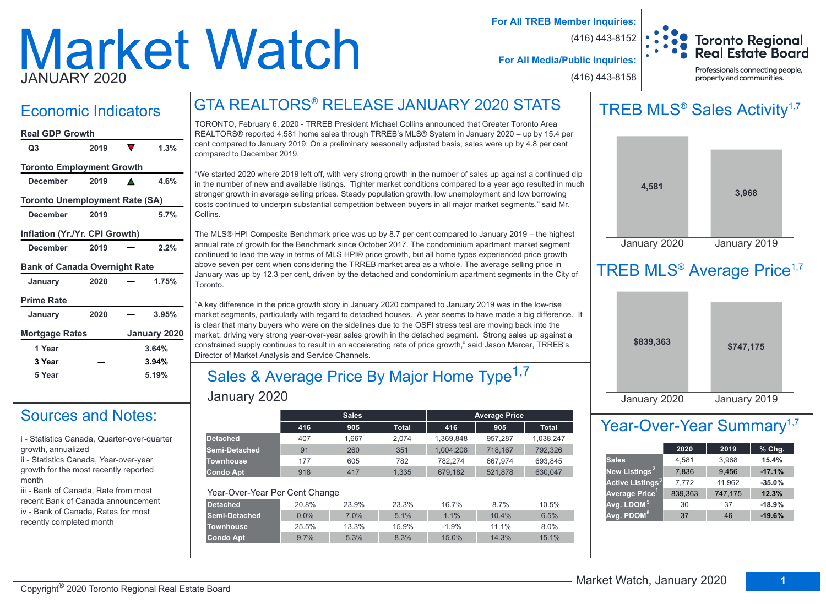# Market Watch JANUARY 2020

**For All TREB Member Inquiries:**

(416) 443-8152



**For All Media/Public Inquiries:**

(416) 443-8158

Professionals connecting people, property and communities.

# Economic Indicators | GTA REALTORS® RELEASE JANUARY 2020 STATS

### **December 2019 4.6% Q3 2019 1.3% Real GDP Growth Toronto Employment Growth**

**Toronto Unemployment Rate (SA)**

**December 2019 5.7%**

#### **Inflation (Yr./Yr. CPI Growth)**

| <b>December</b> | 2019 | 2.2% |
|-----------------|------|------|
|                 |      |      |

#### **Bank of Canada Overnight Rate**

| January               | 2020 | 1.75%        |
|-----------------------|------|--------------|
| <b>Prime Rate</b>     |      |              |
| January               | 2020 | 3.95%        |
|                       |      |              |
| <b>Mortgage Rates</b> |      | January 2020 |
| 1 Year                |      | 3.64%        |
| 3 Year                |      | 3.94%        |

# Sources and Notes:

i - Statistics Canada, Quarter-over-quarter growth, annualized

ii - Statistics Canada, Year-over-year growth for the most recently reported month

iii - Bank of Canada, Rate from most recent Bank of Canada announcement iv - Bank of Canada, Rates for most recently completed month

TORONTO, February 6, 2020 - TRREB President Michael Collins announced that Greater Toronto Area REALTORS® reported 4,581 home sales through TRREB's MLS® System in January 2020 – up by 15.4 per cent compared to January 2019. On a preliminary seasonally adjusted basis, sales were up by 4.8 per cent compared to December 2019.

"We started 2020 where 2019 left off, with very strong growth in the number of sales up against a continued dip in the number of new and available listings. Tighter market conditions compared to a year ago resulted in much stronger growth in average selling prices. Steady population growth, low unemployment and low borrowing costs continued to underpin substantial competition between buyers in all major market segments," said Mr. Collins.

The MLS® HPI Composite Benchmark price was up by 8.7 per cent compared to January 2019 – the highest annual rate of growth for the Benchmark since October 2017. The condominium apartment market segment continued to lead the way in terms of MLS HPI® price growth, but all home types experienced price growth above seven per cent when considering the TRREB market area as a whole. The average selling price in January was up by 12.3 per cent, driven by the detached and condominium apartment segments in the City of **Toronto** 

"A key difference in the price growth story in January 2020 compared to January 2019 was in the low-rise market segments, particularly with regard to detached houses. A year seems to have made a big difference. It is clear that many buyers who were on the sidelines due to the OSFI stress test are moving back into the market, driving very strong year-over-year sales growth in the detached segment. Strong sales up against a constrained supply continues to result in an accelerating rate of price growth," said Jason Mercer, TRREB's Director of Market Analysis and Service Channels.

# January 2020 Sales & Average Price By Major Home Type<sup>1,7</sup>

|                                |         | <b>Sales</b> |              |           | <b>Average Price</b> |              |
|--------------------------------|---------|--------------|--------------|-----------|----------------------|--------------|
|                                | 416     | 905          | <b>Total</b> | 416       | 905                  | <b>Total</b> |
| <b>Detached</b>                | 407     | 1.667        | 2.074        | 1.369.848 | 957.287              | 1,038,247    |
| Semi-Detached                  | 91      | 260          | 351          | 1.004.208 | 718.167              | 792,326      |
| <b>Townhouse</b>               | 177     | 605          | 782          | 782.274   | 667.974              | 693.845      |
| <b>Condo Apt</b>               | 918     | 417          | 1.335        | 679.182   | 521.878              | 630.047      |
| Year-Over-Year Per Cent Change |         |              |              |           |                      |              |
| <b>Detached</b>                | 20.8%   | 23.9%        | 23.3%        | 16.7%     | 8.7%                 | 10.5%        |
| Semi-Detached                  | $0.0\%$ | 7.0%         | 5.1%         | 1.1%      | 10.4%                | 6.5%         |
| <b>Townhouse</b>               | 25.5%   | 13.3%        | 15.9%        | $-1.9%$   | 11.1%                | 8.0%         |
| <b>Condo Apt</b>               | 9.7%    | 5.3%         | 8.3%         | 15.0%     | 14.3%                | 15.1%        |

# TREB MLS<sup>®</sup> Sales Activity<sup>1,7</sup>



# TREB MLS<sup>®</sup> Average Price<sup>1,7</sup>



# Year-Over-Year Summary<sup>1,7</sup>

|                                    | 2020    | 2019    | % Chg.   |
|------------------------------------|---------|---------|----------|
| <b>Sales</b>                       | 4,581   | 3,968   | 15.4%    |
| New Listings <sup>2</sup>          | 7,836   | 9,456   | $-17.1%$ |
| <b>Active Listings<sup>3</sup></b> | 7,772   | 11,962  | $-35.0%$ |
| Average Price <sup>1</sup>         | 839,363 | 747,175 | 12.3%    |
| Avg. LDOM <sup>5</sup>             | 30      | 37      | $-18.9%$ |
| Avg. PDOM <sup>5</sup>             | 37      | 46      | $-19.6%$ |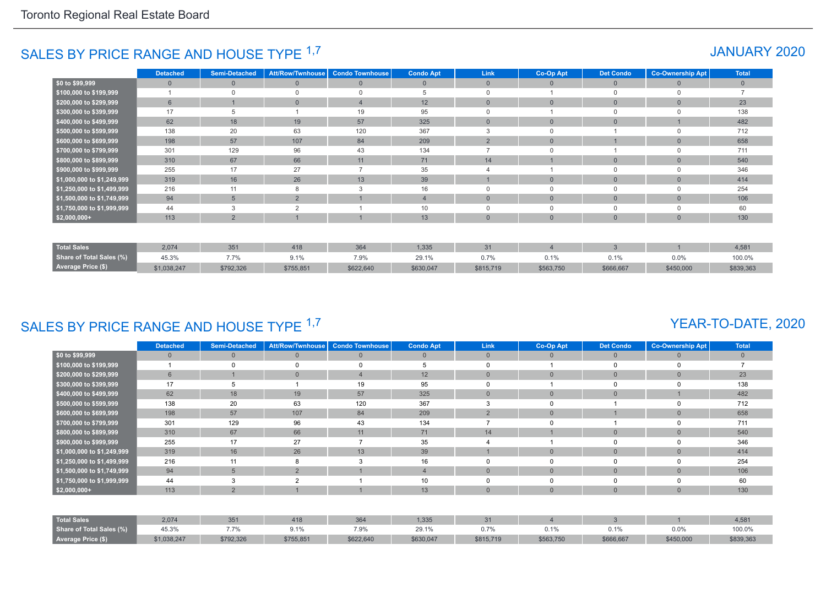# SALES BY PRICE RANGE AND HOUSE TYPE <sup>1,7</sup> And the set of the set of the set of the set of the set of the set of the set of the set of the set of the set of the set of the set of the set of the set of the set of the set of

|                            | <b>Detached</b> | <b>Semi-Detached</b> | <b>Att/Row/Twnhouse</b> | <b>Condo Townhouse</b> | <b>Condo Apt</b> | Link           | Co-Op Apt    | <b>Det Condo</b> | <b>Co-Ownership Apt</b> | <b>Total</b> |
|----------------------------|-----------------|----------------------|-------------------------|------------------------|------------------|----------------|--------------|------------------|-------------------------|--------------|
| \$0 to \$99,999            | $\Omega$        | $\Omega$             | $\overline{0}$          | $\Omega$               | $\mathbf{0}$     | $\overline{0}$ | $\Omega$     | $\overline{0}$   | $\Omega$                | $\mathbf{0}$ |
| \$100,000 to \$199,999     |                 | $\Omega$             | $\Omega$                | $\Omega$               | 5                |                |              | $\Omega$         |                         |              |
| \$200,000 to \$299,999     | $6\phantom{1}$  |                      | $\mathbf{0}$            |                        | 12               | $\overline{0}$ | $\Omega$     | $\mathbf{0}$     | $\Omega$                | 23           |
| \$300,000 to \$399,999     | 17              |                      |                         | 19                     | 95               |                |              | $\Omega$         |                         | 138          |
| \$400,000 to \$499,999     | 62              | 18                   | 19                      | 57                     | 325              | $\Omega$       | $\Omega$     | $\mathbf{0}$     |                         | 482          |
| \$500,000 to \$599,999     | 138             | 20                   | 63                      | 120                    | 367              |                | $\Omega$     |                  |                         | 712          |
| \$600,000 to \$699,999     | 198             | 57                   | 107                     | 84                     | 209              | $\overline{2}$ | $\mathbf{0}$ |                  | $\Omega$                | 658          |
| \$700,000 to \$799,999     | 301             | 129                  | 96                      | 43                     | 134              |                | $\Omega$     |                  | $\Omega$                | 711          |
| \$800,000 to \$899,999     | 310             | 67                   | 66                      | 11                     | 71               | 14             |              | $\mathbf{0}$     | $\Omega$                | 540          |
| \$900,000 to \$999,999     | 255             | 17                   | 27                      |                        | 35               |                |              | $\Omega$         | $\Omega$                | 346          |
| \$1,000,000 to \$1,249,999 | 319             | 16                   | 26                      | 13                     | 39               |                | $\mathbf{0}$ | $\mathbf{0}$     | $\Omega$                | 414          |
| \$1,250,000 to \$1,499,999 | 216             | 11                   | 8                       | 3                      | 16               | 0              | $\Omega$     | $\mathbf 0$      | $\Omega$                | 254          |
| \$1,500,000 to \$1,749,999 | 94              | $5\overline{)}$      | $\overline{2}$          |                        | $\overline{4}$   | $\Omega$       | $\mathbf{0}$ | $\mathbf{0}$     | $\Omega$                | 106          |
| \$1,750,000 to \$1,999,999 | 44              | 3                    | $\overline{2}$          |                        | 10               |                | $\Omega$     | $\mathbf 0$      |                         | 60           |
| $$2,000,000+$              | 113             | 2                    |                         |                        | 13               | $\overline{0}$ | $\mathbf{0}$ | $\mathbf{0}$     | $\Omega$                | 130          |
|                            |                 |                      |                         |                        |                  |                |              |                  |                         |              |
| <b>Total Sales</b>         | 2,074           | 351                  | 418                     | 364                    | 1,335            | 31             |              | $\mathbf{3}$     |                         | 4,581        |
| Share of Total Sales (%)   | 45.3%           | 7.7%                 | 9.1%                    | 7.9%                   | 29.1%            | 0.7%           | 0.1%         | 0.1%             | 0.0%                    | 100.0%       |
| Average Price (\$)         | \$1,038,247     | \$792,326            | \$755,851               | \$622,640              | \$630,047        | \$815,719      | \$563,750    | \$666,667        | \$450,000               | \$839,363    |

# SALES BY PRICE RANGE AND HOUSE TYPE 1,7

#### YEAR-TO-DATE, 2020

|                            | <b>Detached</b> | <b>Semi-Detached</b> | Att/Row/Twnhouse | <b>Condo Townhouse</b> | <b>Condo Apt</b> | <b>Link</b>    | Co-Op Apt      | <b>Det Condo</b> | <b>Co-Ownership Apt</b> | <b>Total</b>   |
|----------------------------|-----------------|----------------------|------------------|------------------------|------------------|----------------|----------------|------------------|-------------------------|----------------|
| \$0 to \$99,999            | $\mathbf{0}$    | $\mathbf{0}$         | $\mathbf{0}$     | $\mathbf{0}$           | $\overline{0}$   | $\overline{0}$ | $\overline{0}$ | $\mathbf{0}$     | $\mathbf{0}$            | $\overline{0}$ |
| \$100,000 to \$199,999     |                 |                      | $\Omega$         | $\Omega$               | 5                | $\mathbf 0$    |                | 0                | $\Omega$                |                |
| \$200,000 to \$299,999     | 6               |                      | $\overline{0}$   | $\overline{4}$         | 12               | $\mathbf{0}$   | $\overline{0}$ | $\overline{0}$   | $\overline{0}$          | 23             |
| \$300,000 to \$399,999     | 17              | 5                    |                  | 19                     | 95               | $\mathbf 0$    |                | 0                | $\Omega$                | 138            |
| \$400,000 to \$499,999     | 62              | 18                   | 19               | 57                     | 325              | $\mathbf{0}$   | $\overline{0}$ | $\overline{0}$   |                         | 482            |
| \$500,000 to \$599,999     | 138             | 20                   | 63               | 120                    | 367              | 3              | $\Omega$       |                  | $\Omega$                | 712            |
| \$600,000 to \$699,999     | 198             | 57                   | 107              | 84                     | 209              | $\overline{2}$ | $\overline{0}$ |                  | $\overline{0}$          | 658            |
| \$700,000 to \$799,999     | 301             | 129                  | 96               | 43                     | 134              |                | $\Omega$       |                  | 0                       | 711            |
| \$800,000 to \$899,999     | 310             | 67                   | 66               | 11                     | 71               | 14             |                | $\mathbf{0}$     | $\overline{0}$          | 540            |
| \$900,000 to \$999,999     | 255             | 17                   | 27               |                        | 35               |                |                |                  | $\Omega$                | 346            |
| \$1,000,000 to \$1,249,999 | 319             | 16                   | 26               | 13                     | 39               |                | $\overline{0}$ | $\mathbf{0}$     | $\overline{0}$          | 414            |
| \$1,250,000 to \$1,499,999 | 216             | 11                   | 8                | 3                      | 16               | $\Omega$       | $\Omega$       | 0                | $\Omega$                | 254            |
| \$1,500,000 to \$1,749,999 | 94              | 5                    | 2                |                        | $\overline{4}$   | $\overline{0}$ | $\overline{0}$ | $\mathbf{0}$     | $\overline{0}$          | 106            |
| \$1,750,000 to \$1,999,999 | 44              | 3                    | $\overline{2}$   |                        | 10               | $\mathbf 0$    | 0              | 0                | 0                       | 60             |
| $$2,000,000+$              | 113             | $\Omega$             |                  |                        | 13               | $\mathbf{0}$   | $\overline{0}$ | $\overline{0}$   | $\overline{0}$          | 130            |
|                            |                 |                      |                  |                        |                  |                |                |                  |                         |                |
| <b>Total Sales</b>         | 2,074           | 351                  | 418              | 364                    | 1,335            | 31             |                | 3                |                         | 4,581          |
| Share of Total Sales (%)   | 45.3%           | 7.7%                 | 9.1%             | 7.9%                   | 29.1%            | 0.7%           | 0.1%           | 0.1%             | 0.0%                    | 100.0%         |
| <b>Average Price (\$)</b>  | \$1,038,247     | \$792,326            | \$755,851        | \$622,640              | \$630,047        | \$815,719      | \$563,750      | \$666,667        | \$450,000               | \$839,363      |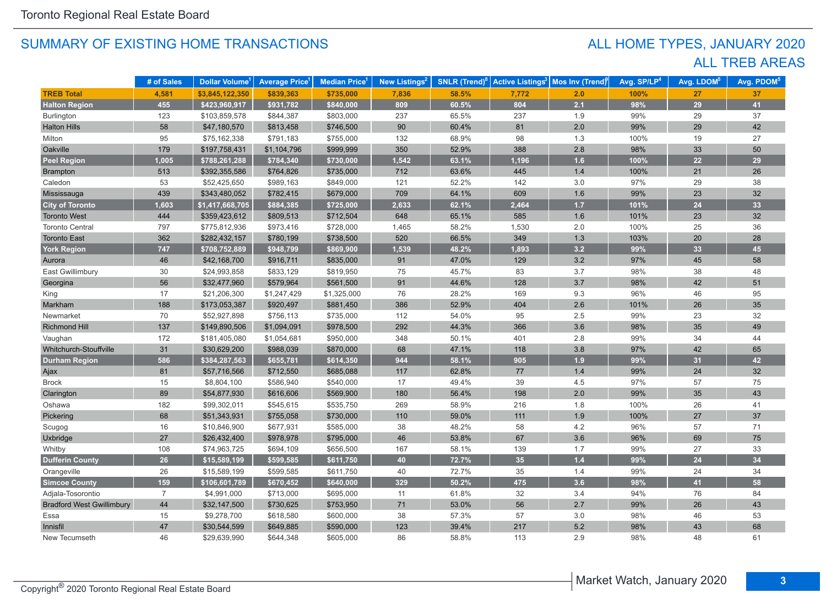# ALL TREB AREAS ALL HOME TYPES, JANUARY 2020

|                                  | # of Sales     | Dollar Volume <sup>1</sup> | <b>Average Price<sup>1</sup></b> | <b>Median Price</b> | New Listings <sup>2</sup> | <b>SNLR</b> (Trend) $8$ | <b>Active Listings<sup>3</sup></b> | Mos Inv (Trend) | Avg. SP/LP <sup>4</sup> | Avg. LDOM <sup>5</sup> | Avg. PDOM <sup>5</sup> |
|----------------------------------|----------------|----------------------------|----------------------------------|---------------------|---------------------------|-------------------------|------------------------------------|-----------------|-------------------------|------------------------|------------------------|
| <b>TREB Total</b>                | 4,581          | \$3,845,122,350            | \$839,363                        | \$735,000           | 7,836                     | 58.5%                   | 7,772                              | 2.0             | 100%                    | 27                     | 37                     |
| <b>Halton Region</b>             | 455            | \$423,960,917              | \$931,782                        | \$840,000           | 809                       | 60.5%                   | 804                                | 2.1             | 98%                     | 29                     | 41                     |
| Burlington                       | 123            | \$103,859,578              | \$844,387                        | \$803,000           | 237                       | 65.5%                   | 237                                | 1.9             | 99%                     | 29                     | 37                     |
| <b>Halton Hills</b>              | 58             | \$47,180,570               | \$813,458                        | \$746,500           | 90                        | 60.4%                   | 81                                 | $2.0\,$         | 99%                     | 29                     | 42                     |
| Milton                           | 95             | \$75,162,338               | \$791,183                        | \$755,000           | 132                       | 68.9%                   | 98                                 | 1.3             | 100%                    | 19                     | 27                     |
| Oakville                         | 179            | \$197,758,431              | \$1,104,796                      | \$999,999           | 350                       | 52.9%                   | 388                                | $2.8$           | 98%                     | 33                     | 50                     |
| <b>Peel Region</b>               | 1,005          | \$788,261,288              | \$784,340                        | \$730,000           | 1,542                     | 63.1%                   | 1,196                              | 1.6             | 100%                    | 22                     | 29                     |
| <b>Brampton</b>                  | 513            | \$392,355,586              | \$764,826                        | \$735,000           | 712                       | 63.6%                   | 445                                | 1.4             | 100%                    | 21                     | 26                     |
| Caledon                          | 53             | \$52,425,650               | \$989,163                        | \$849,000           | 121                       | 52.2%                   | 142                                | 3.0             | 97%                     | 29                     | 38                     |
| Mississauga                      | 439            | \$343,480,052              | \$782,415                        | \$679,000           | 709                       | 64.1%                   | 609                                | 1.6             | 99%                     | 23                     | 32                     |
| <b>City of Toronto</b>           | 1,603          | \$1,417,668,705            | \$884,385                        | \$725,000           | 2,633                     | 62.1%                   | 2,464                              | 1.7             | 101%                    | 24                     | 33                     |
| <b>Toronto West</b>              | 444            | \$359,423,612              | \$809,513                        | \$712,504           | 648                       | 65.1%                   | 585                                | 1.6             | 101%                    | 23                     | 32                     |
| <b>Toronto Central</b>           | 797            | \$775,812,936              | \$973,416                        | \$728,000           | 1,465                     | 58.2%                   | 1,530                              | 2.0             | 100%                    | 25                     | 36                     |
| <b>Toronto East</b>              | 362            | \$282,432,157              | \$780,199                        | \$738,500           | 520                       | 66.5%                   | 349                                | 1.3             | 103%                    | 20                     | 28                     |
| <b>York Region</b>               | 747            | \$708,752,889              | \$948,799                        | \$869,900           | 1,539                     | 48.2%                   | 1,893                              | 3.2             | 99%                     | 33                     | 45                     |
| Aurora                           | 46             | \$42,168,700               | \$916,711                        | \$835,000           | 91                        | 47.0%                   | 129                                | $3.2\,$         | 97%                     | 45                     | 58                     |
| East Gwillimbury                 | 30             | \$24,993,858               | \$833,129                        | \$819,950           | 75                        | 45.7%                   | 83                                 | 3.7             | 98%                     | 38                     | 48                     |
| Georgina                         | 56             | \$32,477,960               | \$579,964                        | \$561,500           | 91                        | 44.6%                   | 128                                | 3.7             | 98%                     | 42                     | 51                     |
| King                             | 17             | \$21,206,300               | \$1,247,429                      | \$1,325,000         | 76                        | 28.2%                   | 169                                | 9.3             | 96%                     | 46                     | 95                     |
| Markham                          | 188            | \$173,053,387              | \$920,497                        | \$881,450           | 386                       | 52.9%                   | 404                                | 2.6             | 101%                    | 26                     | 35                     |
| Newmarket                        | 70             | \$52,927,898               | \$756,113                        | \$735,000           | 112                       | 54.0%                   | 95                                 | $2.5\,$         | 99%                     | 23                     | 32                     |
| <b>Richmond Hill</b>             | 137            | \$149,890,506              | \$1,094,091                      | \$978,500           | 292                       | 44.3%                   | 366                                | 3.6             | 98%                     | 35                     | 49                     |
| Vaughan                          | 172            | \$181,405,080              | \$1,054,681                      | \$950,000           | 348                       | 50.1%                   | 401                                | 2.8             | 99%                     | 34                     | 44                     |
| Whitchurch-Stouffville           | 31             | \$30,629,200               | \$988,039                        | \$870,000           | 68                        | 47.1%                   | 118                                | 3.8             | 97%                     | 42                     | 65                     |
| <b>Durham Region</b>             | 586            | \$384,287,563              | \$655,781                        | \$614,350           | 944                       | 58.1%                   | 905                                | 1.9             | 99%                     | 31                     | 42                     |
| Ajax                             | 81             | \$57,716,566               | \$712,550                        | \$685,088           | 117                       | 62.8%                   | 77                                 | 1.4             | 99%                     | 24                     | 32                     |
| <b>Brock</b>                     | 15             | \$8,804,100                | \$586,940                        | \$540,000           | 17                        | 49.4%                   | 39                                 | 4.5             | 97%                     | 57                     | 75                     |
| Clarington                       | 89             | \$54,877,930               | \$616,606                        | \$569,900           | 180                       | 56.4%                   | 198                                | 2.0             | 99%                     | 35                     | 43                     |
| Oshawa                           | 182            | \$99,302,011               | \$545,615                        | \$535,750           | 269                       | 58.9%                   | 216                                | 1.8             | 100%                    | 26                     | 41                     |
| Pickering                        | 68             | \$51,343,931               | \$755,058                        | \$730,000           | 110                       | 59.0%                   | 111                                | 1.9             | 100%                    | 27                     | 37                     |
| Scugog                           | 16             | \$10,846,900               | \$677,931                        | \$585,000           | 38                        | 48.2%                   | 58                                 | 4.2             | 96%                     | 57                     | 71                     |
| Uxbridge                         | 27             | \$26,432,400               | \$978,978                        | \$795,000           | 46                        | 53.8%                   | 67                                 | 3.6             | 96%                     | 69                     | 75                     |
| Whitby                           | 108            | \$74,963,725               | \$694,109                        | \$656,500           | 167                       | 58.1%                   | 139                                | 1.7             | 99%                     | 27                     | 33                     |
| <b>Dufferin County</b>           | 26             | \$15,589,199               | \$599,585                        | \$611,750           | 40                        | 72.7%                   | 35                                 | $1.4$           | 99%                     | 24                     | 34                     |
| Orangeville                      | 26             | \$15,589,199               | \$599,585                        | \$611,750           | 40                        | 72.7%                   | 35                                 | 1.4             | 99%                     | 24                     | 34                     |
| <b>Simcoe County</b>             | 159            | \$106,601,789              | \$670,452                        | \$640,000           | 329                       | 50.2%                   | 475                                | 3.6             | 98%                     | 41                     | 58                     |
| Adjala-Tosorontio                | $\overline{7}$ | \$4,991,000                | \$713,000                        | \$695,000           | 11                        | 61.8%                   | 32                                 | 3.4             | 94%                     | 76                     | 84                     |
| <b>Bradford West Gwillimbury</b> | 44             | \$32,147,500               | \$730,625                        | \$753,950           | 71                        | 53.0%                   | 56                                 | 2.7             | 99%                     | 26                     | 43                     |
| Essa                             | 15             | \$9,278,700                | \$618,580                        | \$600,000           | 38                        | 57.3%                   | 57                                 | 3.0             | 98%                     | 46                     | 53                     |
| Innisfil                         | 47             | \$30,544,599               | \$649,885                        | \$590,000           | 123                       | 39.4%                   | 217                                | 5.2             | 98%                     | 43                     | 68                     |
| New Tecumseth                    | 46             | \$29,639,990               | \$644,348                        | \$605,000           | 86                        | 58.8%                   | 113                                | 2.9             | 98%                     | 48                     | 61                     |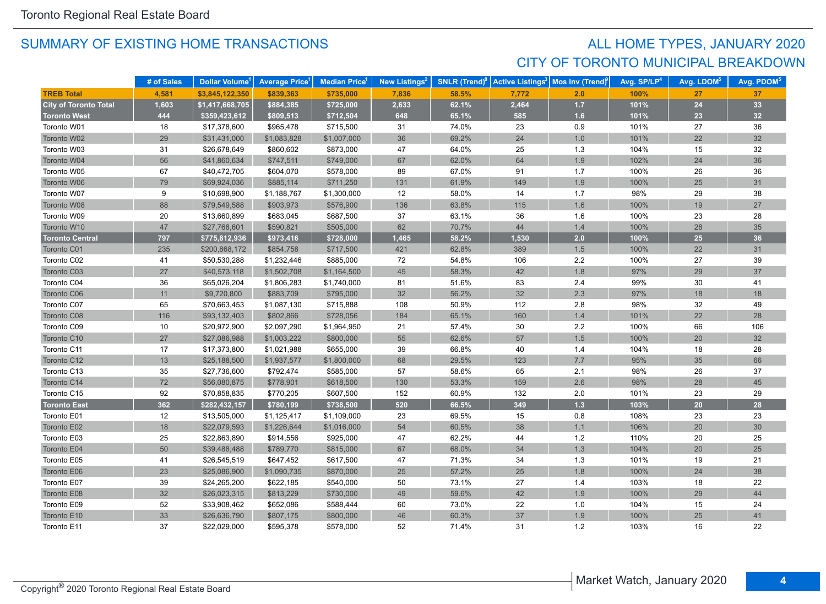# SUMMARY OF EXISTING HOME TRANSACTIONS **ALL HOME TYPES, JANUARY 2020** CITY OF TORONTO MUNICIPAL BREAKDOWN

|                              | # of Sales | Dollar Volume <sup>1</sup> | <b>Average Price</b> | <b>Median Price</b> <sup>1</sup> | New Listings <sup>2</sup> | <b>SNLR (Trend)<sup>8</sup></b> | <b>Active Listings<sup>3</sup></b> | Mos Inv (Trend) | Avg. SP/LP <sup>4</sup> | Avg. LDOM <sup>5</sup> | Avg. PDOM <sup>5</sup> |
|------------------------------|------------|----------------------------|----------------------|----------------------------------|---------------------------|---------------------------------|------------------------------------|-----------------|-------------------------|------------------------|------------------------|
| <b>TREB Total</b>            | 4,581      | \$3,845,122,350            | \$839,363            | \$735,000                        | 7,836                     | 58.5%                           | 7,772                              | 2.0             | 100%                    | 27                     | 37                     |
| <b>City of Toronto Total</b> | 1,603      | \$1,417,668,705            | \$884,385            | \$725,000                        | 2,633                     | 62.1%                           | 2,464                              | $1.7$           | 101%                    | 24                     | 33                     |
| <b>Toronto West</b>          | 444        | \$359,423,612              | \$809,513            | \$712,504                        | 648                       | 65.1%                           | 585                                | 1.6             | 101%                    | 23                     | 32                     |
| Toronto W01                  | 18         | \$17,378,600               | \$965,478            | \$715,500                        | 31                        | 74.0%                           | 23                                 | 0.9             | 101%                    | 27                     | 36                     |
| Toronto W02                  | 29         | \$31,431,000               | \$1,083,828          | \$1,007,000                      | 36                        | 69.2%                           | 24                                 | 1.0             | 101%                    | 22                     | 32                     |
| Toronto W03                  | 31         | \$26,678,649               | \$860,602            | \$873,000                        | 47                        | 64.0%                           | 25                                 | 1.3             | 104%                    | 15                     | 32                     |
| Toronto W04                  | 56         | \$41,860,634               | \$747,511            | \$749,000                        | 67                        | 62.0%                           | 64                                 | 1.9             | 102%                    | 24                     | 36                     |
| Toronto W05                  | 67         | \$40,472,705               | \$604,070            | \$578,000                        | 89                        | 67.0%                           | 91                                 | 1.7             | 100%                    | 26                     | 36                     |
| Toronto W06                  | 79         | \$69,924,036               | \$885,114            | \$711,250                        | 131                       | 61.9%                           | 149                                | 1.9             | 100%                    | 25                     | 31                     |
| Toronto W07                  | 9          | \$10,698,900               | \$1,188,767          | \$1,300,000                      | 12                        | 58.0%                           | 14                                 | 1.7             | 98%                     | 29                     | 38                     |
| Toronto W08                  | 88         | \$79,549,588               | \$903,973            | \$576,900                        | 136                       | 63.8%                           | 115                                | 1.6             | 100%                    | 19                     | 27                     |
| Toronto W09                  | 20         | \$13,660,899               | \$683,045            | \$687,500                        | 37                        | 63.1%                           | 36                                 | 1.6             | 100%                    | 23                     | 28                     |
| Toronto W10                  | 47         | \$27,768,601               | \$590,821            | \$505,000                        | 62                        | 70.7%                           | 44                                 | 1.4             | 100%                    | 28                     | 35                     |
| <b>Toronto Central</b>       | 797        | \$775,812,936              | \$973,416            | \$728,000                        | 1,465                     | 58.2%                           | 1,530                              | 2.0             | 100%                    | 25                     | 36                     |
| Toronto C01                  | 235        | \$200,868,172              | \$854,758            | \$717,500                        | 421                       | 62.8%                           | 389                                | $1.5$           | 100%                    | 22                     | 31                     |
| Toronto C02                  | 41         | \$50,530,288               | \$1,232,446          | \$885,000                        | 72                        | 54.8%                           | 106                                | $2.2\,$         | 100%                    | 27                     | 39                     |
| Toronto C03                  | $27\,$     | \$40,573,118               | \$1,502,708          | \$1,164,500                      | 45                        | 58.3%                           | 42                                 | $1.8$           | 97%                     | 29                     | 37                     |
| Toronto C04                  | 36         | \$65,026,204               | \$1,806,283          | \$1,740,000                      | 81                        | 51.6%                           | 83                                 | $2.4\,$         | 99%                     | 30                     | 41                     |
| Toronto C06                  | 11         | \$9,720,800                | \$883,709            | \$795,000                        | 32                        | 56.2%                           | 32                                 | 2.3             | 97%                     | 18                     | 18                     |
| Toronto C07                  | 65         | \$70,663,453               | \$1,087,130          | \$715,888                        | 108                       | 50.9%                           | 112                                | 2.8             | 98%                     | 32                     | 49                     |
| Toronto C08                  | 116        | \$93,132,403               | \$802,866            | \$728,056                        | 184                       | 65.1%                           | 160                                | $1.4$           | 101%                    | 22                     | 28                     |
| Toronto C09                  | 10         | \$20,972,900               | \$2,097,290          | \$1,964,950                      | 21                        | 57.4%                           | 30                                 | 2.2             | 100%                    | 66                     | 106                    |
| Toronto C10                  | 27         | \$27,086,988               | \$1,003,222          | \$800,000                        | 55                        | 62.6%                           | 57                                 | $1.5$           | 100%                    | 20                     | 32                     |
| Toronto C11                  | $17$       | \$17,373,800               | \$1,021,988          | \$655,000                        | $39\,$                    | 66.8%                           | 40                                 | $1.4$           | 104%                    | 18                     | 28                     |
| Toronto C12                  | 13         | \$25,188,500               | \$1,937,577          | \$1,800,000                      | 68                        | 29.5%                           | 123                                | $7.7\,$         | 95%                     | 35                     | 66                     |
| Toronto C13                  | 35         | \$27,736,600               | \$792,474            | \$585,000                        | 57                        | 58.6%                           | 65                                 | 2.1             | 98%                     | 26                     | 37                     |
| Toronto C14                  | 72         | \$56,080,875               | \$778,901            | \$618,500                        | 130                       | 53.3%                           | 159                                | 2.6             | 98%                     | 28                     | 45                     |
| Toronto C15                  | 92         | \$70,858,835               | \$770,205            | \$607,500                        | 152                       | 60.9%                           | 132                                | 2.0             | 101%                    | 23                     | 29                     |
| <b>Toronto East</b>          | 362        | \$282,432,157              | \$780,199            | \$738,500                        | 520                       | 66.5%                           | 349                                | 1.3             | 103%                    | 20                     | 28                     |
| Toronto E01                  | 12         | \$13,505,000               | \$1,125,417          | \$1,109,000                      | 23                        | 69.5%                           | 15                                 | $0.8\,$         | 108%                    | 23                     | 23                     |
| Toronto E02                  | 18         | \$22,079,593               | \$1,226,644          | \$1,016,000                      | 54                        | 60.5%                           | 38                                 | 1.1             | 106%                    | 20                     | 30                     |
| Toronto E03                  | 25         | \$22,863,890               | \$914,556            | \$925,000                        | 47                        | 62.2%                           | 44                                 | $1.2$           | 110%                    | 20                     | 25                     |
| Toronto E04                  | 50         | \$39,488,488               | \$789,770            | \$815,000                        | 67                        | 68.0%                           | 34                                 | 1.3             | 104%                    | 20                     | 25                     |
| Toronto E05                  | 41         | \$26,545,519               | \$647,452            | \$617,500                        | 47                        | 71.3%                           | 34                                 | 1.3             | 101%                    | 19                     | 21                     |
| Toronto E06                  | 23         | \$25,086,900               | \$1,090,735          | \$870,000                        | 25                        | 57.2%                           | 25                                 | 1.8             | 100%                    | 24                     | 38                     |
| Toronto E07                  | 39         | \$24,265,200               | \$622,185            | \$540,000                        | 50                        | 73.1%                           | 27                                 | $1.4$           | 103%                    | 18                     | 22                     |
| Toronto E08                  | 32         | \$26,023,315               | \$813,229            | \$730,000                        | 49                        | 59.6%                           | 42                                 | 1.9             | 100%                    | 29                     | 44                     |
| Toronto E09                  | 52         | \$33,908,462               | \$652,086            | \$588,444                        | 60                        | 73.0%                           | 22                                 | 1.0             | 104%                    | 15                     | 24                     |
| Toronto E10                  | 33         | \$26,636,790               | \$807,175            | \$800,000                        | 46                        | 60.3%                           | 37                                 | 1.9             | 100%                    | 25                     | 41                     |
| Toronto E11                  | 37         | \$22,029,000               | \$595,378            | \$578,000                        | 52                        | 71.4%                           | 31                                 | 1.2             | 103%                    | 16                     | 22                     |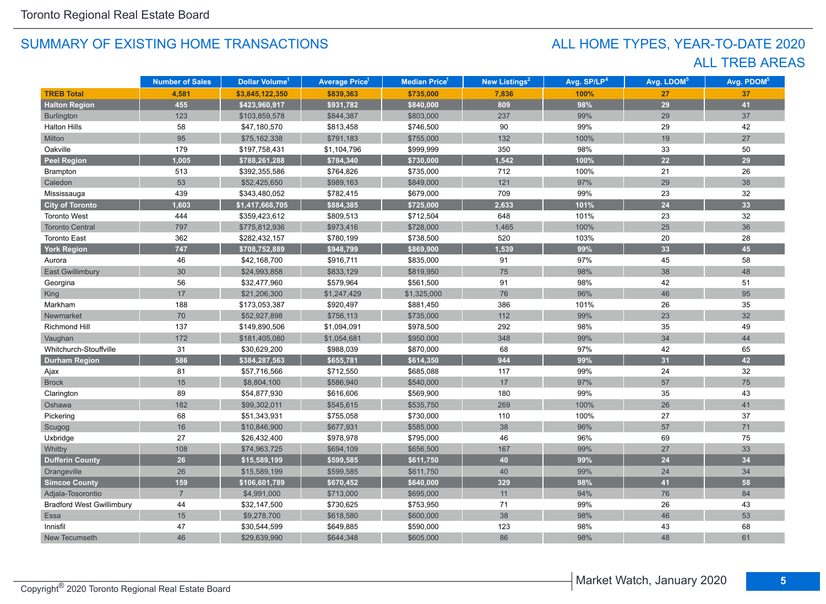# ALL TREB AREAS ALL HOME TYPES, YEAR-TO-DATE 2020

|                                  | <b>Number of Sales</b> | Dollar Volume <sup>1</sup> | <b>Average Price<sup>1</sup></b> | <b>Median Price<sup>1</sup></b> | New Listings <sup>2</sup> | Avg. SP/LP <sup>4</sup> | Avg. LDOM <sup>5</sup> | Avg. PDOM <sup>5</sup> |
|----------------------------------|------------------------|----------------------------|----------------------------------|---------------------------------|---------------------------|-------------------------|------------------------|------------------------|
| <b>TREB Total</b>                | 4,581                  | \$3,845,122,350            | \$839,363                        | \$735,000                       | 7,836                     | 100%                    | 27                     | 37                     |
| <b>Halton Region</b>             | 455                    | \$423,960,917              | \$931,782                        | \$840,000                       | 809                       | 98%                     | 29                     | 41                     |
| Burlington                       | 123                    | \$103,859,578              | \$844,387                        | \$803,000                       | 237                       | 99%                     | 29                     | 37                     |
| <b>Halton Hills</b>              | 58                     | \$47,180,570               | \$813,458                        | \$746,500                       | 90                        | 99%                     | 29                     | 42                     |
| Milton                           | 95                     | \$75,162,338               | \$791,183                        | \$755,000                       | 132                       | 100%                    | 19                     | 27                     |
| Oakville                         | 179                    | \$197,758,431              | \$1,104,796                      | \$999,999                       | 350                       | 98%                     | 33                     | 50                     |
| <b>Peel Region</b>               | 1,005                  | \$788,261,288              | \$784,340                        | \$730,000                       | 1,542                     | 100%                    | 22                     | 29                     |
| Brampton                         | 513                    | \$392,355,586              | \$764,826                        | \$735,000                       | 712                       | 100%                    | 21                     | 26                     |
| Caledon                          | 53                     | \$52,425,650               | \$989,163                        | \$849,000                       | $121$                     | 97%                     | 29                     | 38                     |
| Mississauga                      | 439                    | \$343,480,052              | \$782,415                        | \$679,000                       | 709                       | 99%                     | 23                     | 32                     |
| <b>City of Toronto</b>           | 1,603                  | \$1,417,668,705            | \$884,385                        | \$725,000                       | 2,633                     | 101%                    | 24                     | 33                     |
| <b>Toronto West</b>              | 444                    | \$359,423,612              | \$809,513                        | \$712,504                       | 648                       | 101%                    | 23                     | 32                     |
| <b>Toronto Central</b>           | 797                    | \$775,812,936              | \$973,416                        | \$728,000                       | 1,465                     | 100%                    | 25                     | 36                     |
| <b>Toronto East</b>              | 362                    | \$282,432,157              | \$780,199                        | \$738,500                       | 520                       | 103%                    | 20                     | 28                     |
| York Region                      | 747                    | \$708,752,889              | \$948,799                        | \$869,900                       | 1,539                     | 99%                     | 33                     | 45                     |
| Aurora                           | 46                     | \$42,168,700               | \$916,711                        | \$835,000                       | 91                        | 97%                     | 45                     | 58                     |
| <b>East Gwillimbury</b>          | 30                     | \$24,993,858               | \$833,129                        | \$819,950                       | 75                        | 98%                     | 38                     | 48                     |
| Georgina                         | 56                     | \$32,477,960               | \$579,964                        | \$561,500                       | 91                        | 98%                     | 42                     | 51                     |
| King                             | 17                     | \$21,206,300               | \$1,247,429                      | \$1,325,000                     | 76                        | 96%                     | 46                     | 95                     |
| Markham                          | 188                    | \$173,053,387              | \$920,497                        | \$881,450                       | 386                       | 101%                    | 26                     | 35                     |
| Newmarket                        | 70                     | \$52,927,898               | \$756,113                        | \$735,000                       | $112$                     | 99%                     | 23                     | 32                     |
| Richmond Hill                    | 137                    | \$149,890,506              | \$1,094,091                      | \$978,500                       | 292                       | 98%                     | 35                     | 49                     |
| Vaughan                          | 172                    | \$181,405,080              | \$1,054,681                      | \$950,000                       | 348                       | 99%                     | 34                     | 44                     |
| Whitchurch-Stouffville           | 31                     | \$30,629,200               | \$988,039                        | \$870,000                       | 68                        | 97%                     | 42                     | 65                     |
| <b>Durham Region</b>             | 586                    | \$384,287,563              | \$655,781                        | \$614,350                       | 944                       | 99%                     | 31                     | 42                     |
| Ajax                             | 81                     | \$57,716,566               | \$712,550                        | \$685,088                       | 117                       | 99%                     | 24                     | 32                     |
| <b>Brock</b>                     | 15                     | \$8,804,100                | \$586,940                        | \$540,000                       | 17                        | 97%                     | 57                     | 75                     |
| Clarington                       | 89                     | \$54,877,930               | \$616,606                        | \$569,900                       | 180                       | 99%                     | 35                     | 43                     |
| Oshawa                           | 182                    | \$99,302,011               | \$545,615                        | \$535,750                       | 269                       | 100%                    | 26                     | 41                     |
| Pickering                        | 68                     | \$51,343,931               | \$755,058                        | \$730,000                       | 110                       | 100%                    | 27                     | 37                     |
| Scugog                           | 16                     | \$10,846,900               | \$677,931                        | \$585,000                       | 38                        | 96%                     | 57                     | 71                     |
| Uxbridge                         | 27                     | \$26,432,400               | \$978,978                        | \$795,000                       | 46                        | 96%                     | 69                     | 75                     |
| Whitby                           | 108                    | \$74,963,725               | \$694,109                        | \$656,500                       | 167                       | 99%                     | 27                     | 33                     |
| <b>Dufferin County</b>           | 26                     | \$15,589,199               | \$599,585                        | \$611,750                       | 40                        | 99%                     | 24                     | 34                     |
| Orangeville                      | 26                     | \$15,589,199               | \$599,585                        | \$611,750                       | 40                        | 99%                     | 24                     | 34                     |
| <b>Simcoe County</b>             | 159                    | \$106,601,789              | \$670,452                        | \$640,000                       | 329                       | 98%                     | 41                     | 58                     |
| Adjala-Tosorontio                | $\overline{7}$         | \$4,991,000                | \$713,000                        | \$695,000                       | 11                        | 94%                     | 76                     | 84                     |
| <b>Bradford West Gwillimbury</b> | 44                     | \$32,147,500               | \$730,625                        | \$753,950                       | 71                        | 99%                     | 26                     | 43                     |
| Essa                             | 15                     | \$9,278,700                | \$618,580                        | \$600,000                       | 38                        | 98%                     | 46                     | 53                     |
| Innisfil                         | 47                     | \$30,544,599               | \$649,885                        | \$590,000                       | 123                       | 98%                     | 43                     | 68                     |
| New Tecumseth                    | 46                     | \$29,639,990               | \$644,348                        | \$605,000                       | 86                        | 98%                     | 48                     | 61                     |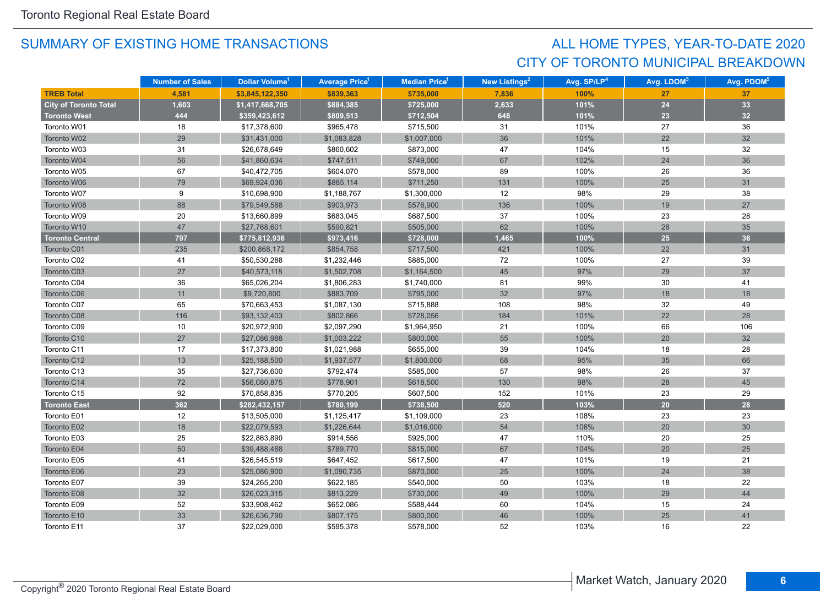# CITY OF TORONTO MUNICIPAL BREAKDOWN ALL HOME TYPES, YEAR-TO-DATE 2020

|                              | <b>Number of Sales</b> | Dollar Volume <sup>1</sup> | <b>Average Price</b> | Median Price <sup>1</sup> | <b>New Listings<sup>2</sup></b> | Avg. SP/LP <sup>4</sup> | Avg. LDOM <sup>5</sup> | Avg. PDOM <sup>5</sup> |
|------------------------------|------------------------|----------------------------|----------------------|---------------------------|---------------------------------|-------------------------|------------------------|------------------------|
| <b>TREB Total</b>            | 4.581                  | \$3,845,122,350            | \$839,363            | \$735,000                 | 7,836                           | 100%                    | 27                     | 37                     |
| <b>City of Toronto Total</b> | 1,603                  | \$1,417,668,705            | \$884,385            | \$725,000                 | 2,633                           | 101%                    | 24                     | 33                     |
| <b>Toronto West</b>          | 444                    | \$359,423,612              | \$809,513            | \$712,504                 | 648                             | 101%                    | 23                     | 32                     |
| Toronto W01                  | 18                     | \$17,378,600               | \$965,478            | \$715,500                 | 31                              | 101%                    | 27                     | 36                     |
| Toronto W02                  | 29                     | \$31,431,000               | \$1,083,828          | \$1,007,000               | 36                              | 101%                    | 22                     | 32                     |
| Toronto W03                  | 31                     | \$26,678,649               | \$860,602            | \$873,000                 | 47                              | 104%                    | 15                     | 32                     |
| Toronto W04                  | 56                     | \$41,860,634               | \$747,511            | \$749,000                 | 67                              | 102%                    | 24                     | 36                     |
| Toronto W05                  | 67                     | \$40,472,705               | \$604,070            | \$578,000                 | 89                              | 100%                    | 26                     | 36                     |
| Toronto W06                  | 79                     | \$69,924,036               | \$885,114            | \$711,250                 | 131                             | 100%                    | 25                     | 31                     |
| Toronto W07                  | 9                      | \$10,698,900               | \$1,188,767          | \$1,300,000               | 12                              | 98%                     | 29                     | 38                     |
| Toronto W08                  | 88                     | \$79,549,588               | \$903,973            | \$576,900                 | 136                             | 100%                    | 19                     | 27                     |
| Toronto W09                  | 20                     | \$13,660,899               | \$683,045            | \$687,500                 | 37                              | 100%                    | 23                     | 28                     |
| Toronto W10                  | 47                     | \$27,768,601               | \$590,821            | \$505,000                 | 62                              | 100%                    | 28                     | 35                     |
| <b>Toronto Central</b>       | 797                    | \$775,812,936              | \$973,416            | \$728,000                 | 1,465                           | 100%                    | 25                     | 36                     |
| Toronto C01                  | 235                    | \$200,868,172              | \$854,758            | \$717,500                 | 421                             | 100%                    | 22                     | 31                     |
| Toronto C02                  | 41                     | \$50,530,288               | \$1,232,446          | \$885,000                 | 72                              | 100%                    | 27                     | 39                     |
| Toronto C03                  | 27                     | \$40,573,118               | \$1,502,708          | \$1,164,500               | 45                              | 97%                     | 29                     | 37                     |
| Toronto C04                  | 36                     | \$65,026,204               | \$1,806,283          | \$1,740,000               | 81                              | 99%                     | 30                     | 41                     |
| Toronto C06                  | 11                     | \$9,720,800                | \$883,709            | \$795,000                 | 32                              | 97%                     | 18                     | 18                     |
| Toronto C07                  | 65                     | \$70,663,453               | \$1,087,130          | \$715,888                 | 108                             | 98%                     | 32                     | 49                     |
| Toronto C08                  | 116                    | \$93,132,403               | \$802,866            | \$728,056                 | 184                             | 101%                    | 22                     | 28                     |
| Toronto C09                  | 10                     | \$20,972,900               | \$2,097,290          | \$1,964,950               | 21                              | 100%                    | 66                     | 106                    |
| Toronto C10                  | 27                     | \$27,086,988               | \$1,003,222          | \$800,000                 | 55                              | 100%                    | 20                     | 32                     |
| Toronto C11                  | 17                     | \$17,373,800               | \$1,021,988          | \$655,000                 | 39                              | 104%                    | 18                     | 28                     |
| Toronto C12                  | 13                     | \$25,188,500               | \$1,937,577          | \$1,800,000               | 68                              | 95%                     | 35                     | 66                     |
| Toronto C13                  | 35                     | \$27,736,600               | \$792,474            | \$585,000                 | 57                              | 98%                     | 26                     | 37                     |
| Toronto C14                  | $72\,$                 | \$56,080,875               | \$778,901            | \$618,500                 | 130                             | 98%                     | 28                     | 45                     |
| Toronto C15                  | 92                     | \$70,858,835               | \$770,205            | \$607,500                 | 152                             | 101%                    | 23                     | 29                     |
| <b>Toronto East</b>          | 362                    | \$282,432,157              | \$780,199            | \$738,500                 | 520                             | 103%                    | 20                     | 28                     |
| Toronto E01                  | 12                     | \$13,505,000               | \$1,125,417          | \$1,109,000               | 23                              | 108%                    | 23                     | 23                     |
| Toronto E02                  | 18                     | \$22,079,593               | \$1,226,644          | \$1,016,000               | 54                              | 106%                    | 20                     | 30 <sup>°</sup>        |
| Toronto E03                  | 25                     | \$22,863,890               | \$914,556            | \$925,000                 | 47                              | 110%                    | 20                     | 25                     |
| Toronto E04                  | 50                     | \$39,488,488               | \$789,770            | \$815,000                 | 67                              | 104%                    | 20                     | 25                     |
| Toronto E05                  | 41                     | \$26,545,519               | \$647,452            | \$617,500                 | 47                              | 101%                    | 19                     | 21                     |
| Toronto E06                  | 23                     | \$25,086,900               | \$1,090,735          | \$870,000                 | 25                              | 100%                    | 24                     | 38                     |
| Toronto E07                  | 39                     | \$24,265,200               | \$622,185            | \$540,000                 | 50                              | 103%                    | 18                     | 22                     |
| Toronto E08                  | 32                     | \$26,023,315               | \$813,229            | \$730,000                 | 49                              | 100%                    | 29                     | 44                     |
| Toronto E09                  | 52                     | \$33,908,462               | \$652,086            | \$588,444                 | 60                              | 104%                    | 15                     | 24                     |
| Toronto E10                  | 33                     | \$26,636,790               | \$807,175            | \$800,000                 | 46                              | 100%                    | 25                     | 41                     |
| Toronto E11                  | 37                     | \$22,029,000               | \$595,378            | \$578,000                 | 52                              | 103%                    | 16                     | 22                     |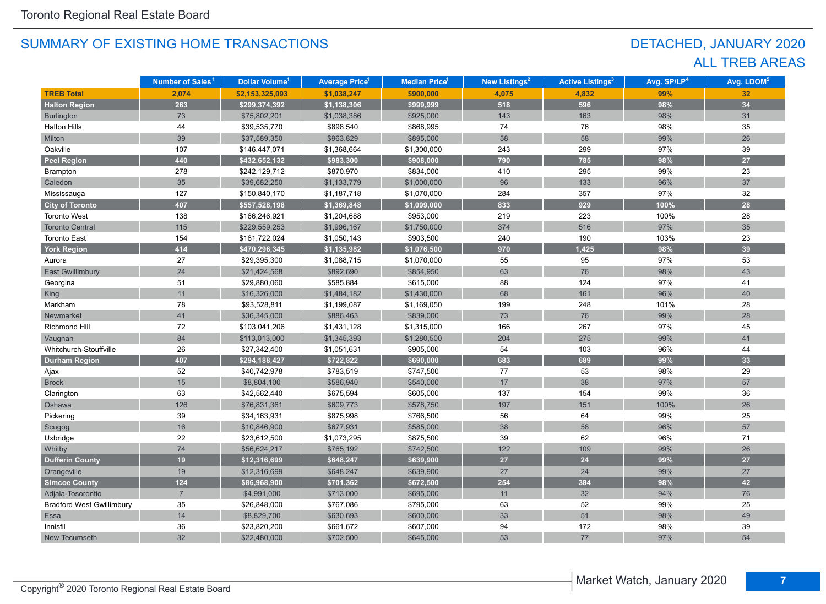# DETACHED, JANUARY 2020 ALL TREB AREAS

|                                  | Number of Sales <sup>1</sup> | Dollar Volume <sup>1</sup> | <b>Average Price<sup>1</sup></b> | <b>Median Price<sup>1</sup></b> | New Listings <sup>2</sup> | <b>Active Listings<sup>3</sup></b> | Avg. SP/LP <sup>4</sup> | Avg. LDOM <sup>5</sup> |
|----------------------------------|------------------------------|----------------------------|----------------------------------|---------------------------------|---------------------------|------------------------------------|-------------------------|------------------------|
| <b>TREB Total</b>                | 2,074                        | \$2,153,325,093            | \$1,038,247                      | \$900,000                       | 4,075                     | 4,832                              | 99%                     | 32                     |
| <b>Halton Region</b>             | 263                          | \$299,374,392              | \$1,138,306                      | \$999,999                       | 518                       | 596                                | 98%                     | 34                     |
| Burlington                       | 73                           | \$75,802,201               | \$1,038,386                      | \$925,000                       | 143                       | 163                                | 98%                     | 31                     |
| <b>Halton Hills</b>              | 44                           | \$39,535,770               | \$898,540                        | \$868,995                       | 74                        | 76                                 | 98%                     | 35                     |
| Milton                           | 39                           | \$37,589,350               | \$963,829                        | \$895,000                       | 58                        | 58                                 | 99%                     | 26                     |
| Oakville                         | 107                          | \$146,447,071              | \$1,368,664                      | \$1,300,000                     | 243                       | 299                                | 97%                     | 39                     |
| <b>Peel Region</b>               | 440                          | \$432,652,132              | \$983,300                        | \$908,000                       | 790                       | 785                                | 98%                     | 27                     |
| Brampton                         | 278                          | \$242,129,712              | \$870,970                        | \$834,000                       | 410                       | 295                                | 99%                     | 23                     |
| Caledon                          | 35                           | \$39,682,250               | \$1,133,779                      | \$1,000,000                     | 96                        | 133                                | 96%                     | 37                     |
| Mississauga                      | 127                          | \$150,840,170              | \$1,187,718                      | \$1,070,000                     | 284                       | 357                                | 97%                     | 32                     |
| <b>City of Toronto</b>           | 407                          | \$557,528,198              | \$1,369,848                      | \$1,099,000                     | 833                       | 929                                | 100%                    | 28                     |
| <b>Toronto West</b>              | 138                          | \$166,246,921              | \$1,204,688                      | \$953,000                       | 219                       | 223                                | 100%                    | 28                     |
| <b>Toronto Central</b>           | 115                          | \$229,559,253              | \$1,996,167                      | \$1,750,000                     | 374                       | 516                                | 97%                     | 35                     |
| <b>Toronto East</b>              | 154                          | \$161,722,024              | \$1,050,143                      | \$903,500                       | 240                       | 190                                | 103%                    | 23                     |
| <b>York Region</b>               | 414                          | \$470,296,345              | \$1,135,982                      | \$1,076,500                     | 970                       | 1,425                              | 98%                     | 39                     |
| Aurora                           | 27                           | \$29,395,300               | \$1,088,715                      | \$1,070,000                     | 55                        | 95                                 | 97%                     | 53                     |
| East Gwillimbury                 | 24                           | \$21,424,568               | \$892,690                        | \$854,950                       | 63                        | 76                                 | 98%                     | 43                     |
| Georgina                         | 51                           | \$29,880,060               | \$585,884                        | \$615,000                       | 88                        | 124                                | 97%                     | 41                     |
| <b>King</b>                      | 11                           | \$16,326,000               | \$1,484,182                      | \$1,430,000                     | 68                        | 161                                | 96%                     | 40                     |
| Markham                          | 78                           | \$93,528,811               | \$1,199,087                      | \$1,169,050                     | 199                       | 248                                | 101%                    | 28                     |
| Newmarket                        | 41                           | \$36,345,000               | \$886,463                        | \$839,000                       | 73                        | 76                                 | 99%                     | 28                     |
| Richmond Hill                    | 72                           | \$103,041,206              | \$1,431,128                      | \$1,315,000                     | 166                       | 267                                | 97%                     | 45                     |
| Vaughan                          | 84                           | \$113,013,000              | \$1,345,393                      | \$1,280,500                     | 204                       | 275                                | 99%                     | 41                     |
| Whitchurch-Stouffville           | 26                           | \$27,342,400               | \$1,051,631                      | \$905,000                       | 54                        | 103                                | 96%                     | 44                     |
| <b>Durham Region</b>             | 407                          | \$294,188,427              | \$722,822                        | \$690,000                       | 683                       | 689                                | 99%                     | 33                     |
| Ajax                             | 52                           | \$40,742,978               | \$783,519                        | \$747,500                       | 77                        | 53                                 | 98%                     | 29                     |
| <b>Brock</b>                     | 15                           | \$8,804,100                | \$586,940                        | \$540,000                       | 17                        | 38                                 | 97%                     | 57                     |
| Clarington                       | 63                           | \$42,562,440               | \$675,594                        | \$605,000                       | 137                       | 154                                | 99%                     | 36                     |
| Oshawa                           | 126                          | \$76,831,361               | \$609,773                        | \$578,750                       | 197                       | 151                                | 100%                    | 26                     |
| Pickering                        | 39                           | \$34,163,931               | \$875,998                        | \$766,500                       | 56                        | 64                                 | 99%                     | 25                     |
| Scugog                           | 16                           | \$10,846,900               | \$677,931                        | \$585,000                       | 38                        | 58                                 | 96%                     | 57                     |
| Uxbridge                         | 22                           | \$23,612,500               | \$1,073,295                      | \$875,500                       | 39                        | 62                                 | 96%                     | 71                     |
| Whitby                           | 74                           | \$56,624,217               | \$765,192                        | \$742,500                       | 122                       | 109                                | 99%                     | 26                     |
| <b>Dufferin County</b>           | 19                           | \$12,316,699               | \$648,247                        | \$639,900                       | 27                        | 24                                 | 99%                     | 27                     |
| Orangeville                      | 19                           | \$12,316,699               | \$648,247                        | \$639,900                       | 27                        | 24                                 | 99%                     | 27                     |
| <b>Simcoe County</b>             | 124                          | \$86,968,900               | \$701,362                        | \$672,500                       | 254                       | 384                                | 98%                     | 42                     |
| Adjala-Tosorontio                | $\overline{7}$               | \$4,991,000                | \$713,000                        | \$695,000                       | 11                        | 32                                 | 94%                     | 76                     |
| <b>Bradford West Gwillimbury</b> | 35                           | \$26,848,000               | \$767,086                        | \$795,000                       | 63                        | 52                                 | 99%                     | 25                     |
| Essa                             | 14                           | \$8,829,700                | \$630,693                        | \$600,000                       | 33                        | 51                                 | 98%                     | 49                     |
| Innisfil                         | 36                           | \$23,820,200               | \$661,672                        | \$607,000                       | 94                        | 172                                | 98%                     | 39                     |
| New Tecumseth                    | 32                           | \$22,480,000               | \$702,500                        | \$645,000                       | 53                        | 77                                 | 97%                     | 54                     |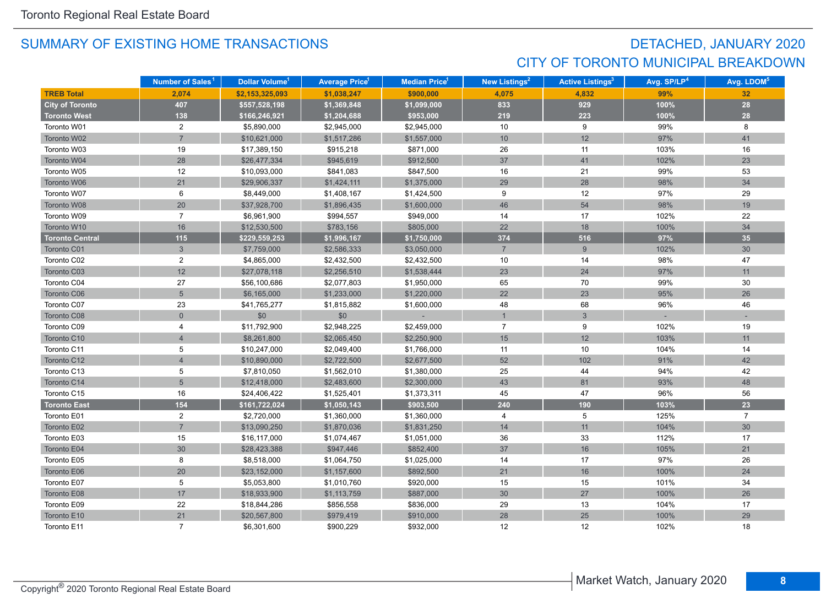# DETACHED, JANUARY 2020 CITY OF TORONTO MUNICIPAL BREAKDOWN

|                        | Number of Sales <sup>1</sup> | Dollar Volume <sup>1</sup> | <b>Average Price</b> 1 | Median Price <sup>1</sup> | New Listings <sup>2</sup> | <b>Active Listings<sup>3</sup></b> | Avg. SP/LP <sup>4</sup> | Avg. LDOM <sup>5</sup> |
|------------------------|------------------------------|----------------------------|------------------------|---------------------------|---------------------------|------------------------------------|-------------------------|------------------------|
| <b>TREB Total</b>      | 2,074                        | \$2,153,325,093            | \$1,038,247            | \$900,000                 | 4,075                     | 4,832                              | 99%                     | 32                     |
| <b>City of Toronto</b> | 407                          | \$557,528,198              | \$1,369,848            | \$1,099,000               | 833                       | 929                                | 100%                    | 28                     |
| <b>Toronto West</b>    | 138                          | \$166,246,921              | \$1,204,688            | \$953,000                 | 219                       | 223                                | 100%                    | 28                     |
| Toronto W01            | $\overline{2}$               | \$5,890,000                | \$2,945,000            | \$2,945,000               | 10                        | 9                                  | 99%                     | 8                      |
| Toronto W02            | $\overline{7}$               | \$10,621,000               | \$1,517,286            | \$1,557,000               | 10                        | 12                                 | 97%                     | 41                     |
| Toronto W03            | 19                           | \$17,389,150               | \$915,218              | \$871,000                 | 26                        | 11                                 | 103%                    | 16                     |
| Toronto W04            | 28                           | \$26,477,334               | \$945,619              | \$912,500                 | 37                        | 41                                 | 102%                    | 23                     |
| Toronto W05            | 12                           | \$10,093,000               | \$841,083              | \$847,500                 | 16                        | 21                                 | 99%                     | 53                     |
| Toronto W06            | 21                           | \$29,906,337               | \$1,424,111            | \$1,375,000               | 29                        | 28                                 | 98%                     | 34                     |
| Toronto W07            | 6                            | \$8,449,000                | \$1,408,167            | \$1,424,500               | 9                         | 12                                 | 97%                     | 29                     |
| Toronto W08            | 20                           | \$37,928,700               | \$1,896,435            | \$1,600,000               | 46                        | 54                                 | 98%                     | 19                     |
| Toronto W09            | $\overline{7}$               | \$6,961,900                | \$994,557              | \$949,000                 | 14                        | 17                                 | 102%                    | 22                     |
| Toronto W10            | 16                           | \$12,530,500               | \$783,156              | \$805,000                 | 22                        | 18                                 | 100%                    | 34                     |
| <b>Toronto Central</b> | $115$                        | \$229,559,253              | \$1,996,167            | \$1,750,000               | 374                       | 516                                | 97%                     | 35                     |
| Toronto C01            | $\mathfrak{S}$               | \$7,759,000                | \$2,586,333            | \$3,050,000               | $\overline{7}$            | $\boldsymbol{9}$                   | 102%                    | 30                     |
| Toronto C02            | $\overline{c}$               | \$4,865,000                | \$2,432,500            | \$2,432,500               | 10                        | 14                                 | 98%                     | 47                     |
| Toronto C03            | 12                           | \$27,078,118               | \$2,256,510            | \$1,538,444               | 23                        | 24                                 | 97%                     | 11                     |
| Toronto C04            | 27                           | \$56,100,686               | \$2,077,803            | \$1,950,000               | 65                        | 70                                 | 99%                     | 30                     |
| Toronto C06            | $5\overline{)}$              | \$6,165,000                | \$1,233,000            | \$1,220,000               | 22                        | 23                                 | 95%                     | 26                     |
| Toronto C07            | 23                           | \$41,765,277               | \$1,815,882            | \$1,600,000               | 48                        | 68                                 | 96%                     | 46                     |
| Toronto C08            | $\Omega$                     | \$0                        | \$0                    |                           | $\overline{1}$            | 3                                  |                         |                        |
| Toronto C09            | 4                            | \$11,792,900               | \$2,948,225            | \$2,459,000               | $\overline{7}$            | 9                                  | 102%                    | 19                     |
| Toronto C10            | $\overline{4}$               | \$8,261,800                | \$2,065,450            | \$2,250,900               | 15                        | 12                                 | 103%                    | 11                     |
| Toronto C11            | 5                            | \$10,247,000               | \$2,049,400            | \$1,766,000               | 11                        | 10                                 | 104%                    | 14                     |
| Toronto C12            | $\overline{4}$               | \$10,890,000               | \$2,722,500            | \$2,677,500               | 52                        | 102                                | 91%                     | 42                     |
| Toronto C13            | 5                            | \$7,810,050                | \$1,562,010            | \$1,380,000               | 25                        | 44                                 | 94%                     | 42                     |
| Toronto C14            | $\overline{5}$               | \$12,418,000               | \$2,483,600            | \$2,300,000               | 43                        | 81                                 | 93%                     | 48                     |
| Toronto C15            | 16                           | \$24,406,422               | \$1,525,401            | \$1,373,311               | 45                        | 47                                 | 96%                     | 56                     |
| <b>Toronto East</b>    | 154                          | \$161,722,024              | \$1,050,143            | \$903,500                 | 240                       | 190                                | 103%                    | 23                     |
| Toronto E01            | $\overline{2}$               | \$2,720,000                | \$1,360,000            | \$1,360,000               | 4                         | 5                                  | 125%                    | $\overline{7}$         |
| Toronto E02            | $\overline{7}$               | \$13,090,250               | \$1,870,036            | \$1,831,250               | 14                        | 11                                 | 104%                    | 30                     |
| Toronto E03            | 15                           | \$16,117,000               | \$1,074,467            | \$1,051,000               | 36                        | 33                                 | 112%                    | 17                     |
| Toronto E04            | 30                           | \$28,423,388               | \$947,446              | \$852,400                 | 37                        | 16                                 | 105%                    | 21                     |
| Toronto E05            | 8                            | \$8,518,000                | \$1,064,750            | \$1,025,000               | 14                        | 17                                 | 97%                     | 26                     |
| Toronto E06            | 20                           | \$23,152,000               | \$1,157,600            | \$892,500                 | 21                        | 16                                 | 100%                    | 24                     |
| Toronto E07            | 5                            | \$5,053,800                | \$1,010,760            | \$920,000                 | 15                        | 15                                 | 101%                    | 34                     |
| Toronto E08            | 17                           | \$18,933,900               | \$1,113,759            | \$887,000                 | 30 <sup>°</sup>           | $27\,$                             | 100%                    | 26                     |
| Toronto E09            | 22                           | \$18,844,286               | \$856,558              | \$836,000                 | 29                        | 13                                 | 104%                    | 17                     |
| Toronto E10            | 21                           | \$20,567,800               | \$979,419              | \$910,000                 | 28                        | 25                                 | 100%                    | 29                     |
| Toronto E11            | $\overline{7}$               | \$6,301,600                | \$900,229              | \$932,000                 | 12                        | 12                                 | 102%                    | 18                     |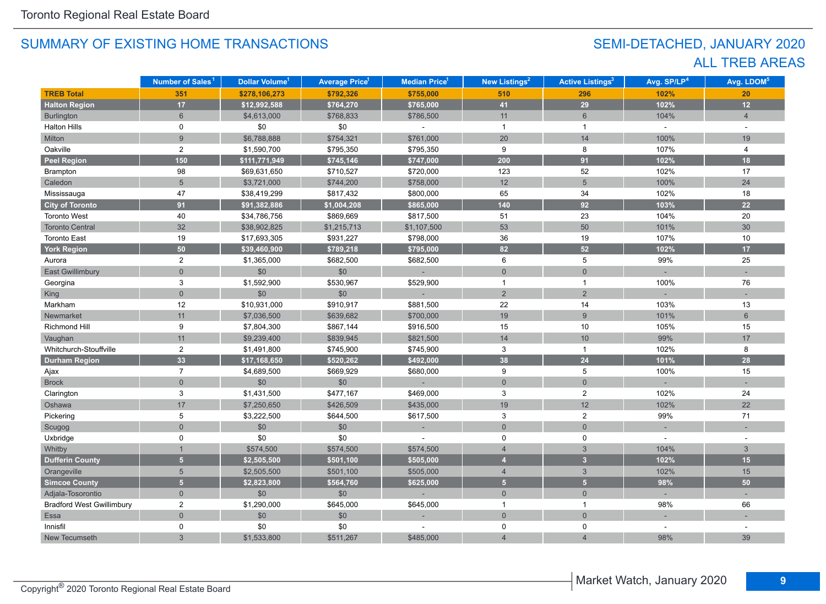# SEMI-DETACHED, JANUARY 2020 ALL TREB AREAS

|                                  | Number of Sales <sup>1</sup> | <b>Dollar Volume<sup>1</sup></b> | <b>Average Price<sup>1</sup></b> | <b>Median Price</b> <sup>1</sup> | <b>New Listings<sup>2</sup></b> | <b>Active Listings<sup>3</sup></b> | Avg. SP/LP <sup>4</sup> | Avg. LDOM <sup>5</sup> |
|----------------------------------|------------------------------|----------------------------------|----------------------------------|----------------------------------|---------------------------------|------------------------------------|-------------------------|------------------------|
| <b>TREB Total</b>                | 351                          | \$278,106,273                    | \$792,326                        | \$755,000                        | 510                             | 296                                | 102%                    | 20                     |
| <b>Halton Region</b>             | 17                           | \$12,992,588                     | \$764,270                        | \$765,000                        | 41                              | 29                                 | 102%                    | 12                     |
| <b>Burlington</b>                | $6\phantom{1}$               | \$4,613,000                      | \$768,833                        | \$786,500                        | 11                              | $6\,$                              | 104%                    | $\overline{4}$         |
| <b>Halton Hills</b>              | 0                            | \$0                              | \$0                              |                                  | $\overline{1}$                  | $\overline{1}$                     | $\mathbf{r}$            | $\sim$                 |
| Milton                           | $\overline{9}$               | \$6,788,888                      | \$754,321                        | \$761,000                        | 20                              | 14                                 | 100%                    | 19                     |
| Oakville                         | $\overline{2}$               | \$1,590,700                      | \$795,350                        | \$795,350                        | 9                               | 8                                  | 107%                    | 4                      |
| <b>Peel Region</b>               | 150                          | \$111,771,949                    | \$745,146                        | \$747,000                        | 200                             | 91                                 | 102%                    | 18                     |
| Brampton                         | 98                           | \$69,631,650                     | \$710,527                        | \$720,000                        | 123                             | 52                                 | 102%                    | 17                     |
| Caledon                          | 5                            | \$3,721,000                      | \$744,200                        | \$758,000                        | 12                              | $5\overline{)}$                    | 100%                    | 24                     |
| Mississauga                      | 47                           | \$38,419,299                     | \$817,432                        | \$800,000                        | 65                              | 34                                 | 102%                    | 18                     |
| <b>City of Toronto</b>           | 91                           | \$91,382,886                     | \$1,004,208                      | \$865,000                        | 140                             | 92                                 | 103%                    | 22                     |
| <b>Toronto West</b>              | 40                           | \$34,786,756                     | \$869,669                        | \$817,500                        | 51                              | 23                                 | 104%                    | 20                     |
| <b>Toronto Central</b>           | 32                           | \$38,902,825                     | \$1,215,713                      | \$1,107,500                      | 53                              | 50                                 | 101%                    | 30                     |
| <b>Toronto East</b>              | 19                           | \$17,693,305                     | \$931,227                        | \$798,000                        | 36                              | 19                                 | 107%                    | 10                     |
| <b>York Region</b>               | 50 <sub>5</sub>              | \$39,460,900                     | \$789,218                        | \$795,000                        | 82                              | 52                                 | 102%                    | 17                     |
| Aurora                           | $\overline{2}$               | \$1,365,000                      | \$682,500                        | \$682,500                        | $\,6\,$                         | 5                                  | 99%                     | 25                     |
| East Gwillimbury                 | $\overline{0}$               | \$0                              | \$0                              | ÷                                | $\mathbf 0$                     | $\overline{0}$                     |                         |                        |
| Georgina                         | 3                            | \$1,592,900                      | \$530,967                        | \$529,900                        | $\mathbf{1}$                    | $\mathbf{1}$                       | 100%                    | 76                     |
| <b>King</b>                      | $\overline{0}$               | \$0                              | \$0                              |                                  | $\overline{2}$                  | $\overline{2}$                     |                         |                        |
| Markham                          | 12                           | \$10,931,000                     | \$910,917                        | \$881,500                        | 22                              | 14                                 | 103%                    | 13                     |
| Newmarket                        | 11                           | \$7,036,500                      | \$639,682                        | \$700,000                        | 19                              | 9                                  | 101%                    | $6\overline{6}$        |
| <b>Richmond Hill</b>             | 9                            | \$7,804,300                      | \$867,144                        | \$916,500                        | 15                              | 10                                 | 105%                    | 15                     |
| Vaughan                          | 11                           | \$9,239,400                      | \$839,945                        | \$821,500                        | 14                              | 10                                 | 99%                     | 17                     |
| Whitchurch-Stouffville           | $\overline{2}$               | \$1,491,800                      | \$745,900                        | \$745,900                        | 3                               | $\overline{1}$                     | 102%                    | 8                      |
| <b>Durham Region</b>             | 33 <sup>°</sup>              | \$17,168,650                     | \$520,262                        | \$492,000                        | 38                              | 24                                 | 101%                    | 28                     |
| Ajax                             | $\overline{7}$               | \$4,689,500                      | \$669,929                        | \$680,000                        | 9                               | 5                                  | 100%                    | 15                     |
| <b>Brock</b>                     | $\overline{0}$               | \$0                              | \$0                              | ÷.                               | $\mathbf{0}$                    | $\mathbf 0$                        |                         |                        |
| Clarington                       | $\ensuremath{\mathsf{3}}$    | \$1,431,500                      | \$477,167                        | \$469,000                        | $\mathbf{3}$                    | $\sqrt{2}$                         | 102%                    | 24                     |
| Oshawa                           | 17                           | \$7,250,650                      | \$426,509                        | \$435,000                        | 19                              | 12                                 | 102%                    | 22                     |
| Pickering                        | 5                            | \$3,222,500                      | \$644,500                        | \$617,500                        | 3                               | $\overline{2}$                     | 99%                     | 71                     |
| Scugog                           | $\overline{0}$               | $$0$$                            | $$0$$                            |                                  | $\overline{0}$                  | $\overline{0}$                     |                         |                        |
| Uxbridge                         | $\mathbf 0$                  | \$0                              | \$0                              |                                  | $\mathbf 0$                     | $\pmb{0}$                          |                         |                        |
| Whitby                           |                              | \$574,500                        | \$574,500                        | \$574,500                        | $\overline{4}$                  | $\mathfrak{S}$                     | 104%                    | $\mathbf{3}$           |
| <b>Dufferin County</b>           | 5 <sup>1</sup>               | \$2,505,500                      | \$501,100                        | \$505,000                        | $\overline{4}$                  | 3 <sup>2</sup>                     | 102%                    | 15                     |
| Orangeville                      | 5                            | \$2,505,500                      | \$501,100                        | \$505,000                        | $\overline{4}$                  | $\mathbf{3}$                       | 102%                    | 15                     |
| <b>Simcoe County</b>             | 5 <sup>1</sup>               | \$2,823,800                      | \$564,760                        | \$625,000                        | 5 <sub>5</sub>                  | 5 <sup>1</sup>                     | 98%                     | 50                     |
| Adjala-Tosorontio                | $\overline{0}$               | \$0                              | \$0                              |                                  | $\mathsf{O}\xspace$             | $\overline{0}$                     |                         |                        |
| <b>Bradford West Gwillimbury</b> | 2                            | \$1,290,000                      | \$645,000                        | \$645,000                        | $\mathbf{1}$                    | $\overline{1}$                     | 98%                     | 66                     |
| Essa                             | $\overline{0}$               | \$0                              | \$0                              |                                  | $\overline{0}$                  | $\overline{0}$                     |                         |                        |
| Innisfil                         | 0                            | \$0                              | \$0                              |                                  | $\mathbf 0$                     | 0                                  |                         |                        |
| New Tecumseth                    | 3                            | \$1,533,800                      | \$511,267                        | \$485,000                        | $\overline{4}$                  | $\overline{4}$                     | 98%                     | 39                     |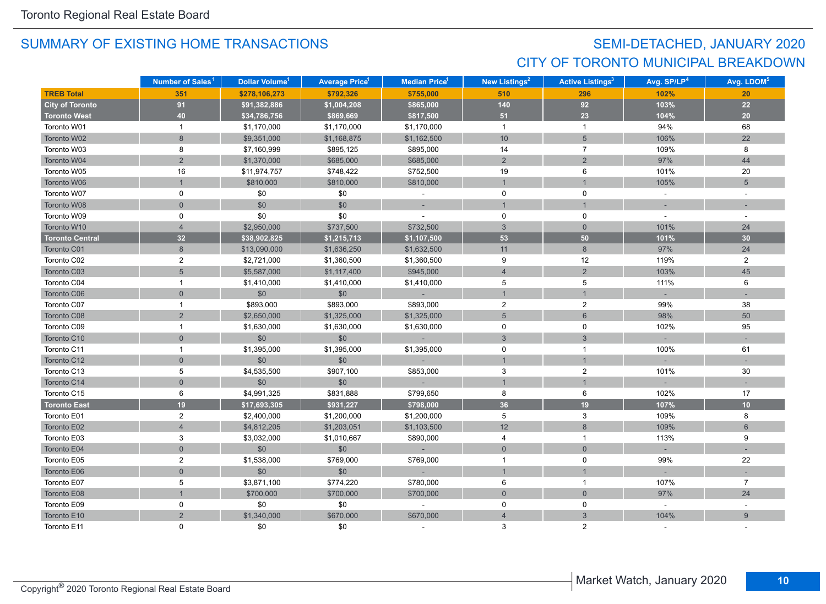# SEMI-DETACHED, JANUARY 2020 CITY OF TORONTO MUNICIPAL BREAKDOWN

|                        | Number of Sales <sup>1</sup> | Dollar Volume <sup>1</sup> | <b>Average Price<sup>1</sup></b> | Median Price <sup>1</sup> | New Listings <sup>2</sup> | <b>Active Listings<sup>3</sup></b> | Avg. SP/LP <sup>4</sup> | Avg. LDOM <sup>5</sup> |
|------------------------|------------------------------|----------------------------|----------------------------------|---------------------------|---------------------------|------------------------------------|-------------------------|------------------------|
| <b>TREB Total</b>      | 351                          | \$278,106,273              | \$792,326                        | \$755,000                 | 510                       | 296                                | 102%                    | 20                     |
| <b>City of Toronto</b> | 91                           | \$91,382,886               | \$1,004,208                      | \$865,000                 | 140                       | 92                                 | 103%                    | $22$                   |
| <b>Toronto West</b>    | 40                           | \$34,786,756               | \$869,669                        | \$817,500                 | 51                        | 23                                 | 104%                    | 20                     |
| Toronto W01            | $\mathbf{1}$                 | \$1,170,000                | \$1,170,000                      | \$1,170,000               | $\overline{1}$            | $\mathbf{1}$                       | 94%                     | 68                     |
| Toronto W02            | $\,8\,$                      | \$9,351,000                | \$1,168,875                      | \$1,162,500               | 10                        | $5\overline{)}$                    | 106%                    | 22                     |
| Toronto W03            | 8                            | \$7,160,999                | \$895,125                        | \$895,000                 | 14                        | $\overline{7}$                     | 109%                    | 8                      |
| Toronto W04            | $\overline{2}$               | \$1,370,000                | \$685,000                        | \$685,000                 | $\sqrt{2}$                | $\overline{2}$                     | 97%                     | 44                     |
| Toronto W05            | 16                           | \$11,974,757               | \$748,422                        | \$752,500                 | 19                        | 6                                  | 101%                    | 20                     |
| Toronto W06            | $\mathbf{1}$                 | \$810,000                  | \$810,000                        | \$810,000                 | $\mathbf{1}$              |                                    | 105%                    | $5\overline{)}$        |
| Toronto W07            | $\mathbf 0$                  | \$0                        | \$0                              |                           | 0                         | 0                                  | $\sim$                  |                        |
| Toronto W08            | $\overline{0}$               | \$0                        | \$0                              | ÷                         | $\mathbf{1}$              | $\mathbf{1}$                       |                         |                        |
| Toronto W09            | 0                            | \$0                        | \$0                              |                           | 0                         | 0                                  |                         |                        |
| Toronto W10            | $\overline{4}$               | \$2,950,000                | \$737,500                        | \$732,500                 | $\mathbf{3}$              | $\mathbf{0}$                       | 101%                    | 24                     |
| <b>Toronto Central</b> | 32                           | \$38,902,825               | \$1,215,713                      | \$1,107,500               | 53                        | 50                                 | 101%                    | 30                     |
| Toronto C01            | $8\phantom{1}$               | \$13,090,000               | \$1,636,250                      | \$1,632,500               | 11                        | $\,8\,$                            | 97%                     | 24                     |
| Toronto C02            | $\overline{2}$               | \$2,721,000                | \$1,360,500                      | \$1,360,500               | 9                         | 12                                 | 119%                    | $\overline{2}$         |
| Toronto C03            | $5\phantom{1}$               | \$5,587,000                | \$1,117,400                      | \$945,000                 | $\overline{4}$            | $\overline{2}$                     | 103%                    | 45                     |
| Toronto C04            | $\mathbf{1}$                 | \$1,410,000                | \$1,410,000                      | \$1,410,000               | 5                         | 5                                  | 111%                    | 6                      |
| Toronto C06            | $\overline{0}$               | \$0                        | \$0                              | $\sim$                    | $\overline{1}$            |                                    |                         |                        |
| Toronto C07            | $\mathbf{1}$                 | \$893,000                  | \$893,000                        | \$893,000                 | $\sqrt{2}$                | $\overline{2}$                     | 99%                     | 38                     |
| Toronto C08            | $\overline{2}$               | \$2,650,000                | \$1,325,000                      | \$1,325,000               | 5                         | $6\overline{6}$                    | 98%                     | 50                     |
| Toronto C09            | $\mathbf{1}$                 | \$1,630,000                | \$1,630,000                      | \$1,630,000               | 0                         | 0                                  | 102%                    | 95                     |
| Toronto C10            | $\mathbf 0$                  | \$0                        | \$0                              |                           | $\mathfrak{S}$            | $\mathbf{3}$                       |                         |                        |
| Toronto C11            | $\mathbf{1}$                 | \$1,395,000                | \$1,395,000                      | \$1,395,000               | $\mathbf 0$               | $\mathbf{1}$                       | 100%                    | 61                     |
| Toronto C12            | $\overline{0}$               | \$0                        | \$0                              |                           | $\overline{1}$            |                                    |                         |                        |
| Toronto C13            | 5                            | \$4,535,500                | \$907,100                        | \$853,000                 | 3                         | $\overline{2}$                     | 101%                    | 30                     |
| Toronto C14            | $\overline{0}$               | \$0                        | \$0                              |                           | $\overline{1}$            | $\overline{1}$                     |                         |                        |
| Toronto C15            | 6                            | \$4,991,325                | \$831,888                        | \$799,650                 | 8                         | 6                                  | 102%                    | 17                     |
| <b>Toronto East</b>    | 19                           | \$17,693,305               | \$931,227                        | \$798,000                 | 36                        | 19                                 | 107%                    | 10                     |
| Toronto E01            | $\overline{c}$               | \$2,400,000                | \$1,200,000                      | \$1,200,000               | 5                         | $\ensuremath{\mathsf{3}}$          | 109%                    | 8                      |
| Toronto E02            | $\overline{4}$               | \$4,812,205                | \$1,203,051                      | \$1,103,500               | 12                        | $\bf 8$                            | 109%                    | $6\phantom{1}$         |
| Toronto E03            | 3                            | \$3,032,000                | \$1,010,667                      | \$890,000                 | 4                         | $\mathbf{1}$                       | 113%                    | 9                      |
| Toronto E04            | $\Omega$                     | \$0                        | \$0                              | $\sim$                    | $\overline{0}$            | $\overline{0}$                     |                         |                        |
| Toronto E05            | $\overline{c}$               | \$1,538,000                | \$769,000                        | \$769,000                 | $\mathbf{1}$              | 0                                  | 99%                     | 22                     |
| Toronto E06            | $\overline{0}$               | \$0                        | \$0                              | ш.                        | $\overline{1}$            |                                    |                         |                        |
| Toronto E07            | 5                            | \$3,871,100                | \$774,220                        | \$780,000                 | 6                         | $\mathbf{1}$                       | 107%                    | $\overline{7}$         |
| Toronto E08            | $\mathbf{1}$                 | \$700,000                  | \$700,000                        | \$700,000                 | $\mathsf{O}\xspace$       | $\mathbf{0}$                       | 97%                     | 24                     |
| Toronto E09            | $\mathbf 0$                  | \$0                        | \$0                              |                           | 0                         | 0                                  | $\sim$                  | $\sim$                 |
| Toronto E10            | $\overline{2}$               | \$1,340,000                | \$670,000                        | \$670,000                 | $\overline{4}$            | 3                                  | 104%                    | 9                      |
| Toronto E11            | $\Omega$                     | \$0                        | \$0                              |                           | 3                         | $\mathcal{P}$                      |                         |                        |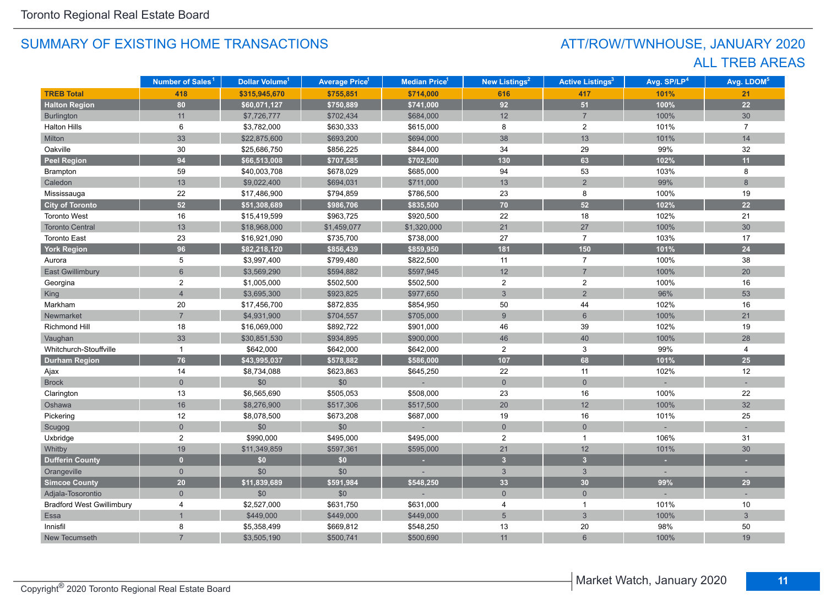# ATT/ROW/TWNHOUSE, JANUARY 2020 ALL TREB AREAS

|                                  | Number of Sales <sup>1</sup> | Dollar Volume <sup>1</sup> | <b>Average Price<sup>1</sup></b> | <b>Median Price<sup>1</sup></b> | <b>New Listings<sup>2</sup></b> | <b>Active Listings<sup>3</sup></b> | Avg. SP/LP <sup>4</sup> | Avg. LDOM <sup>5</sup> |
|----------------------------------|------------------------------|----------------------------|----------------------------------|---------------------------------|---------------------------------|------------------------------------|-------------------------|------------------------|
| <b>TREB Total</b>                | 418                          | \$315,945,670              | \$755,851                        | \$714,000                       | 616                             | 417                                | 101%                    | 21                     |
| <b>Halton Region</b>             | 80                           | \$60,071,127               | \$750,889                        | \$741,000                       | 92                              | 51                                 | 100%                    | 22                     |
| Burlington                       | 11                           | \$7,726,777                | \$702,434                        | \$684,000                       | 12                              | $\overline{7}$                     | 100%                    | 30                     |
| <b>Halton Hills</b>              | 6                            | \$3,782,000                | \$630,333                        | \$615,000                       | 8                               | $\overline{2}$                     | 101%                    | $\overline{7}$         |
| Milton                           | 33                           | \$22,875,600               | \$693,200                        | \$694,000                       | 38                              | 13                                 | 101%                    | 14                     |
| Oakville                         | 30                           | \$25,686,750               | \$856,225                        | \$844,000                       | 34                              | 29                                 | 99%                     | 32                     |
| <b>Peel Region</b>               | 94                           | \$66,513,008               | \$707,585                        | \$702,500                       | 130                             | 63                                 | 102%                    | 11                     |
| Brampton                         | 59                           | \$40,003,708               | \$678,029                        | \$685,000                       | 94                              | 53                                 | 103%                    | 8                      |
| Caledon                          | 13                           | \$9,022,400                | \$694,031                        | \$711,000                       | 13                              | $\overline{2}$                     | 99%                     | 8                      |
| Mississauga                      | 22                           | \$17,486,900               | \$794,859                        | \$786,500                       | 23                              | 8                                  | 100%                    | 19                     |
| <b>City of Toronto</b>           | 52                           | \$51,308,689               | \$986,706                        | \$835,500                       | 70 <sub>l</sub>                 | 52                                 | 102%                    | 22                     |
| <b>Toronto West</b>              | 16                           | \$15,419,599               | \$963,725                        | \$920,500                       | 22                              | 18                                 | 102%                    | 21                     |
| <b>Toronto Central</b>           | 13                           | \$18,968,000               | \$1,459,077                      | \$1,320,000                     | 21                              | $27\,$                             | 100%                    | 30                     |
| <b>Toronto East</b>              | 23                           | \$16,921,090               | \$735,700                        | \$738,000                       | 27                              | $\overline{7}$                     | 103%                    | 17                     |
| <b>York Region</b>               | 96                           | \$82,218,120               | \$856,439                        | \$859,950                       | 181                             | 150                                | 101%                    | 24                     |
| Aurora                           | 5                            | \$3,997,400                | \$799,480                        | \$822,500                       | 11                              | $\overline{7}$                     | 100%                    | 38                     |
| <b>East Gwillimbury</b>          | $6\overline{6}$              | \$3,569,290                | \$594,882                        | \$597,945                       | 12                              | $\overline{7}$                     | 100%                    | 20                     |
| Georgina                         | 2                            | \$1,005,000                | \$502,500                        | \$502,500                       | $\overline{2}$                  | $\overline{2}$                     | 100%                    | 16                     |
| King                             | $\overline{4}$               | \$3,695,300                | \$923,825                        | \$977,650                       | $\mathbf{3}$                    | $\overline{2}$                     | 96%                     | 53                     |
| Markham                          | 20                           | \$17,456,700               | \$872,835                        | \$854,950                       | 50                              | 44                                 | 102%                    | 16                     |
| Newmarket                        | $\overline{7}$               | \$4,931,900                | \$704,557                        | \$705,000                       | $9\,$                           | $\,6\,$                            | 100%                    | 21                     |
| Richmond Hill                    | 18                           | \$16,069,000               | \$892,722                        | \$901,000                       | 46                              | 39                                 | 102%                    | 19                     |
| Vaughan                          | 33                           | \$30,851,530               | \$934,895                        | \$900,000                       | 46                              | 40                                 | 100%                    | 28                     |
| Whitchurch-Stouffville           | $\mathbf{1}$                 | \$642,000                  | \$642,000                        | \$642,000                       | $\overline{2}$                  | 3                                  | 99%                     | 4                      |
| <b>Durham Region</b>             | 76                           | \$43,995,037               | \$578,882                        | \$586,000                       | 107                             | 68                                 | 101%                    | 25                     |
| Ajax                             | 14                           | \$8,734,088                | \$623,863                        | \$645,250                       | 22                              | 11                                 | 102%                    | 12                     |
| <b>Brock</b>                     | $\mathbf{0}$                 | \$0                        | \$0                              |                                 | $\mathsf{O}\xspace$             | $\overline{0}$                     |                         |                        |
| Clarington                       | 13                           | \$6,565,690                | \$505,053                        | \$508,000                       | 23                              | 16                                 | 100%                    | 22                     |
| Oshawa                           | 16                           | \$8,276,900                | \$517,306                        | \$517,500                       | 20                              | 12                                 | 100%                    | 32                     |
| Pickering                        | $12\,$                       | \$8,078,500                | \$673,208                        | \$687,000                       | 19                              | 16                                 | 101%                    | 25                     |
| Scugog                           | $\overline{0}$               | \$0                        | \$0                              |                                 | $\mathsf{O}\xspace$             | $\mathsf{O}\xspace$                |                         |                        |
| Uxbridge                         | $\overline{2}$               | \$990,000                  | \$495,000                        | \$495,000                       | $\overline{2}$                  | $\mathbf{1}$                       | 106%                    | 31                     |
| Whitby                           | 19                           | \$11,349,859               | \$597,361                        | \$595,000                       | 21                              | 12                                 | 101%                    | 30                     |
| <b>Dufferin County</b>           | $\mathbf{0}$                 | \$0                        | \$0                              |                                 | $\overline{3}$                  | 3 <sup>2</sup>                     |                         |                        |
| Orangeville                      | $\mathbf{0}$                 | \$0                        | \$0                              |                                 | $\mathbf{3}$                    | $\mathbf{3}$                       |                         | $\sim$                 |
| <b>Simcoe County</b>             | 20                           | \$11,839,689               | \$591,984                        | \$548,250                       | 33                              | 30                                 | 99%                     | 29                     |
| Adjala-Tosorontio                | $\overline{0}$               | \$0                        | \$0                              |                                 | $\overline{0}$                  | $\overline{0}$                     |                         |                        |
| <b>Bradford West Gwillimbury</b> | 4                            | \$2,527,000                | \$631,750                        | \$631,000                       | $\overline{4}$                  | $\mathbf{1}$                       | 101%                    | 10                     |
| Essa                             | $\overline{1}$               | \$449,000                  | \$449,000                        | \$449,000                       | $5\overline{)}$                 | 3                                  | 100%                    | $\mathbf{3}$           |
| Innisfil                         | 8                            | \$5,358,499                | \$669,812                        | \$548,250                       | 13                              | 20                                 | 98%                     | 50                     |
| New Tecumseth                    |                              | \$3,505,190                | \$500,741                        | \$500,690                       | 11                              | $6\phantom{1}$                     | 100%                    | 19                     |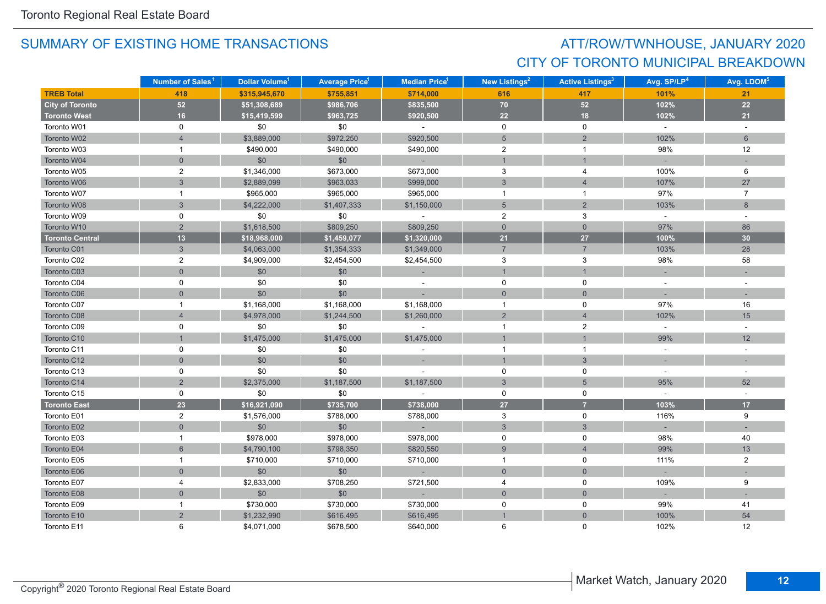# ATT/ROW/TWNHOUSE, JANUARY 2020 CITY OF TORONTO MUNICIPAL BREAKDOWN

|                        | Number of Sales <sup>1</sup> | Dollar Volume <sup>1</sup> | <b>Average Price</b> <sup>1</sup> | <b>Median Price</b> <sup>1</sup> | <b>New Listings<sup>2</sup></b> | <b>Active Listings<sup>3</sup></b> | Avg. SP/LP <sup>4</sup> | Avg. LDOM <sup>5</sup> |
|------------------------|------------------------------|----------------------------|-----------------------------------|----------------------------------|---------------------------------|------------------------------------|-------------------------|------------------------|
| <b>TREB Total</b>      | 418                          | \$315,945,670              | \$755,851                         | \$714,000                        | 616                             | 417                                | 101%                    | 21                     |
| <b>City of Toronto</b> | 52                           | \$51,308,689               | \$986,706                         | \$835,500                        | 70                              | 52                                 | 102%                    | $22\,$                 |
| <b>Toronto West</b>    | 16                           | \$15,419,599               | \$963,725                         | \$920,500                        | 22                              | 18                                 | 102%                    | 21                     |
| Toronto W01            | 0                            | \$0                        | \$0                               | $\omega$                         | $\mathsf{O}$                    | $\mathsf{O}$                       | $\omega$                | $\omega$               |
| Toronto W02            | $\overline{4}$               | \$3,889,000                | \$972,250                         | \$920,500                        | $5\phantom{.}$                  | $\overline{2}$                     | 102%                    | 6                      |
| Toronto W03            | $\mathbf{1}$                 | \$490,000                  | \$490,000                         | \$490,000                        | $\overline{c}$                  | $\mathbf{1}$                       | 98%                     | 12                     |
| Toronto W04            | $\overline{0}$               | \$0                        | \$0                               | $\sim$                           | $\overline{1}$                  | $\mathbf{1}$                       |                         |                        |
| Toronto W05            | $\overline{2}$               | \$1,346,000                | \$673,000                         | \$673,000                        | 3                               | 4                                  | 100%                    | 6                      |
| Toronto W06            | 3                            | \$2,889,099                | \$963,033                         | \$999,000                        | $\mathbf{3}$                    | $\overline{4}$                     | 107%                    | 27                     |
| Toronto W07            | $\mathbf{1}$                 | \$965,000                  | \$965,000                         | \$965,000                        | $\overline{1}$                  | $\overline{1}$                     | 97%                     | $\overline{7}$         |
| Toronto W08            | 3                            | \$4,222,000                | \$1,407,333                       | \$1,150,000                      | $5\phantom{.0}$                 | $\overline{2}$                     | 103%                    | 8                      |
| Toronto W09            | 0                            | \$0                        | \$0                               | $\sim$                           | $\overline{2}$                  | 3                                  | $\omega$                |                        |
| Toronto W10            | $\overline{2}$               | \$1,618,500                | \$809,250                         | \$809,250                        | $\overline{0}$                  | $\overline{0}$                     | 97%                     | 86                     |
| <b>Toronto Central</b> | 13                           | \$18,968,000               | \$1,459,077                       | \$1,320,000                      | 21                              | 27                                 | 100%                    | 30                     |
| Toronto C01            | 3                            | \$4,063,000                | \$1,354,333                       | \$1,349,000                      | $\overline{7}$                  | $\overline{7}$                     | 103%                    | 28                     |
| Toronto C02            | $\overline{c}$               | \$4,909,000                | \$2,454,500                       | \$2,454,500                      | $\mathbf{3}$                    | 3                                  | 98%                     | 58                     |
| Toronto C03            | $\overline{0}$               | \$0                        | \$0                               |                                  | $\mathbf{1}$                    | $\mathbf{1}$                       |                         |                        |
| Toronto C04            | 0                            | \$0                        | \$0                               | $\sim$                           | $\mathsf{O}$                    | $\mathsf{O}$                       | $\omega$                | $\sim$                 |
| Toronto C06            | $\overline{0}$               | \$0                        | \$0                               |                                  | $\mathbf{0}$                    | $\mathbf{0}$                       |                         | $\sim$                 |
| Toronto C07            | $\mathbf 1$                  | \$1,168,000                | \$1,168,000                       | \$1,168,000                      | $\mathbf{1}$                    | 0                                  | 97%                     | 16                     |
| Toronto C08            | $\overline{4}$               | \$4,978,000                | \$1,244,500                       | \$1,260,000                      | 2                               | $\overline{4}$                     | 102%                    | 15                     |
| Toronto C09            | 0                            | \$0                        | \$0                               |                                  | $\mathbf{1}$                    | $\overline{2}$                     | $\sim$                  | $\sim$                 |
| Toronto C10            |                              | \$1,475,000                | \$1,475,000                       | \$1,475,000                      | $\mathbf 1$                     | $\mathbf{1}$                       | 99%                     | 12                     |
| Toronto C11            | 0                            | \$0                        | \$0                               | $\sim$                           | $\mathbf{1}$                    | $\overline{1}$                     | $\omega$                | $\sim$                 |
| Toronto C12            | $\overline{0}$               | \$0                        | \$0                               |                                  | $\overline{1}$                  | $\mathbf{3}$                       | $\sim$                  | $\sim$                 |
| Toronto C13            | 0                            | \$0                        | \$0                               |                                  | $\pmb{0}$                       | $\mathbf 0$                        | $\sim$                  |                        |
| Toronto C14            | $\overline{2}$               | \$2,375,000                | \$1,187,500                       | \$1,187,500                      | $\mathbf{3}$                    | 5                                  | 95%                     | 52                     |
| Toronto C15            | 0                            | \$0                        | \$0                               | $\sim$                           | 0                               | 0                                  | $\sim$                  | $\sim$                 |
| <b>Toronto East</b>    | 23                           | \$16,921,090               | \$735,700                         | \$738,000                        | 27                              | $\overline{7}$                     | 103%                    | 17                     |
| Toronto E01            | $\overline{c}$               | \$1,576,000                | \$788,000                         | \$788,000                        | $\mathbf{3}$                    | $\mathbf 0$                        | 116%                    | 9                      |
| Toronto E02            | $\overline{0}$               | \$0                        | \$0                               |                                  | $\sqrt{3}$                      | $\mathbf{3}$                       |                         |                        |
| Toronto E03            | $\mathbf{1}$                 | \$978,000                  | \$978,000                         | \$978,000                        | $\pmb{0}$                       | 0                                  | 98%                     | 40                     |
| Toronto E04            | $6\overline{6}$              | \$4,790,100                | \$798,350                         | \$820,550                        | 9                               | $\overline{4}$                     | 99%                     | 13                     |
| Toronto E05            | $\mathbf{1}$                 | \$710,000                  | \$710,000                         | \$710,000                        | $\mathbf{1}$                    | 0                                  | 111%                    | $\overline{2}$         |
| Toronto E06            | $\overline{0}$               | \$0                        | \$0                               | $\sim$                           | $\overline{0}$                  | $\overline{0}$                     |                         |                        |
| Toronto E07            | 4                            | \$2,833,000                | \$708,250                         | \$721,500                        | $\overline{4}$                  | $\mathbf 0$                        | 109%                    | 9                      |
| Toronto E08            | $\overline{0}$               | \$0                        | \$0                               |                                  | $\mathsf{O}\xspace$             | $\mathbf 0$                        |                         |                        |
| Toronto E09            | $\mathbf{1}$                 | \$730,000                  | \$730,000                         | \$730,000                        | $\mathbf 0$                     | $\mathbf 0$                        | 99%                     | 41                     |
| Toronto E10            | $\overline{2}$               | \$1,232,990                | \$616,495                         | \$616,495                        | $\overline{1}$                  | $\mathbf{0}$                       | 100%                    | 54                     |
| Toronto E11            | 6                            | \$4,071,000                | \$678,500                         | \$640,000                        | 6                               | $\Omega$                           | 102%                    | 12                     |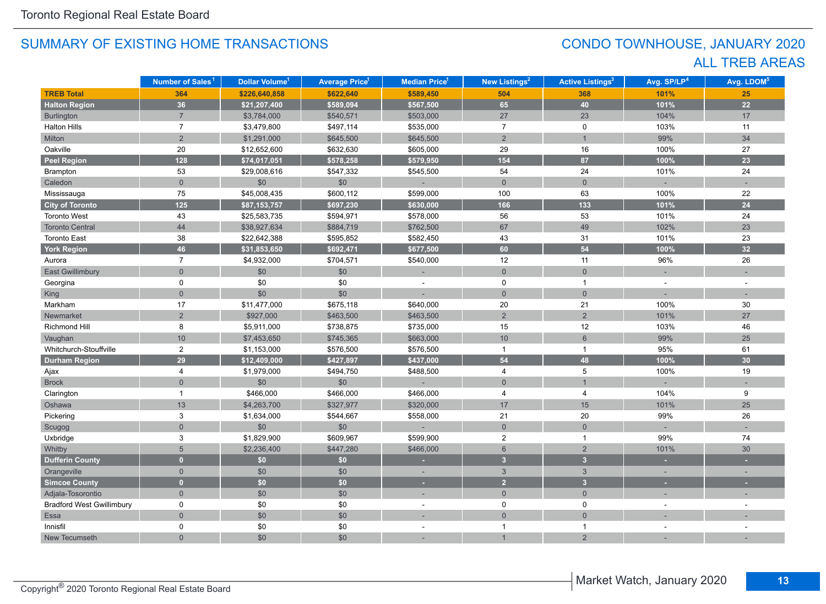# CONDO TOWNHOUSE, JANUARY 2020 ALL TREB AREAS

|                                  | Number of Sales <sup>1</sup> | Dollar Volume <sup>1</sup> | <b>Average Price<sup>1</sup></b> | Median Price <sup>1</sup> | New Listings <sup>2</sup> | <b>Active Listings<sup>3</sup></b> | Avg. SP/LP <sup>4</sup> | Avg. LDOM <sup>5</sup> |
|----------------------------------|------------------------------|----------------------------|----------------------------------|---------------------------|---------------------------|------------------------------------|-------------------------|------------------------|
| <b>TREB Total</b>                | 364                          | \$226,640,858              | \$622,640                        | \$589,450                 | 504                       | 368                                | 101%                    | 25                     |
| <b>Halton Region</b>             | 36                           | \$21,207,400               | \$589,094                        | \$567,500                 | 65                        | 40                                 | 101%                    | 22                     |
| Burlington                       | $\overline{7}$               | \$3,784,000                | \$540,571                        | \$503,000                 | 27                        | 23                                 | 104%                    | 17                     |
| <b>Halton Hills</b>              | $\overline{7}$               | \$3,479,800                | \$497,114                        | \$535,000                 | $\overline{7}$            | $\pmb{0}$                          | 103%                    | 11                     |
| Milton                           | $\overline{2}$               | \$1,291,000                | \$645,500                        | \$645,500                 | $\overline{2}$            | $\overline{1}$                     | 99%                     | 34                     |
| Oakville                         | $20\,$                       | \$12,652,600               | \$632,630                        | \$605,000                 | 29                        | 16                                 | 100%                    | 27                     |
| <b>Peel Region</b>               | 128                          | \$74,017,051               | \$578,258                        | \$579,950                 | 154                       | 87                                 | 100%                    | 23                     |
| Brampton                         | 53                           | \$29,008,616               | \$547,332                        | \$545,500                 | 54                        | 24                                 | 101%                    | 24                     |
| Caledon                          | $\overline{0}$               | \$0                        | \$0                              |                           | $\mathsf{O}\xspace$       | $\mathbf 0$                        |                         |                        |
| Mississauga                      | 75                           | \$45,008,435               | \$600,112                        | \$599,000                 | 100                       | 63                                 | 100%                    | 22                     |
| <b>City of Toronto</b>           | $125$                        | \$87,153,757               | \$697,230                        | \$630,000                 | 166                       | 133                                | 101%                    | 24                     |
| <b>Toronto West</b>              | 43                           | \$25,583,735               | \$594,971                        | \$578,000                 | 56                        | 53                                 | 101%                    | 24                     |
| <b>Toronto Central</b>           | 44                           | \$38,927,634               | \$884,719                        | \$762,500                 | 67                        | 49                                 | 102%                    | 23                     |
| <b>Toronto East</b>              | 38                           | \$22,642,388               | \$595,852                        | \$582,450                 | 43                        | 31                                 | 101%                    | 23                     |
| <b>York Region</b>               | 46                           | \$31,853,650               | \$692,471                        | \$677,500                 | 60                        | 54                                 | 100%                    | 32                     |
| Aurora                           | $\overline{7}$               | \$4,932,000                | \$704,571                        | \$540,000                 | 12                        | 11                                 | 96%                     | 26                     |
| <b>East Gwillimbury</b>          | $\Omega$                     | \$0                        | \$0                              |                           | $\overline{0}$            | $\mathbf 0$                        |                         |                        |
| Georgina                         | 0                            | \$0                        | \$0                              |                           | $\mathbf 0$               | $\mathbf{1}$                       |                         |                        |
| King                             | $\overline{0}$               | \$0                        | \$0                              |                           | $\mathbf 0$               | $\overline{0}$                     |                         |                        |
| Markham                          | 17                           | \$11,477,000               | \$675,118                        | \$640,000                 | 20                        | 21                                 | 100%                    | 30                     |
| Newmarket                        | $\overline{2}$               | \$927,000                  | \$463,500                        | \$463,500                 | $\overline{2}$            | $\overline{2}$                     | 101%                    | 27                     |
| Richmond Hill                    | 8                            | \$5,911,000                | \$738,875                        | \$735,000                 | 15                        | 12                                 | 103%                    | 46                     |
| Vaughan                          | 10                           | \$7,453,650                | \$745,365                        | \$663,000                 | 10                        | $\,6\,$                            | 99%                     | 25                     |
| Whitchurch-Stouffville           | $\overline{c}$               | \$1,153,000                | \$576,500                        | \$576,500                 | $\mathbf{1}$              | $\mathbf{1}$                       | 95%                     | 61                     |
| <b>Durham Region</b>             | 29                           | \$12,409,000               | \$427,897                        | \$437,000                 | 54                        | 48                                 | 100%                    | 30                     |
| Ajax                             | $\overline{4}$               | \$1,979,000                | \$494,750                        | \$488,500                 | 4                         | $\,$ 5 $\,$                        | 100%                    | 19                     |
| <b>Brock</b>                     | $\overline{0}$               | \$0                        | \$0                              |                           | $\overline{0}$            | $\overline{1}$                     |                         |                        |
| Clarington                       | $\mathbf{1}$                 | \$466,000                  | \$466,000                        | \$466,000                 | $\overline{4}$            | 4                                  | 104%                    | 9                      |
| Oshawa                           | 13                           | \$4,263,700                | \$327,977                        | \$320,000                 | 17                        | 15                                 | 101%                    | 25                     |
| Pickering                        | 3                            | \$1,634,000                | \$544,667                        | \$558,000                 | 21                        | 20                                 | 99%                     | 26                     |
| Scugog                           | $\overline{0}$               | \$0                        | \$0                              |                           | $\mathsf{O}\xspace$       | $\mathbf 0$                        |                         |                        |
| Uxbridge                         | 3                            | \$1,829,900                | \$609,967                        | \$599,900                 | $\overline{c}$            | $\mathbf{1}$                       | 99%                     | 74                     |
| Whitby                           | 5                            | \$2,236,400                | \$447,280                        | \$466,000                 | $6\phantom{a}$            | $\overline{2}$                     | 101%                    | 30                     |
| <b>Dufferin County</b>           | $\overline{0}$               | \$0                        | \$0                              |                           | 3 <sup>2</sup>            | $\overline{3}$                     | ٠                       |                        |
| Orangeville                      | $\mathbf 0$                  | \$0                        | \$0                              | ×.                        | $\mathfrak{S}$            | $\mathbf{3}$                       |                         |                        |
| <b>Simcoe County</b>             | $\overline{0}$               | \$0                        | \$0                              | ٠                         | $\overline{2}$            | $\overline{\mathbf{3}}$            |                         |                        |
| Adjala-Tosorontio                | $\overline{0}$               | \$0                        | \$0                              | ÷                         | $\overline{0}$            | $\mathbf 0$                        |                         |                        |
| <b>Bradford West Gwillimbury</b> | 0                            | \$0                        | \$0                              |                           | 0                         | 0                                  |                         |                        |
| Essa                             | $\overline{0}$               | \$0                        | \$0                              |                           | $\overline{0}$            | $\overline{0}$                     |                         |                        |
| Innisfil                         | 0                            | \$0                        | \$0                              |                           | $\mathbf{1}$              | $\mathbf 1$                        |                         |                        |
| New Tecumseth                    | $\overline{0}$               | \$0                        | \$0                              |                           |                           | $\overline{2}$                     |                         |                        |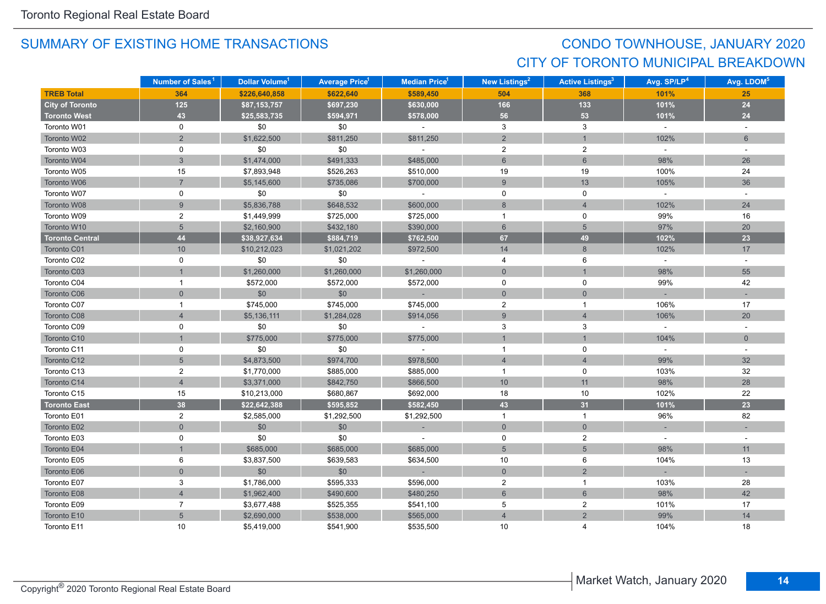# CONDO TOWNHOUSE, JANUARY 2020 CITY OF TORONTO MUNICIPAL BREAKDOWN

|                        | Number of Sales <sup>1</sup> | Dollar Volume <sup>1</sup> | <b>Average Price</b> <sup>1</sup> | <b>Median Price</b> <sup>1</sup> | New Listings <sup>2</sup> | <b>Active Listings<sup>3</sup></b> | Avg. SP/LP <sup>4</sup> | Avg. LDOM <sup>5</sup> |
|------------------------|------------------------------|----------------------------|-----------------------------------|----------------------------------|---------------------------|------------------------------------|-------------------------|------------------------|
| <b>TREB Total</b>      | 364                          | \$226,640,858              | \$622,640                         | \$589,450                        | 504                       | 368                                | 101%                    | 25                     |
| <b>City of Toronto</b> | 125                          | \$87,153,757               | \$697,230                         | \$630,000                        | 166                       | 133                                | 101%                    | 24                     |
| <b>Toronto West</b>    | 43                           | \$25,583,735               | \$594,971                         | \$578,000                        | 56                        | 53                                 | 101%                    | 24                     |
| Toronto W01            | 0                            | \$0                        | \$0                               | $\omega$                         | 3                         | 3                                  | $\omega$                | $\omega$               |
| Toronto W02            | $\overline{2}$               | \$1,622,500                | \$811,250                         | \$811,250                        | $\overline{2}$            | $\mathbf{1}$                       | 102%                    | $6\phantom{1}$         |
| Toronto W03            | 0                            | \$0                        | \$0                               | $\sim$                           | $\overline{c}$            | $\overline{c}$                     | $\omega$                | $\sim$                 |
| Toronto W04            | 3                            | \$1,474,000                | \$491,333                         | \$485,000                        | $6\overline{6}$           | 6                                  | 98%                     | 26                     |
| Toronto W05            | 15                           | \$7,893,948                | \$526,263                         | \$510,000                        | 19                        | 19                                 | 100%                    | 24                     |
| Toronto W06            | $\overline{7}$               | \$5,145,600                | \$735,086                         | \$700,000                        | 9                         | 13                                 | 105%                    | 36                     |
| Toronto W07            | 0                            | \$0                        | \$0                               | $\sim$                           | $\mathbf 0$               | $\mathbf 0$                        | $\sim$                  | $\omega$               |
| Toronto W08            | $\overline{9}$               | \$5,836,788                | \$648,532                         | \$600,000                        | 8                         | $\overline{4}$                     | 102%                    | 24                     |
| Toronto W09            | $\overline{c}$               | \$1,449,999                | \$725,000                         | \$725,000                        | $\mathbf{1}$              | 0                                  | 99%                     | 16                     |
| Toronto W10            | 5                            | \$2,160,900                | \$432,180                         | \$390,000                        | $6\overline{6}$           | $5\overline{)}$                    | 97%                     | 20                     |
| <b>Toronto Central</b> | 44                           | \$38,927,634               | \$884,719                         | \$762,500                        | 67                        | 49                                 | 102%                    | 23                     |
| Toronto C01            | 10                           | \$10,212,023               | \$1,021,202                       | \$972,500                        | 14                        | 8                                  | 102%                    | 17                     |
| Toronto C02            | 0                            | \$0                        | \$0                               | $\bar{a}$                        | $\overline{4}$            | 6                                  | $\sim$                  | $\omega$               |
| Toronto C03            |                              | \$1,260,000                | \$1,260,000                       | \$1,260,000                      | $\mathsf{O}\xspace$       | $\mathbf{1}$                       | 98%                     | 55                     |
| Toronto C04            | 1                            | \$572,000                  | \$572,000                         | \$572,000                        | $\mathbf 0$               | $\mathbf 0$                        | 99%                     | 42                     |
| Toronto C06            | $\mathbf 0$                  | \$0                        | \$0                               | $\sim$                           | $\overline{0}$            | $\mathbf 0$                        |                         |                        |
| Toronto C07            | $\mathbf 1$                  | \$745,000                  | \$745,000                         | \$745,000                        | $\overline{2}$            | $\overline{1}$                     | 106%                    | 17                     |
| Toronto C08            | $\overline{4}$               | \$5,136,111                | \$1,284,028                       | \$914,056                        | 9                         | $\overline{4}$                     | 106%                    | 20                     |
| Toronto C09            | 0                            | \$0                        | \$0                               | $\sim$                           | 3                         | 3                                  | $\sim$                  | $\sim$                 |
| Toronto C10            |                              | \$775,000                  | \$775,000                         | \$775,000                        | $\mathbf{1}$              | $\mathbf{1}$                       | 104%                    | $\overline{0}$         |
| Toronto C11            | 0                            | \$0                        | \$0                               | $\sim$                           | $\mathbf{1}$              | $\mathbf 0$                        | $\sim$                  | $\sim$                 |
| Toronto C12            | 5                            | \$4,873,500                | \$974,700                         | \$978,500                        | $\overline{4}$            | $\overline{4}$                     | 99%                     | 32                     |
| Toronto C13            | $\overline{2}$               | \$1,770,000                | \$885,000                         | \$885,000                        | $\mathbf{1}$              | 0                                  | 103%                    | 32                     |
| Toronto C14            | $\overline{4}$               | \$3,371,000                | \$842,750                         | \$866,500                        | 10                        | 11                                 | 98%                     | 28                     |
| Toronto C15            | 15                           | \$10,213,000               | \$680,867                         | \$692,000                        | 18                        | 10                                 | 102%                    | 22                     |
| <b>Toronto East</b>    | 38                           | \$22,642,388               | \$595,852                         | \$582,450                        | 43                        | 31                                 | 101%                    | 23                     |
| Toronto E01            | $\overline{2}$               | \$2,585,000                | \$1,292,500                       | \$1,292,500                      | $\mathbf{1}$              | $\mathbf{1}$                       | 96%                     | 82                     |
| Toronto E02            | $\overline{0}$               | \$0                        | \$0                               |                                  | $\mathsf{O}\xspace$       | $\mathbf 0$                        |                         |                        |
| Toronto E03            | 0                            | \$0                        | \$0                               | $\mathbf{r}$                     | $\mathbf 0$               | $\overline{2}$                     | $\omega$                |                        |
| Toronto E04            |                              | \$685,000                  | \$685,000                         | \$685,000                        | $5\overline{)}$           | 5                                  | 98%                     | 11                     |
| Toronto E05            | 6                            | \$3,837,500                | \$639,583                         | \$634,500                        | 10                        | 6                                  | 104%                    | 13                     |
| Toronto E06            | $\overline{0}$               | \$0                        | \$0                               | $\sim$ 10 $\pm$                  | $\overline{0}$            | 2                                  |                         |                        |
| Toronto E07            | 3                            | \$1,786,000                | \$595,333                         | \$596,000                        | $\overline{2}$            | $\overline{1}$                     | 103%                    | 28                     |
| Toronto E08            | $\overline{4}$               | \$1,962,400                | \$490,600                         | \$480,250                        | $\,6\,$                   | $6\,$                              | 98%                     | 42                     |
| Toronto E09            | $\overline{7}$               | \$3,677,488                | \$525,355                         | \$541,100                        | 5                         | $\overline{c}$                     | 101%                    | 17                     |
| Toronto E10            | 5                            | \$2,690,000                | \$538,000                         | \$565,000                        | $\overline{4}$            | $\overline{2}$                     | 99%                     | 14                     |
| Toronto E11            | 10                           | \$5,419,000                | \$541,900                         | \$535,500                        | 10 <sup>1</sup>           | 4                                  | 104%                    | 18                     |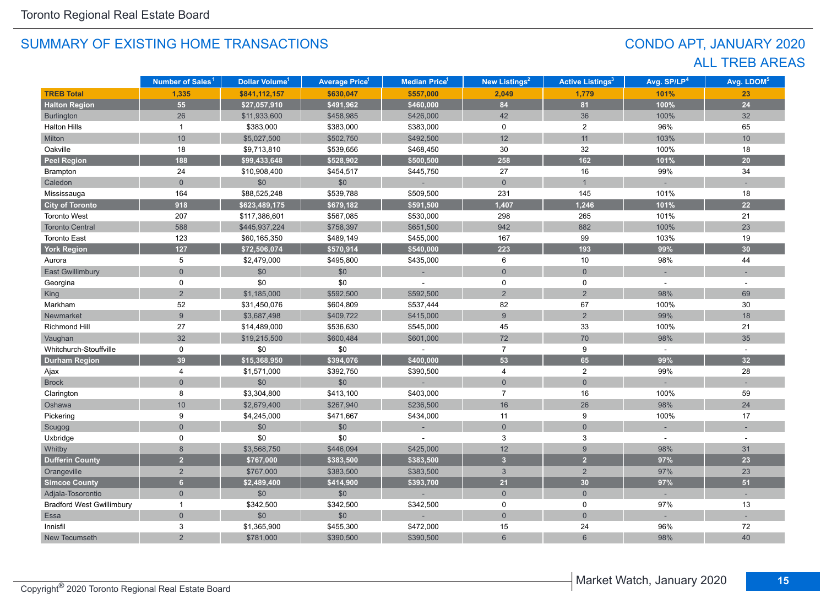# CONDO APT, JANUARY 2020 ALL TREB AREAS

|                                  | Number of Sales <sup>1</sup> | Dollar Volume <sup>1</sup> | <b>Average Price<sup>1</sup></b> | Median Price <sup>1</sup> | New Listings <sup>2</sup> | <b>Active Listings<sup>3</sup></b> | Avg. SP/LP <sup>4</sup> | Avg. LDOM <sup>5</sup> |
|----------------------------------|------------------------------|----------------------------|----------------------------------|---------------------------|---------------------------|------------------------------------|-------------------------|------------------------|
| <b>TREB Total</b>                | 1,335                        | \$841,112,157              | \$630,047                        | \$557,000                 | 2,049                     | 1,779                              | 101%                    | 23                     |
| <b>Halton Region</b>             | 55                           | \$27,057,910               | \$491,962                        | \$460,000                 | 84                        | 81                                 | 100%                    | 24                     |
| Burlington                       | 26                           | \$11,933,600               | \$458,985                        | \$426,000                 | 42                        | 36                                 | 100%                    | 32                     |
| <b>Halton Hills</b>              | $\mathbf{1}$                 | \$383,000                  | \$383,000                        | \$383,000                 | $\mathbf 0$               | $\overline{2}$                     | 96%                     | 65                     |
| Milton                           | 10                           | \$5,027,500                | \$502,750                        | \$492,500                 | 12                        | 11                                 | 103%                    | 10                     |
| Oakville                         | 18                           | \$9,713,810                | \$539,656                        | \$468,450                 | 30                        | 32                                 | 100%                    | 18                     |
| <b>Peel Region</b>               | 188                          | \$99,433,648               | \$528,902                        | \$500,500                 | 258                       | 162                                | 101%                    | 20                     |
| Brampton                         | 24                           | \$10,908,400               | \$454,517                        | \$445,750                 | 27                        | 16                                 | 99%                     | 34                     |
| Caledon                          | $\overline{0}$               | \$0                        | \$0                              |                           | $\mathsf{O}\xspace$       | $\mathbf{1}$                       |                         |                        |
| Mississauga                      | 164                          | \$88,525,248               | \$539,788                        | \$509,500                 | 231                       | 145                                | 101%                    | 18                     |
| <b>City of Toronto</b>           | 918                          | \$623,489,175              | \$679,182                        | \$591,500                 | 1,407                     | 1,246                              | 101%                    | 22                     |
| <b>Toronto West</b>              | 207                          | \$117,386,601              | \$567,085                        | \$530,000                 | 298                       | 265                                | 101%                    | 21                     |
| <b>Toronto Central</b>           | 588                          | \$445,937,224              | \$758,397                        | \$651,500                 | 942                       | 882                                | 100%                    | 23                     |
| <b>Toronto East</b>              | 123                          | \$60,165,350               | \$489,149                        | \$455,000                 | 167                       | 99                                 | 103%                    | 19                     |
| <b>York Region</b>               | 127                          | \$72,506,074               | \$570,914                        | \$540,000                 | 223                       | 193                                | 99%                     | 30                     |
| Aurora                           | 5                            | \$2,479,000                | \$495,800                        | \$435,000                 | 6                         | 10                                 | 98%                     | 44                     |
| <b>East Gwillimbury</b>          | $\overline{0}$               | \$0                        | \$0                              |                           | $\overline{0}$            | $\overline{0}$                     |                         |                        |
| Georgina                         | 0                            | \$0                        | \$0                              |                           | 0                         | 0                                  |                         |                        |
| <b>King</b>                      | $\overline{2}$               | \$1,185,000                | \$592,500                        | \$592,500                 | $\overline{2}$            | $\overline{2}$                     | 98%                     | 69                     |
| Markham                          | 52                           | \$31,450,076               | \$604,809                        | \$537,444                 | 82                        | 67                                 | 100%                    | 30                     |
| Newmarket                        | $\overline{9}$               | \$3,687,498                | \$409,722                        | \$415,000                 | $\overline{9}$            | $\overline{2}$                     | 99%                     | 18                     |
| <b>Richmond Hill</b>             | 27                           | \$14,489,000               | \$536,630                        | \$545,000                 | 45                        | 33                                 | 100%                    | 21                     |
| Vaughan                          | 32                           | \$19,215,500               | \$600,484                        | \$601,000                 | $72\,$                    | 70                                 | 98%                     | 35                     |
| Whitchurch-Stouffville           | 0                            | \$0                        | \$0                              |                           | $\overline{7}$            | 9                                  |                         |                        |
| <b>Durham Region</b>             | 39                           | \$15,368,950               | \$394,076                        | \$400,000                 | 53                        | 65                                 | 99%                     | 32                     |
| Ajax                             | 4                            | \$1,571,000                | \$392,750                        | \$390,500                 | 4                         | $\overline{2}$                     | 99%                     | 28                     |
| <b>Brock</b>                     | $\overline{0}$               | \$0                        | \$0                              |                           | $\mathbf 0$               | $\overline{0}$                     |                         |                        |
| Clarington                       | 8                            | \$3,304,800                | \$413,100                        | \$403,000                 | $\overline{7}$            | 16                                 | 100%                    | 59                     |
| Oshawa                           | $10$                         | \$2,679,400                | \$267,940                        | \$236,500                 | 16                        | 26                                 | 98%                     | 24                     |
| Pickering                        | 9                            | \$4,245,000                | \$471,667                        | \$434,000                 | 11                        | 9                                  | 100%                    | 17                     |
| Scugog                           | $\overline{0}$               | \$0                        | \$0                              |                           | $\mathsf{O}\xspace$       | $\mathbf 0$                        |                         |                        |
| Uxbridge                         | $\Omega$                     | \$0                        | \$0                              |                           | 3                         | 3                                  | $\sim$                  | ٠                      |
| Whitby                           | 8                            | \$3,568,750                | \$446,094                        | \$425,000                 | 12                        | $9\,$                              | 98%                     | 31                     |
| <b>Dufferin County</b>           | 2 <sup>1</sup>               | \$767,000                  | \$383,500                        | \$383,500                 | $\overline{3}$            | $\overline{2}$                     | 97%                     | 23                     |
| Orangeville                      | $\overline{2}$               | \$767,000                  | \$383,500                        | \$383,500                 | $\mathbf{3}$              | 2                                  | 97%                     | 23                     |
| <b>Simcoe County</b>             | 6 <sup>1</sup>               | \$2,489,400                | \$414,900                        | \$393,700                 | 21                        | 30                                 | 97%                     | 51                     |
| Adjala-Tosorontio                | $\mathbf{0}$                 | \$0                        | \$0                              |                           | $\overline{0}$            | $\overline{0}$                     | i.                      |                        |
| <b>Bradford West Gwillimbury</b> | $\overline{1}$               | \$342,500                  | \$342,500                        | \$342,500                 | $\mathbf 0$               | 0                                  | 97%                     | 13                     |
| Essa                             | $\overline{0}$               | \$0                        | \$0                              |                           | $\mathbf 0$               | $\overline{0}$                     |                         |                        |
| Innisfil                         | 3                            | \$1,365,900                | \$455,300                        | \$472,000                 | 15                        | 24                                 | 96%                     | 72                     |
| New Tecumseth                    | $\overline{2}$               | \$781,000                  | \$390,500                        | \$390,500                 | $6\phantom{1}$            | $6\overline{6}$                    | 98%                     | 40                     |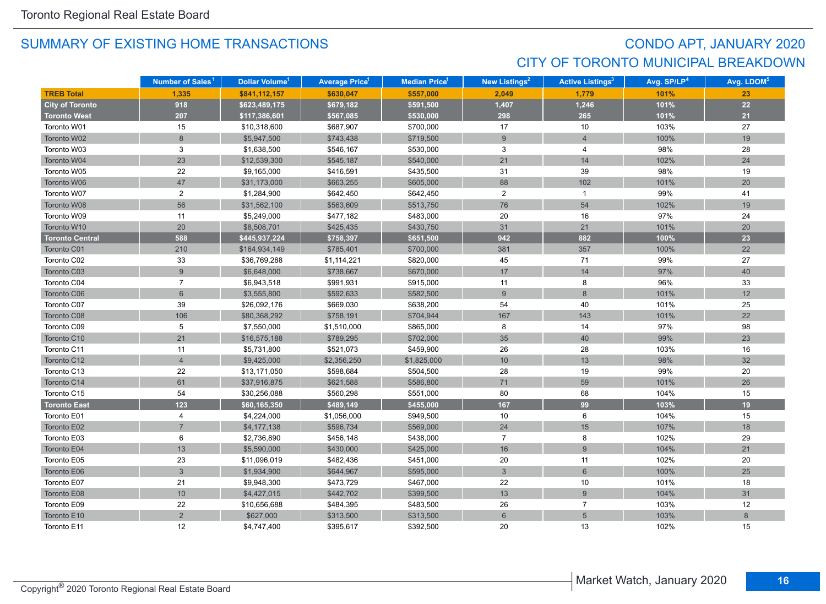# CONDO APT, JANUARY 2020 CITY OF TORONTO MUNICIPAL BREAKDOWN

|                        | Number of Sales <sup>1</sup> | Dollar Volume <sup>1</sup> | <b>Average Price</b> <sup>1</sup> | <b>Median Price<sup>1</sup></b> | New Listings <sup>2</sup> | <b>Active Listings<sup>3</sup></b> | Avg. SP/LP <sup>4</sup> | Avg. LDOM <sup>5</sup> |
|------------------------|------------------------------|----------------------------|-----------------------------------|---------------------------------|---------------------------|------------------------------------|-------------------------|------------------------|
| <b>TREB Total</b>      | 1.335                        | \$841,112,157              | \$630,047                         | \$557,000                       | 2.049                     | 1.779                              | 101%                    | 23                     |
| <b>City of Toronto</b> | 918                          | \$623,489,175              | \$679,182                         | \$591,500                       | 1,407                     | 1,246                              | 101%                    | 22                     |
| <b>Toronto West</b>    | 207                          | \$117,386,601              | \$567,085                         | \$530,000                       | 298                       | 265                                | 101%                    | 21                     |
| Toronto W01            | 15                           | \$10,318,600               | \$687,907                         | \$700,000                       | 17                        | 10                                 | 103%                    | 27                     |
| Toronto W02            | 8                            | \$5,947,500                | \$743,438                         | \$719,500                       | 9                         | $\overline{4}$                     | 100%                    | 19                     |
| Toronto W03            | 3                            | \$1,638,500                | \$546,167                         | \$530,000                       | 3                         | 4                                  | 98%                     | 28                     |
| Toronto W04            | 23                           | \$12,539,300               | \$545,187                         | \$540,000                       | 21                        | 14                                 | 102%                    | 24                     |
| Toronto W05            | 22                           | \$9,165,000                | \$416,591                         | \$435,500                       | 31                        | 39                                 | 98%                     | 19                     |
| Toronto W06            | 47                           | \$31,173,000               | \$663,255                         | \$605,000                       | 88                        | 102                                | 101%                    | 20                     |
| Toronto W07            | $\overline{2}$               | \$1,284,900                | \$642,450                         | \$642,450                       | $\overline{2}$            | $\mathbf{1}$                       | 99%                     | 41                     |
| Toronto W08            | 56                           | \$31,562,100               | \$563,609                         | \$513,750                       | 76                        | 54                                 | 102%                    | 19                     |
| Toronto W09            | 11                           | \$5,249,000                | \$477,182                         | \$483,000                       | 20                        | 16                                 | 97%                     | 24                     |
| Toronto W10            | 20                           | \$8,508,701                | \$425,435                         | \$430,750                       | 31                        | 21                                 | 101%                    | 20                     |
| <b>Toronto Central</b> | 588                          | \$445,937,224              | \$758,397                         | \$651,500                       | 942                       | 882                                | 100%                    | 23                     |
| Toronto C01            | 210                          | \$164,934,149              | \$785,401                         | \$700,000                       | 381                       | 357                                | 100%                    | 22                     |
| Toronto C02            | 33                           | \$36,769,288               | \$1,114,221                       | \$820,000                       | 45                        | 71                                 | 99%                     | 27                     |
| Toronto C03            | 9                            | \$6,648,000                | \$738,667                         | \$670,000                       | 17                        | 14                                 | 97%                     | 40                     |
| Toronto C04            | $\overline{7}$               | \$6,943,518                | \$991,931                         | \$915,000                       | 11                        | 8                                  | 96%                     | 33                     |
| Toronto C06            | 6                            | \$3,555,800                | \$592,633                         | \$582,500                       | 9                         | $\,8\,$                            | 101%                    | 12                     |
| Toronto C07            | 39                           | \$26,092,176               | \$669,030                         | \$638,200                       | 54                        | 40                                 | 101%                    | 25                     |
| Toronto C08            | 106                          | \$80,368,292               | \$758,191                         | \$704,944                       | 167                       | 143                                | 101%                    | 22                     |
| Toronto C09            | 5                            | \$7,550,000                | \$1,510,000                       | \$865,000                       | 8                         | 14                                 | 97%                     | 98                     |
| Toronto C10            | 21                           | \$16,575,188               | \$789,295                         | \$702,000                       | 35                        | 40                                 | 99%                     | 23                     |
| Toronto C11            | 11                           | \$5,731,800                | \$521,073                         | \$459,900                       | 26                        | 28                                 | 103%                    | 16                     |
| Toronto C12            | $\overline{4}$               | \$9,425,000                | \$2,356,250                       | \$1,825,000                     | 10                        | 13                                 | 98%                     | 32                     |
| Toronto C13            | 22                           | \$13,171,050               | \$598,684                         | \$504,500                       | 28                        | 19                                 | 99%                     | 20                     |
| Toronto C14            | 61                           | \$37,916,875               | \$621,588                         | \$586,800                       | 71                        | 59                                 | 101%                    | 26                     |
| Toronto C15            | 54                           | \$30,256,088               | \$560,298                         | \$551,000                       | 80                        | 68                                 | 104%                    | 15                     |
| <b>Toronto East</b>    | 123                          | \$60,165,350               | \$489,149                         | \$455,000                       | 167                       | 99                                 | 103%                    | 19                     |
| Toronto E01            | $\overline{4}$               | \$4,224,000                | \$1,056,000                       | \$949,500                       | 10                        | 6                                  | 104%                    | 15                     |
| Toronto E02            | $\overline{7}$               | \$4,177,138                | \$596,734                         | \$569,000                       | 24                        | 15                                 | 107%                    | 18                     |
| Toronto E03            | 6                            | \$2,736,890                | \$456,148                         | \$438,000                       | $\overline{7}$            | 8                                  | 102%                    | 29                     |
| Toronto E04            | 13                           | \$5,590,000                | \$430,000                         | \$425,000                       | 16                        | 9                                  | 104%                    | 21                     |
| Toronto E05            | 23                           | \$11,096,019               | \$482,436                         | \$451,000                       | 20                        | 11                                 | 102%                    | 20                     |
| Toronto E06            | $\overline{3}$               | \$1,934,900                | \$644,967                         | \$595,000                       | $\mathbf{3}$              | $6\phantom{1}$                     | 100%                    | 25                     |
| Toronto E07            | 21                           | \$9,948,300                | \$473,729                         | \$467,000                       | 22                        | $10$                               | 101%                    | 18                     |
| Toronto E08            | $10$                         | \$4,427,015                | \$442,702                         | \$399,500                       | 13                        | $\boldsymbol{9}$                   | 104%                    | 31                     |
| Toronto E09            | 22                           | \$10,656,688               | \$484,395                         | \$483,500                       | 26                        | $\overline{7}$                     | 103%                    | 12                     |
| Toronto E10            | $\overline{2}$               | \$627,000                  | \$313,500                         | \$313,500                       | $6\phantom{1}$            | 5                                  | 103%                    | 8                      |
| Toronto E11            | 12                           | \$4,747,400                | \$395,617                         | \$392,500                       | 20                        | 13                                 | 102%                    | 15                     |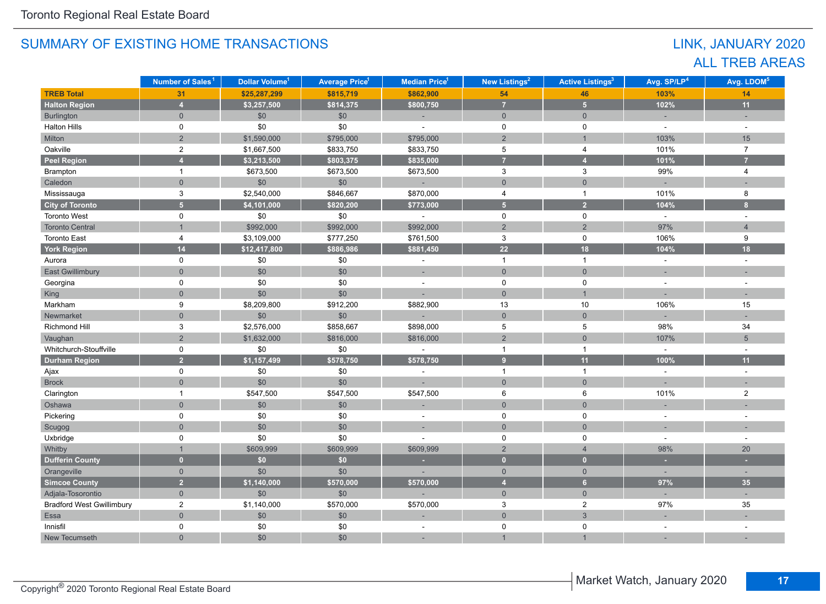# LINK, JANUARY 2020 ALL TREB AREAS

|                                  | Number of Sales <sup>1</sup> | Dollar Volume <sup>1</sup> | <b>Average Price<sup>1</sup></b> | Median Price <sup>1</sup> | <b>New Listings<sup>2</sup></b> | <b>Active Listings<sup>3</sup></b> | Avg. SP/LP <sup>4</sup> | Avg. LDOM <sup>5</sup>  |
|----------------------------------|------------------------------|----------------------------|----------------------------------|---------------------------|---------------------------------|------------------------------------|-------------------------|-------------------------|
| <b>TREB Total</b>                | 31                           | \$25,287,299               | \$815,719                        | \$862,900                 | 54                              | 46                                 | 103%                    | 14                      |
| <b>Halton Region</b>             | $\overline{4}$               | \$3,257,500                | \$814,375                        | \$800,750                 | $\overline{7}$                  | 5 <sup>1</sup>                     | 102%                    | 11                      |
| Burlington                       | $\overline{0}$               | \$0                        | \$0                              | $\sim$                    | $\overline{0}$                  | $\overline{0}$                     | ÷.                      |                         |
| <b>Halton Hills</b>              | $\mathbf 0$                  | \$0                        | $$0$$                            | $\sim$                    | $\mathsf 0$                     | $\mathbf 0$                        | $\sim$                  | $\sim$                  |
| Milton                           | $\overline{2}$               | \$1,590,000                | \$795,000                        | \$795,000                 | $\overline{2}$                  | $\mathbf{1}$                       | 103%                    | 15                      |
| Oakville                         | $\boldsymbol{2}$             | \$1,667,500                | \$833,750                        | \$833,750                 | $\,$ 5 $\,$                     | $\overline{4}$                     | 101%                    | $\overline{7}$          |
| <b>Peel Region</b>               | $\overline{4}$               | \$3,213,500                | \$803,375                        | \$835,000                 | $\overline{7}$                  | $\overline{4}$                     | 101%                    | $\overline{7}$          |
| Brampton                         | $\mathbf{1}$                 | \$673,500                  | \$673,500                        | \$673,500                 | 3                               | $\mathbf{3}$                       | 99%                     | 4                       |
| Caledon                          | $\overline{0}$               | \$0                        | \$0                              | $\sim$                    | $\mathsf{O}\xspace$             | $\overline{0}$                     | $\equiv$                |                         |
| Mississauga                      | $\ensuremath{\mathsf{3}}$    | \$2,540,000                | \$846,667                        | \$870,000                 | $\overline{4}$                  | $\mathbf{1}$                       | 101%                    | 8                       |
| <b>City of Toronto</b>           | $\overline{5}$               | \$4,101,000                | \$820,200                        | \$773,000                 | $\overline{5}$                  | $\overline{2}$                     | 104%                    | $\overline{\mathbf{8}}$ |
| <b>Toronto West</b>              | $\Omega$                     | \$0                        | $$0$$                            |                           | 0                               | $\mathbf 0$                        | $\sim$                  | $\overline{a}$          |
| <b>Toronto Central</b>           | $\mathbf{1}$                 | \$992,000                  | \$992,000                        | \$992,000                 | $\overline{2}$                  | $\overline{2}$                     | 97%                     | $\overline{4}$          |
| <b>Toronto East</b>              | 4                            | \$3,109,000                | \$777,250                        | \$761,500                 | 3                               | $\mathbf 0$                        | 106%                    | 9                       |
| York Region                      | 14                           | \$12,417,800               | \$886,986                        | \$881,450                 | $\overline{22}$                 | 18                                 | 104%                    | 18                      |
| Aurora                           | $\mathbf 0$                  | \$0                        | \$0                              |                           | $\mathbf{1}$                    | $\mathbf{1}$                       | $\overline{a}$          |                         |
| <b>East Gwillimbury</b>          | $\overline{0}$               | \$0                        | \$0                              | ÷.                        | $\mathbf{0}$                    | $\mathbf{0}$                       |                         |                         |
| Georgina                         | 0                            | \$0                        | \$0                              | $\blacksquare$            | 0                               | 0                                  | ÷,                      |                         |
| King                             | $\overline{0}$               | \$0                        | \$0                              |                           | $\overline{0}$                  | $\mathbf{1}$                       |                         |                         |
| Markham                          | 9                            | \$8,209,800                | \$912,200                        | \$882,900                 | 13                              | 10                                 | 106%                    | 15                      |
| Newmarket                        | $\mathbf 0$                  | \$0                        | \$0                              |                           | $\mathbf 0$                     | $\overline{0}$                     | ÷,                      |                         |
| Richmond Hill                    | $\mathbf{3}$                 | \$2,576,000                | \$858,667                        | \$898,000                 | $\,$ 5 $\,$                     | $\overline{5}$                     | 98%                     | 34                      |
| Vaughan                          | $\overline{2}$               | \$1,632,000                | \$816,000                        | \$816,000                 | $\sqrt{2}$                      | $\overline{0}$                     | 107%                    | $5\overline{)}$         |
| Whitchurch-Stouffville           | 0                            | \$0                        | \$0                              | $\blacksquare$            | $\mathbf{1}$                    | $\mathbf{1}$                       | $\sim$                  |                         |
| <b>Durham Region</b>             | $\overline{2}$               | \$1,157,499                | \$578,750                        | \$578,750                 | 9 <sup>°</sup>                  | 11                                 | 100%                    | 11                      |
| Ajax                             | 0                            | \$0                        | \$0                              | ÷.                        | $\mathbf{1}$                    | $\mathbf{1}$                       | $\omega$                | $\sim$                  |
| <b>Brock</b>                     | $\mathbf 0$                  | \$0                        | \$0                              |                           | $\mathbf{0}$                    | $\mathbf{0}$                       | u,                      |                         |
| Clarington                       | $\mathbf{1}$                 | \$547,500                  | \$547,500                        | \$547,500                 | 6                               | 6                                  | 101%                    | $\overline{2}$          |
| Oshawa                           | $\mathbf 0$                  | \$0                        | \$0                              |                           | $\mathbf{0}$                    | $\overline{0}$                     | ÷,                      |                         |
| Pickering                        | 0                            | \$0                        | \$0                              | $\blacksquare$            | 0                               | $\mathbf 0$                        | $\sim$                  | $\overline{a}$          |
| Scugog                           | $\overline{0}$               | \$0                        | \$0                              |                           | $\mathbf 0$                     | $\overline{0}$                     |                         |                         |
| Uxbridge                         | $\mathbf 0$                  | \$0                        | \$0                              |                           | 0                               | $\mathbf 0$                        | ÷,                      | ÷,                      |
| Whitby                           | $\mathbf{1}$                 | \$609,999                  | \$609,999                        | \$609,999                 | $\overline{2}$                  | $\overline{4}$                     | 98%                     | 20                      |
| <b>Dufferin County</b>           | $\overline{0}$               | \$0                        | \$0\$                            |                           | $\overline{0}$                  | $\mathbf{0}$                       | ٠                       |                         |
| Orangeville                      | $\mathbf{0}$                 | \$0                        | \$0                              |                           | $\overline{0}$                  | $\mathbf{0}$                       | $\sim$                  | $\sim$                  |
| <b>Simcoe County</b>             | $\overline{2}$               | \$1,140,000                | \$570,000                        | \$570,000                 | $\overline{4}$                  | 6                                  | 97%                     | 35                      |
| Adjala-Tosorontio                | $\mathbf 0$                  | \$0                        | \$0                              |                           | $\overline{0}$                  | $\overline{0}$                     | $\sim$                  | ÷.                      |
| <b>Bradford West Gwillimbury</b> | $\overline{2}$               | \$1,140,000                | \$570,000                        | \$570,000                 | 3                               | $\overline{2}$                     | 97%                     | 35                      |
| Essa                             | $\mathbf 0$                  | \$0                        | \$0                              |                           | $\mathbf 0$                     | $\mathbf{3}$                       |                         |                         |
| Innisfil                         | $\mathbf 0$                  | \$0                        | \$0                              | $\sim$                    | $\mathbf 0$                     | $\mathbf 0$                        | $\sim$                  |                         |
| New Tecumseth                    | $\overline{0}$               | \$0                        | \$0                              |                           |                                 | $\overline{1}$                     |                         |                         |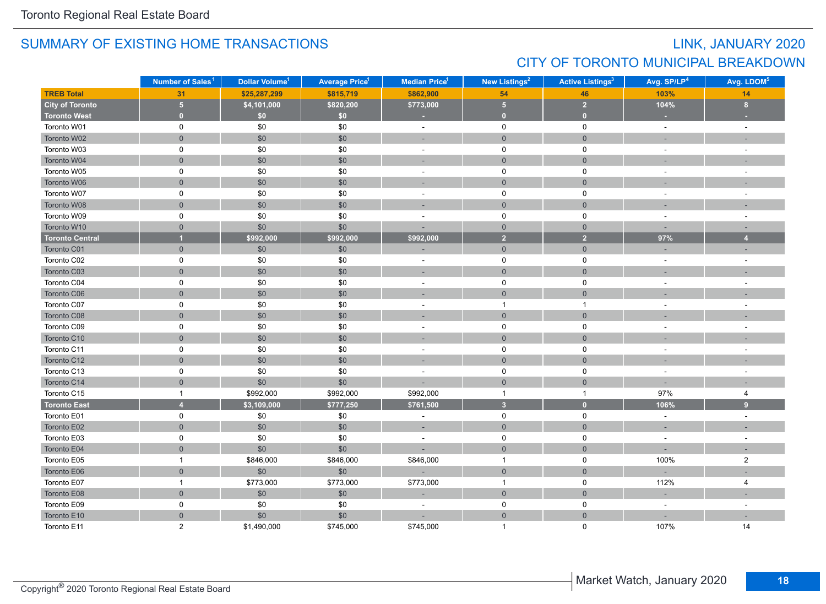# LINK, JANUARY 2020 CITY OF TORONTO MUNICIPAL BREAKDOWN

|                        | Number of Sales <sup>1</sup> | Dollar Volume <sup>1</sup> | <b>Average Price<sup>1</sup></b> | Median Price <sup>1</sup> | New Listings <sup>2</sup> | <b>Active Listings<sup>3</sup></b> | Avg. SP/LP <sup>4</sup> | Avg. LDOM <sup>5</sup> |
|------------------------|------------------------------|----------------------------|----------------------------------|---------------------------|---------------------------|------------------------------------|-------------------------|------------------------|
| <b>TREB Total</b>      | 31                           | \$25,287,299               | \$815,719                        | \$862,900                 | 54                        | 46                                 | 103%                    | 14                     |
| <b>City of Toronto</b> | 5 <sub>5</sub>               | \$4,101,000                | \$820,200                        | \$773,000                 | 5 <sub>5</sub>            | 2 <sup>1</sup>                     | 104%                    | 8 <sup>2</sup>         |
| <b>Toronto West</b>    | $\overline{0}$               | \$0                        | \$0                              | ×.                        | $\overline{0}$            | $\overline{0}$                     |                         |                        |
| Toronto W01            | 0                            | \$0                        | \$0                              | $\sim$                    | $\mathsf 0$               | $\mathbf 0$                        | $\sim$                  | $\sim$                 |
| Toronto W02            | $\mathsf{O}\xspace$          | \$0                        | \$0                              | ÷                         | $\mathsf{O}\xspace$       | $\mathsf{O}\xspace$                |                         |                        |
| Toronto W03            | $\mathbf 0$                  | $$0$$                      | \$0                              | $\sim$                    | $\mathbf 0$               | $\mathbf 0$                        | $\sim$                  | $\sim$                 |
| Toronto W04            | $\overline{0}$               | $\$0$                      | \$0                              | ÷                         | $\mathbf 0$               | $\overline{0}$                     |                         |                        |
| Toronto W05            | 0                            | \$0                        | \$0                              | $\sim$                    | $\mathsf{O}$              | $\mathbf 0$                        |                         |                        |
| Toronto W06            | $\overline{0}$               | \$0                        | \$0                              | ÷.                        | $\mathbf{0}$              | $\overline{0}$                     |                         |                        |
| Toronto W07            | $\mathbf 0$                  | \$0                        | \$0                              | ä,                        | $\mathbf 0$               | $\mathbf 0$                        |                         |                        |
| Toronto W08            | $\overline{0}$               | \$0                        | \$0                              |                           | $\overline{0}$            | $\overline{0}$                     |                         |                        |
| Toronto W09            | 0                            | \$0                        | \$0                              | $\blacksquare$            | $\mathbf 0$               | $\mathbf 0$                        |                         |                        |
| Toronto W10            | $\overline{0}$               | \$0                        | \$0                              |                           | $\overline{0}$            | $\overline{0}$                     | $\sim$                  | $\sim$                 |
| <b>Toronto Central</b> | $\overline{1}$               | \$992,000                  | \$992,000                        | \$992,000                 | $\overline{2}$            | $\overline{2}$                     | 97%                     | $\overline{4}$         |
| Toronto C01            | $\overline{0}$               | \$0                        | \$0                              |                           | $\overline{0}$            | $\overline{0}$                     |                         |                        |
| Toronto C02            | 0                            | \$0                        | \$0                              | $\sim$                    | $\mathsf{O}$              | $\mathbf 0$                        | $\sim$                  |                        |
| Toronto C03            | $\overline{0}$               | \$0                        | \$0                              | ÷                         | $\mathbf{0}$              | $\overline{0}$                     |                         |                        |
| Toronto C04            | 0                            | \$0                        | \$0                              | $\overline{\phantom{a}}$  | 0                         | 0                                  |                         |                        |
| Toronto C06            | $\overline{0}$               | \$0                        | \$0                              | ×.                        | $\mathbf 0$               | $\mathbf{0}$                       |                         |                        |
| Toronto C07            | $\mathbf 0$                  | \$0                        | \$0                              | $\sim$                    | $\overline{1}$            | $\mathbf{1}$                       |                         |                        |
| Toronto C08            | $\mathsf{O}\xspace$          | \$0                        | \$0                              | ÷.                        | $\mathbf 0$               | $\mathbf{0}$                       |                         |                        |
| Toronto C09            | $\mathbf 0$                  | \$0                        | \$0                              | $\blacksquare$            | 0                         | $\mathbf 0$                        | $\sim$                  | $\sim$                 |
| Toronto C10            | $\overline{0}$               | \$0                        | \$0                              |                           | $\mathbf 0$               | $\mathsf{O}\xspace$                |                         |                        |
| Toronto C11            | $\mathbf 0$                  | $\$0$                      | \$0                              | $\sim$                    | $\mathsf{O}\xspace$       | $\mathsf 0$                        |                         |                        |
| Toronto C12            | $\mathbf{0}$                 | \$0                        | \$0                              | $\sim$                    | $\mathbf 0$               | $\mathbf{0}$                       |                         |                        |
| Toronto C13            | 0                            | \$0                        | \$0                              | $\bar{a}$                 | $\mathbf 0$               | $\mathbf 0$                        |                         |                        |
| Toronto C14            | $\mathbf{0}$                 | \$0                        | \$0                              |                           | $\mathbf 0$               | $\mathbf{0}$                       |                         |                        |
| Toronto C15            | $\mathbf{1}$                 | \$992,000                  | \$992,000                        | \$992,000                 | $\overline{1}$            | $\mathbf{1}$                       | 97%                     | 4                      |
| <b>Toronto East</b>    | $\overline{4}$               | \$3,109,000                | \$777,250                        | \$761,500                 | $\overline{\mathbf{3}}$   | $\bullet$                          | 106%                    | 9                      |
| Toronto E01            | $\mathbf 0$                  | $\$0$                      | \$0                              | $\blacksquare$            | $\mathbf 0$               | $\mathbf 0$                        | $\sim$                  | $\sim$                 |
| Toronto E02            | $\mathbf{0}$                 | \$0                        | \$0                              | $\overline{\phantom{a}}$  | $\mathbf 0$               | $\mathsf{O}\xspace$                |                         |                        |
| Toronto E03            | 0                            | \$0                        | \$0                              | ÷,                        | 0                         | $\mathbf 0$                        | $\sim$                  |                        |
| Toronto E04            | $\overline{0}$               | \$0                        | \$0                              | ÷,                        | $\mathbf{0}$              | $\overline{0}$                     |                         |                        |
| Toronto E05            | $\mathbf{1}$                 | \$846,000                  | \$846,000                        | \$846,000                 | $\overline{1}$            | 0                                  | 100%                    | $\overline{2}$         |
| Toronto E06            | $\mathbf{0}$                 | \$0                        | \$0                              |                           | $\mathsf{O}\xspace$       | $\mathsf{O}\xspace$                |                         |                        |
| Toronto E07            | $\mathbf{1}$                 | \$773,000                  | \$773,000                        | \$773,000                 | $\overline{1}$            | $\mathbf 0$                        | 112%                    | 4                      |
| Toronto E08            | $\mathsf{O}\xspace$          | \$0                        | \$0                              |                           | $\mathsf{O}\xspace$       | $\mathsf{O}\xspace$                | ÷                       |                        |
| Toronto E09            | $\mathbf 0$                  | \$0                        | \$0                              | $\sim$                    | 0                         | $\mathbf 0$                        | $\sim$                  | $\sim$                 |
| Toronto E10            | $\overline{0}$               | \$0                        | \$0                              |                           | $\mathbf{0}$              | $\overline{0}$                     |                         |                        |
| Toronto E11            | $\overline{2}$               | \$1,490,000                | \$745,000                        | \$745,000                 | 1                         | $\Omega$                           | 107%                    | 14                     |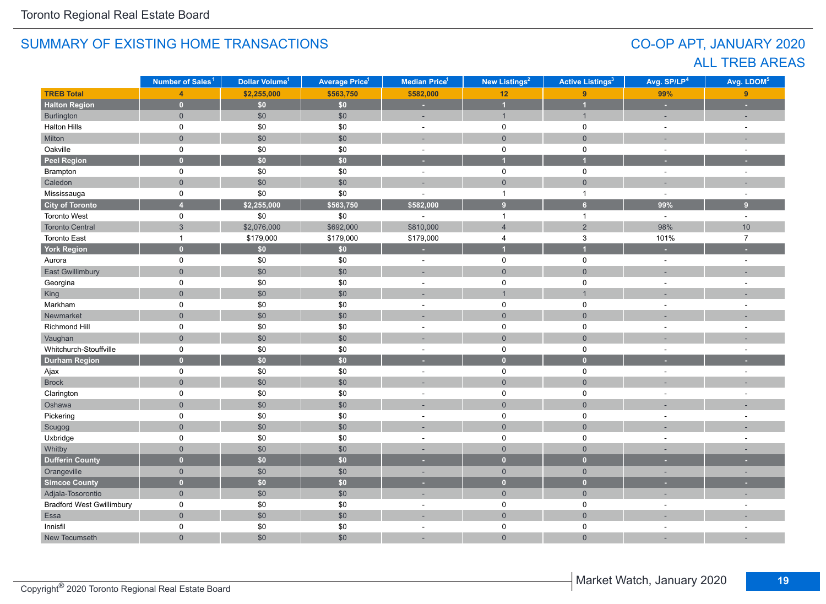# CO-OP APT, JANUARY 2020 ALL TREB AREAS

|                                  | Number of Sales <sup>1</sup> | Dollar Volume <sup>1</sup> | <b>Average Price</b> <sup>1</sup> | Median Price <sup>1</sup> | New Listings <sup>2</sup> | <b>Active Listings<sup>3</sup></b> | Avg. SP/LP <sup>4</sup> | Avg. LDOM <sup>5</sup>   |
|----------------------------------|------------------------------|----------------------------|-----------------------------------|---------------------------|---------------------------|------------------------------------|-------------------------|--------------------------|
| <b>TREB Total</b>                | $\overline{4}$               | \$2,255,000                | \$563,750                         | \$582,000                 | 12                        | 9                                  | 99%                     | 9                        |
| <b>Halton Region</b>             | $\mathbf{0}$                 | \$0\$                      | \$0                               | ×                         | $\overline{1}$            | $\overline{1}$                     | ÷                       | ×                        |
| Burlington                       | $\overline{0}$               | \$0                        | \$0                               |                           | $\mathbf{1}$              | $\overline{1}$                     | ÷,                      |                          |
| <b>Halton Hills</b>              | 0                            | $\$0$                      | \$0                               | $\sim$                    | $\mathsf 0$               | $\mathsf 0$                        | $\sim$                  | $\sim$                   |
| Milton                           | $\overline{0}$               | \$0                        | \$0                               | ÷.                        | $\mathbf 0$               | $\overline{0}$                     | ÷                       |                          |
| Oakville                         | $\mathbf 0$                  | \$0                        | \$0                               | $\sim$                    | $\mathsf 0$               | $\mathsf 0$                        | $\sim$                  | $\sim$                   |
| <b>Peel Region</b>               | $\mathbf{0}$                 | \$0                        | $\overline{\$0}$                  | ×.                        | и                         | $\overline{1}$                     | ٠                       |                          |
| Brampton                         | $\mathbf 0$                  | \$0                        | \$0                               | $\sim$                    | $\mathsf 0$               | $\mathsf 0$                        | $\sim$                  | $\sim$                   |
| Caledon                          | $\overline{0}$               | \$0                        | \$0                               | ÷.                        | $\mathbf 0$               | $\overline{0}$                     | ÷,                      |                          |
| Mississauga                      | 0                            | \$0                        | \$0                               | ÷.                        | $\mathbf{1}$              | $\overline{1}$                     | $\overline{a}$          | $\sim$                   |
| <b>City of Toronto</b>           | $\overline{4}$               | \$2,255,000                | \$563,750                         | \$582,000                 | 9 <sup>°</sup>            | 6 <sup>1</sup>                     | 99%                     | 9 <sup>°</sup>           |
| Toronto West                     | 0                            | \$0                        | \$0                               |                           | $\mathbf{1}$              | $\mathbf{1}$                       | $\omega$                | $\sim$                   |
| <b>Toronto Central</b>           | $\mathfrak{S}$               | \$2,076,000                | \$692,000                         | \$810,000                 | $\overline{4}$            | $\overline{2}$                     | 98%                     | $10$                     |
| <b>Toronto East</b>              | $\mathbf{1}$                 | \$179,000                  | \$179,000                         | \$179,000                 | 4                         | $\mathbf{3}$                       | 101%                    | $\overline{7}$           |
| <b>York Region</b>               | $\overline{0}$               | \$0                        | \$0                               | $\sim$                    | $\overline{1}$            | $\overline{1}$                     | ٠                       |                          |
| Aurora                           | $\mathbf 0$                  | \$0                        | \$0                               | $\blacksquare$            | $\mathsf 0$               | $\mathsf 0$                        | $\sim$                  | $\sim$                   |
| <b>East Gwillimbury</b>          | $\overline{0}$               | \$0                        | \$0                               | ٠                         | $\mathbf 0$               | $\mathbf{0}$                       | ÷,                      |                          |
| Georgina                         | 0                            | \$0                        | \$0                               | $\overline{a}$            | 0                         | 0                                  | $\overline{a}$          | $\sim$                   |
| King                             | $\overline{0}$               | \$0                        | \$0                               |                           | $\overline{1}$            | $\overline{1}$                     |                         |                          |
| Markham                          | 0                            | \$0                        | \$0                               |                           | 0                         | $\pmb{0}$                          |                         |                          |
| Newmarket                        | $\overline{0}$               | \$0                        | \$0                               |                           | $\overline{0}$            | $\overline{0}$                     |                         |                          |
| Richmond Hill                    | 0                            | $\$0$                      | \$0                               | ÷,                        | 0                         | 0                                  | ä,                      | ÷,                       |
| Vaughan                          | $\overline{0}$               | \$0                        | \$0                               |                           | $\mathbf 0$               | $\mathbf{0}$                       |                         |                          |
| Whitchurch-Stouffville           | $\mathbf 0$                  | \$0                        | \$0                               | $\sim$                    | $\mathsf 0$               | $\mathsf 0$                        |                         |                          |
| <b>Durham Region</b>             | $\overline{0}$               | \$0                        | \$0                               |                           | $\mathbf{0}$              | $\mathbf{0}$                       |                         |                          |
| Ajax                             | 0                            | \$0                        | \$0                               | $\sim$                    | $\mathbf 0$               | $\mathsf{O}$                       | $\overline{a}$          | $\sim$                   |
| <b>Brock</b>                     | $\overline{0}$               | \$0                        | \$0                               |                           | $\mathbf 0$               | $\mathbf 0$                        |                         |                          |
| Clarington                       | $\mathbf 0$                  | $\$0$                      | \$0                               | $\sim$                    | $\mathsf 0$               | $\mathsf 0$                        | ÷,                      | $\overline{a}$           |
| Oshawa                           | $\mathbf{0}$                 | \$0                        | \$0                               |                           | $\mathbf 0$               | $\overline{0}$                     |                         |                          |
| Pickering                        | $\mathbf 0$                  | \$0                        | \$0                               | $\sim$                    | $\mathsf 0$               | $\mathsf 0$                        | $\overline{a}$          | $\overline{a}$           |
| Scugog                           | $\overline{0}$               | \$0                        | \$0                               | ÷.                        | $\mathbf{0}$              | $\overline{0}$                     | ÷                       |                          |
| Uxbridge                         | $\mathbf 0$                  | $\$0$                      | \$0                               | $\sim$                    | 0                         | $\mathbf 0$                        | $\sim$                  | $\sim$                   |
| Whitby                           | $\overline{0}$               | \$0                        | \$0                               |                           | $\mathbf{0}$              | $\overline{0}$                     |                         |                          |
| <b>Dufferin County</b>           | $\overline{0}$               | \$0                        | \$0                               | н                         | $\mathbf{0}$              | $\bullet$                          |                         |                          |
| Orangeville                      | $\overline{0}$               | \$0                        | \$0                               | ٠                         | $\mathbf 0$               | $\overline{0}$                     | ٠                       | $\overline{\phantom{a}}$ |
| <b>Simcoe County</b>             | $\overline{0}$               | \$0                        | \$0                               | ٠                         | $\bullet$                 | $\mathbf{0}$                       |                         |                          |
| Adjala-Tosorontio                | $\overline{0}$               | \$0                        | \$0                               | $\sim$                    | $\mathsf{O}\xspace$       | $\overline{0}$                     | ÷,                      | $\overline{\phantom{a}}$ |
| <b>Bradford West Gwillimbury</b> | $\mathbf 0$                  | \$0                        | \$0                               | $\sim$                    | $\mathsf 0$               | $\mathsf 0$                        | ÷,                      |                          |
| Essa                             | $\mathbf{0}$                 | \$0                        | \$0                               | ٠                         | $\mathbf 0$               | $\mathbf 0$                        |                         |                          |
| Innisfil                         | $\mathbf 0$                  | \$0                        | \$0                               | ÷.                        | 0                         | $\mathbf 0$                        | $\overline{a}$          | $\sim$                   |
| New Tecumseth                    | $\overline{0}$               | \$0                        | \$0                               | ÷,                        | $\overline{0}$            | $\overline{0}$                     |                         |                          |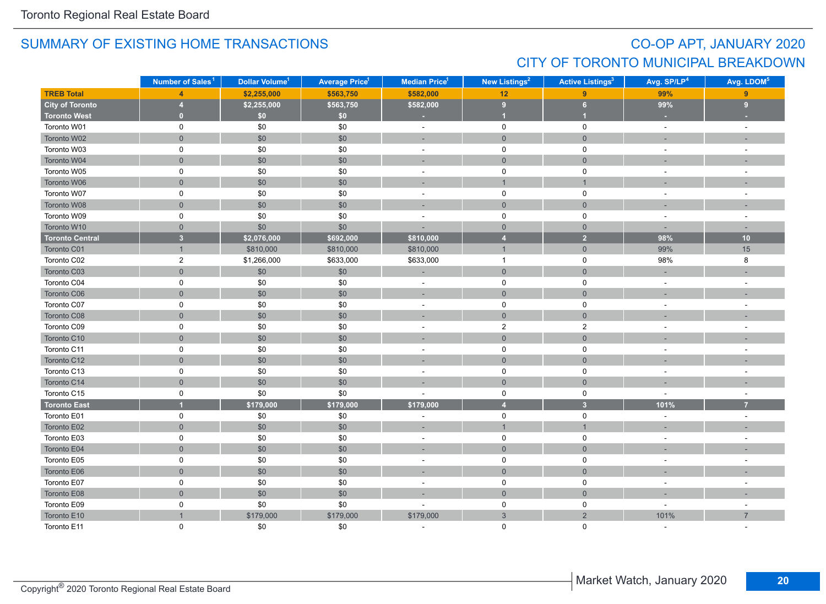# CO-OP APT, JANUARY 2020 CITY OF TORONTO MUNICIPAL BREAKDOWN

|                        | Number of Sales <sup>1</sup> | Dollar Volume <sup>1</sup> | <b>Average Price<sup>1</sup></b> | Median Price <sup>1</sup> | New Listings <sup>2</sup> | <b>Active Listings<sup>3</sup></b> | Avg. SP/LP <sup>4</sup>  | Avg. LDOM <sup>5</sup>   |
|------------------------|------------------------------|----------------------------|----------------------------------|---------------------------|---------------------------|------------------------------------|--------------------------|--------------------------|
| <b>TREB Total</b>      | $\overline{4}$               | \$2,255,000                | \$563,750                        | \$582,000                 | 12                        | 9                                  | 99%                      | 9                        |
| <b>City of Toronto</b> | $\overline{4}$               | \$2,255,000                | \$563,750                        | \$582,000                 | 9                         | 6 <sup>1</sup>                     | 99%                      | 9                        |
| <b>Toronto West</b>    | $\overline{0}$               | \$0                        | \$0                              | ٠                         | и                         | и                                  |                          |                          |
| Toronto W01            | 0                            | \$0                        | \$0                              | $\sim$                    | $\mathsf 0$               | $\mathbf 0$                        | $\sim$                   | $\overline{a}$           |
| Toronto W02            | $\mathsf{O}\xspace$          | \$0                        | \$0                              | ÷                         | $\mathsf{O}\xspace$       | $\mathbf 0$                        |                          |                          |
| Toronto W03            | $\mathbf 0$                  | \$0                        | \$0                              | $\blacksquare$            | $\mathbf 0$               | $\mathbf 0$                        | $\sim$                   | $\sim$                   |
| Toronto W04            | $\mathbf{0}$                 | \$0                        | \$0                              | ÷,                        | $\mathbf 0$               | $\overline{0}$                     |                          |                          |
| Toronto W05            | 0                            | \$0                        | \$0                              | $\sim$                    | $\mathsf 0$               | $\mathbf 0$                        |                          |                          |
| Toronto W06            | $\mathbf 0$                  | \$0                        | \$0                              | ÷                         | $\mathbf{1}$              | $\overline{1}$                     |                          |                          |
| Toronto W07            | 0                            | \$0                        | \$0                              | $\sim$                    | 0                         | 0                                  |                          |                          |
| Toronto W08            | $\mathbf 0$                  | \$0                        | \$0                              | Ē.                        | $\mathbf{0}$              | $\overline{0}$                     |                          |                          |
| Toronto W09            | $\mathsf 0$                  | \$0                        | \$0                              | $\overline{\phantom{a}}$  | $\mathsf 0$               | $\mathbf 0$                        | $\sim$                   | $\overline{\phantom{a}}$ |
| Toronto W10            | $\mathbf 0$                  | \$0                        | \$0                              |                           | $\overline{0}$            | $\overline{0}$                     | $\sim$                   | $\sim$                   |
| <b>Toronto Central</b> | $\overline{\mathbf{3}}$      | \$2,076,000                | \$692,000                        | \$810,000                 | $\overline{4}$            | $\overline{2}$                     | 98%                      | 10                       |
| Toronto C01            | $\mathbf{1}$                 | \$810,000                  | \$810,000                        | \$810,000                 | $\mathbf{1}$              | $\mathsf{O}\xspace$                | 99%                      | 15                       |
| Toronto C02            | $\boldsymbol{2}$             | \$1,266,000                | \$633,000                        | \$633,000                 | $\overline{1}$            | $\mathsf 0$                        | 98%                      | 8                        |
| Toronto C03            | $\mathbf 0$                  | \$0                        | \$0                              |                           | $\mathsf{O}\xspace$       | $\overline{0}$                     |                          |                          |
| Toronto C04            | 0                            | \$0                        | \$0                              | $\blacksquare$            | $\mathbf 0$               | 0                                  | $\blacksquare$           | $\sim$                   |
| Toronto C06            | $\mathbf 0$                  | \$0                        | \$0                              | ц.                        | $\mathbf{0}$              | $\mathbf 0$                        |                          |                          |
| Toronto C07            | 0                            | $\$0$                      | \$0                              | $\sim$                    | $\mathsf 0$               | $\mathbf 0$                        | $\sim$                   |                          |
| Toronto C08            | $\overline{0}$               | \$0                        | \$0                              | ÷.                        | $\mathbf{0}$              | $\overline{0}$                     |                          |                          |
| Toronto C09            | $\mathbf 0$                  | \$0                        | \$0                              | $\blacksquare$            | $\overline{2}$            | $\overline{2}$                     | $\sim$                   | $\sim$                   |
| Toronto C10            | $\mathbf{0}$                 | \$0                        | \$0                              | ٠                         | $\mathbf 0$               | $\mathsf{O}\xspace$                |                          |                          |
| Toronto C11            | 0                            | \$0                        | \$0                              | $\sim$                    | $\mathbf 0$               | $\mathbf 0$                        |                          |                          |
| Toronto C12            | $\overline{0}$               | \$0                        | \$0                              | ÷,                        | $\mathbf{0}$              | $\overline{0}$                     |                          |                          |
| Toronto C13            | 0                            | $\$0$                      | \$0                              | $\overline{\phantom{a}}$  | 0                         | $\mathbf 0$                        |                          |                          |
| Toronto C14            | $\mathbf 0$                  | \$0                        | \$0                              |                           | $\mathbf{0}$              | $\mathbf 0$                        |                          |                          |
| Toronto C15            | 0                            | \$0                        | \$0                              | ٠                         | $\mathsf 0$               | $\mathbf 0$                        | $\overline{\phantom{a}}$ | $\sim$                   |
| <b>Toronto East</b>    |                              | \$179,000                  | \$179,000                        | \$179,000                 | $\overline{4}$            | $\overline{\mathbf{3}}$            | 101%                     | $\overline{7}$           |
| Toronto E01            | $\mathsf 0$                  | $$0$$                      | \$0                              | ٠                         | $\mathsf{O}$              | $\mathsf 0$                        | $\sim$                   | $\sim$                   |
| Toronto E02            | $\mathsf{O}\xspace$          | \$0                        | \$0                              | ÷,                        | $\overline{1}$            | $\mathbf{1}$                       |                          |                          |
| Toronto E03            | $\mathsf 0$                  | \$0                        | \$0                              | ä,                        | $\mathsf 0$               | $\mathbf 0$                        |                          |                          |
| Toronto E04            | $\overline{0}$               | \$0                        | \$0                              | ÷,                        | $\mathbf{0}$              | $\overline{0}$                     |                          |                          |
| Toronto E05            | 0                            | $$0$$                      | \$0                              | $\overline{\phantom{a}}$  | $\mathsf 0$               | $\mathbf 0$                        |                          |                          |
| Toronto E06            | $\mathsf{O}\xspace$          | \$0                        | \$0                              | ÷,                        | $\mathsf{O}\xspace$       | $\mathsf{O}\xspace$                |                          |                          |
| Toronto E07            | $\mathsf 0$                  | $\$0$                      | \$0                              | $\overline{\phantom{a}}$  | $\mathsf 0$               | $\mathsf 0$                        | $\sim$                   |                          |
| Toronto E08            | $\mathsf{O}\xspace$          | $\$0$                      | \$0                              | ٠                         | $\mathbf 0$               | $\mathsf{O}\xspace$                |                          |                          |
| Toronto E09            | 0                            | \$0                        | \$0                              |                           | $\mathsf 0$               | $\mathbf 0$                        |                          |                          |
| Toronto E10            |                              | \$179,000                  | \$179,000                        | \$179,000                 | 3                         | $\overline{2}$                     | 101%                     | $\overline{7}$           |
| Toronto E11            | $\Omega$                     | \$0                        | \$0                              |                           | $\Omega$                  | $\Omega$                           |                          |                          |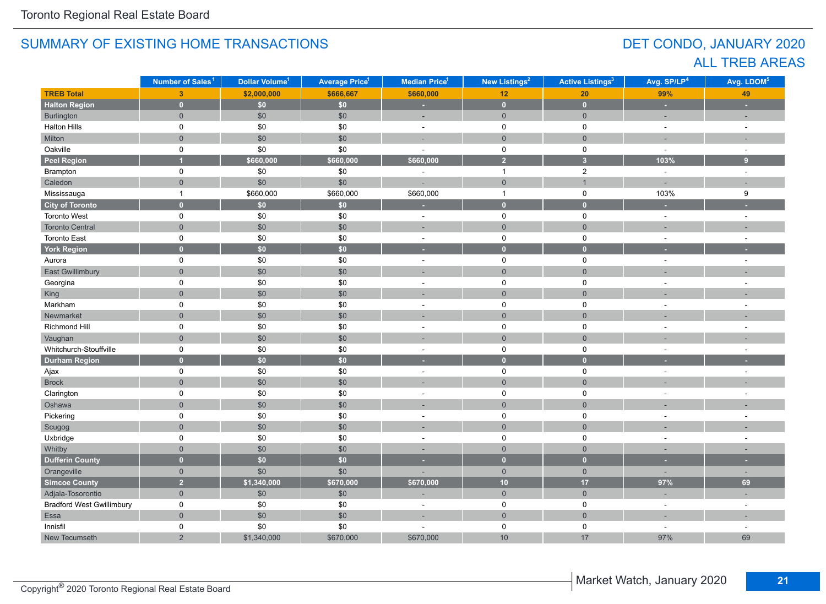# DET CONDO, JANUARY 2020 ALL TREB AREAS

|                                  | Number of Sales <sup>1</sup> | Dollar Volume <sup>1</sup> | <b>Average Price<sup>1</sup></b> | <b>Median Price<sup>1</sup></b> | <b>New Listings<sup>2</sup></b> | <b>Active Listings<sup>3</sup></b> | Avg. SP/LP <sup>4</sup>  | Avg. LDOM <sup>5</sup> |
|----------------------------------|------------------------------|----------------------------|----------------------------------|---------------------------------|---------------------------------|------------------------------------|--------------------------|------------------------|
| <b>TREB Total</b>                | $\overline{3}$               | \$2,000,000                | \$666,667                        | \$660,000                       | 12                              | 20                                 | 99%                      | 49                     |
| <b>Halton Region</b>             | $\mathbf{0}$                 | \$0\$                      | \$0                              | ×                               | $\bullet$                       | $\mathbf 0$                        | ×                        | ×                      |
| Burlington                       | $\overline{0}$               | \$0                        | \$0                              | ÷.                              | $\mathbf 0$                     | $\mathbf 0$                        | $\overline{\phantom{a}}$ | ÷                      |
| <b>Halton Hills</b>              | $\mathsf 0$                  | \$0                        | \$0                              | $\sim$                          | $\mathbf 0$                     | $\pmb{0}$                          | $\sim$                   | $\overline{a}$         |
| Milton                           | $\mathbf{0}$                 | \$0                        | \$0                              | ۰                               | $\mathbf{0}$                    | $\mathbf 0$                        | ÷.                       |                        |
| Oakville                         | $\mathsf 0$                  | \$0                        | \$0                              | $\ddot{\phantom{1}}$            | $\mathbf 0$                     | $\pmb{0}$                          | $\sim$                   | $\ddot{\phantom{1}}$   |
| <b>Peel Region</b>               |                              | \$660,000                  | \$660,000                        | \$660,000                       | $\overline{2}$                  | $\overline{3}$                     | 103%                     | 9                      |
| Brampton                         | 0                            | \$0                        | \$0                              | ÷,                              | $\mathbf{1}$                    | $\overline{2}$                     | $\omega$                 | $\sim$                 |
| Caledon                          | $\mathbf 0$                  | \$0                        | \$0                              |                                 | $\mathsf{O}\xspace$             | $\overline{1}$                     | L,                       |                        |
| Mississauga                      | $\mathbf{1}$                 | \$660,000                  | \$660,000                        | \$660,000                       | $\mathbf{1}$                    | $\mathbf 0$                        | 103%                     | 9                      |
| <b>City of Toronto</b>           | $\overline{0}$               | \$0\$                      | \$0                              |                                 | $\mathbf{0}$                    | $\mathbf{0}$                       |                          |                        |
| <b>Toronto West</b>              | $\mathbf 0$                  | \$0                        | \$0                              | ÷,                              | $\mathbf 0$                     | $\mathbf 0$                        | $\sim$                   | $\sim$                 |
| <b>Toronto Central</b>           | $\mathbf 0$                  | \$0                        | \$0                              | ÷                               | $\mathsf{O}\xspace$             | $\mathbf 0$                        | ٠                        |                        |
| <b>Toronto East</b>              | $\mathsf 0$                  | $\$0$                      | \$0                              | $\overline{a}$                  | $\mathsf 0$                     | $\mathsf 0$                        | $\sim$                   | ÷,                     |
| <b>York Region</b>               | $\mathbf{0}$                 | $\overline{50}$            | \$0                              | ×                               | $\mathbf{0}$                    | $\overline{0}$                     | ٠                        |                        |
| Aurora                           | $\mathsf 0$                  | \$0                        | \$0                              | ÷,                              | $\mathbf 0$                     | $\pmb{0}$                          | ÷,                       |                        |
| <b>East Gwillimbury</b>          | $\overline{0}$               | \$0                        | \$0                              |                                 | $\overline{0}$                  | $\overline{0}$                     |                          |                        |
| Georgina                         | 0                            | \$0                        | \$0                              | ٠                               | $\mathbf 0$                     | 0                                  | ٠                        | ÷,                     |
| King                             | $\overline{0}$               | \$0                        | \$0                              |                                 | $\overline{0}$                  | $\mathbf{0}$                       |                          |                        |
| Markham                          | $\mathbf 0$                  | $\$0$                      | \$0                              |                                 | $\mathbf 0$                     | $\pmb{0}$                          |                          |                        |
| Newmarket                        | $\overline{0}$               | \$0                        | \$0                              |                                 | $\mathbf{0}$                    | $\overline{0}$                     |                          |                        |
| Richmond Hill                    | 0                            | \$0                        | \$0                              | ÷                               | $\mathbf 0$                     | $\pmb{0}$                          | ÷                        |                        |
| Vaughan                          | $\overline{0}$               | \$0                        | \$0                              |                                 | $\mathbf{0}$                    | $\overline{0}$                     |                          |                        |
| Whitchurch-Stouffville           | $\mathsf 0$                  | \$0                        | \$0                              | $\blacksquare$                  | $\mathsf 0$                     | $\pmb{0}$                          | $\sim$                   | ÷,                     |
| <b>Durham Region</b>             | $\overline{0}$               | \$0                        | \$0                              | ٠                               | $\mathbf{0}$                    | $\overline{0}$                     |                          |                        |
| Ajax                             | $\mathbf 0$                  | \$0                        | \$0                              | $\sim$                          | $\mathbf 0$                     | $\pmb{0}$                          | $\sim$                   | $\sim$                 |
| <b>Brock</b>                     | $\mathbf 0$                  | \$0                        | \$0                              |                                 | $\overline{0}$                  | $\mathbf 0$                        |                          |                        |
| Clarington                       | 0                            | \$0                        | \$0                              | ÷.                              | $\mathbf 0$                     | $\mathbf 0$                        | $\ddot{\phantom{1}}$     | ÷.                     |
| Oshawa                           | $\overline{0}$               | \$0                        | \$0                              |                                 | $\overline{0}$                  | $\mathbf{0}$                       |                          |                        |
| Pickering                        | 0                            | \$0                        | \$0                              | $\sim$                          | 0                               | $\mathbf 0$                        | $\blacksquare$           | ÷,                     |
| Scugog                           | $\mathbf{0}$                 | \$0                        | \$0                              | ÷.                              | $\mathsf{O}\xspace$             | $\mathsf{O}\xspace$                |                          |                        |
| Uxbridge                         | $\mathbf 0$                  | \$0                        | \$0                              | $\sim$                          | $\mathbf 0$                     | $\mathbf 0$                        | $\sim$                   | $\sim$                 |
| Whitby                           | $\mathbf{0}$                 | \$0                        | \$0                              |                                 | $\overline{0}$                  | $\mathbf 0$                        |                          |                        |
| <b>Dufferin County</b>           | $\overline{0}$               | \$0                        | \$0                              |                                 | $\overline{0}$                  | $\mathbf{0}$                       |                          |                        |
| Orangeville                      | $\mathbf{0}$                 | \$0                        | \$0                              |                                 | $\overline{0}$                  | $\overline{0}$                     | ÷,                       | ٠                      |
| <b>Simcoe County</b>             | $\overline{2}$               | \$1,340,000                | \$670,000                        | \$670,000                       | 10                              | 17                                 | 97%                      | 69                     |
| Adjala-Tosorontio                | $\mathbf{0}$                 | \$0                        | \$0                              | ۰                               | $\mathsf{O}\xspace$             | $\mathsf{O}\xspace$                | $\overline{\phantom{a}}$ | ÷                      |
| <b>Bradford West Gwillimbury</b> | $\mathsf 0$                  | \$0                        | \$0                              | ÷,                              | $\mathbf 0$                     | $\pmb{0}$                          | $\sim$                   | ÷,                     |
| Essa                             | $\mathbf 0$                  | \$0                        | \$0                              | ÷,                              | $\mathbf{0}$                    | $\mathbf 0$                        | ÷,                       |                        |
| Innisfil                         | $\mathbf 0$                  | \$0                        | \$0                              |                                 | 0                               | 0                                  | ÷.                       | ÷.                     |
| New Tecumseth                    | $\overline{2}$               | \$1,340,000                | \$670,000                        | \$670,000                       | 10                              | 17                                 | 97%                      | 69                     |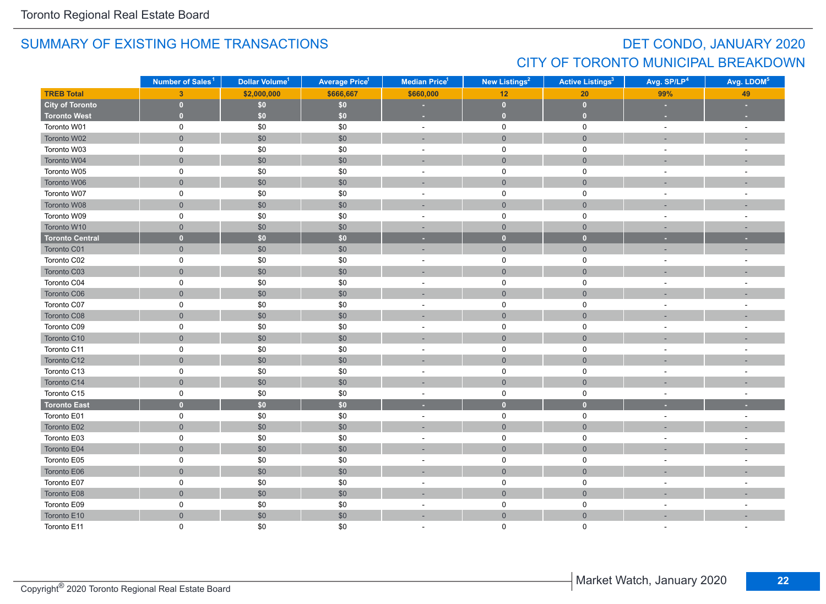# DET CONDO, JANUARY 2020 CITY OF TORONTO MUNICIPAL BREAKDOWN

|                        | Number of Sales <sup>1</sup> | Dollar Volume <sup>1</sup> | <b>Average Price<sup>1</sup></b> | <b>Median Price</b> <sup>1</sup> | New Listings <sup>2</sup> | <b>Active Listings<sup>3</sup></b> | Avg. SP/LP <sup>4</sup>  | Avg. LDOM <sup>5</sup>   |
|------------------------|------------------------------|----------------------------|----------------------------------|----------------------------------|---------------------------|------------------------------------|--------------------------|--------------------------|
| <b>TREB Total</b>      | 3 <sup>1</sup>               | \$2,000,000                | \$666,667                        | \$660,000                        | 12                        | 20                                 | 99%                      | 49                       |
| <b>City of Toronto</b> | $\mathbf{0}$                 | $$0$$                      | $$0\,$                           |                                  | $\bullet$                 | $\mathbf{0}$                       |                          |                          |
| <b>Toronto West</b>    | $\mathbf{0}$                 | \$0\$                      | \$0\$                            |                                  | $\bullet$                 | $\mathbf{0}$                       |                          |                          |
| Toronto W01            | 0                            | \$0                        | \$0                              | $\sim$                           | $\mathsf 0$               | $\mathsf{O}$                       | $\omega$                 | $\sim$                   |
| Toronto W02            | $\overline{0}$               | $$0$$                      | \$0                              | ٠                                | $\mathbf{0}$              | $\mathbf 0$                        | $\overline{\phantom{a}}$ |                          |
| Toronto W03            | 0                            | \$0                        | \$0                              | $\sim$                           | $\mathsf{O}\xspace$       | 0                                  | $\sim$                   |                          |
| Toronto W04            | $\overline{0}$               | \$0                        | \$0                              |                                  | $\mathbf{0}$              | $\overline{0}$                     |                          |                          |
| Toronto W05            | 0                            | \$0                        | \$0                              | $\sim$                           | $\mathbf 0$               | $\mathbf 0$                        | $\overline{\phantom{a}}$ |                          |
| Toronto W06            | $\overline{0}$               | $$0$$                      | \$0                              |                                  | $\overline{0}$            | $\mathbf{0}$                       |                          |                          |
| Toronto W07            | 0                            | $\$0$                      | \$0                              | $\blacksquare$                   | $\mathsf{O}$              | 0                                  | $\blacksquare$           | $\sim$                   |
| Toronto W08            | $\overline{0}$               | \$0                        | \$0                              | ٠                                | $\mathsf{O}\xspace$       | $\mathbf 0$                        | $\overline{\phantom{a}}$ |                          |
| Toronto W09            | 0                            | \$0                        | \$0                              | $\sim$                           | $\mathsf 0$               | $\mathbf 0$                        | $\overline{\phantom{a}}$ | $\sim$                   |
| Toronto W10            | $\overline{0}$               | \$0                        | \$0                              | $\sim$                           | $\overline{0}$            | $\overline{0}$                     | $\sim$                   | $\sim$                   |
| <b>Toronto Central</b> | $\mathbf{0}$                 | \$0                        | \$0                              | ٠                                | $\mathbf{0}$              | $\bullet$                          |                          |                          |
| Toronto C01            | $\overline{0}$               | \$0                        | \$0                              | ×.                               | $\mathsf{O}\xspace$       | $\mathbf{0}$                       |                          |                          |
| Toronto C02            | 0                            | \$0                        | \$0                              | $\sim$                           | $\mathsf 0$               | 0                                  | $\sim$                   | $\sim$                   |
| Toronto C03            | $\mathsf{O}\xspace$          | \$0                        | \$0                              |                                  | $\mathbf 0$               | $\mathbf 0$                        |                          |                          |
| Toronto C04            | 0                            | $\$0$                      | \$0                              | $\sim$                           | $\mathsf 0$               | $\mathbf 0$                        | $\sim$                   |                          |
| Toronto C06            | $\overline{0}$               | \$0                        | \$0                              | п.                               | $\mathbf{0}$              | $\mathbf{0}$                       | $\sim$                   |                          |
| Toronto C07            | 0                            | \$0                        | \$0                              | $\sim$                           | $\mathsf 0$               | 0                                  | $\sim$                   |                          |
| Toronto C08            | $\overline{0}$               | \$0                        | \$0                              |                                  | $\mathbf{0}$              | $\mathbf{0}$                       |                          |                          |
| Toronto C09            | 0                            | \$0                        | \$0                              | $\blacksquare$                   | $\mathsf{O}$              | $\mathbf 0$                        | $\sim$                   | $\overline{\phantom{a}}$ |
| Toronto C10            | $\overline{0}$               | $$0$$                      | \$0                              | ÷                                | $\mathsf{O}\xspace$       | $\mathbf 0$                        |                          |                          |
| Toronto C11            | 0                            | \$0                        | \$0                              | $\sim$                           | $\mathsf{O}$              | $\mathbf 0$                        | $\sim$                   |                          |
| Toronto C12            | $\overline{0}$               | \$0                        | \$0                              | ×,                               | $\mathsf{O}\xspace$       | $\mathsf{O}\xspace$                |                          |                          |
| Toronto C13            | 0                            | \$0                        | \$0                              | $\sim$                           | $\pmb{0}$                 | $\mathbf 0$                        | $\overline{a}$           |                          |
| Toronto C14            | $\overline{0}$               | $$0$$                      | \$0                              |                                  | $\overline{0}$            | $\mathbf{0}$                       |                          |                          |
| Toronto C15            | 0                            | \$0                        | \$0                              | $\blacksquare$                   | $\mathsf{O}$              | $\mathbf 0$                        | $\overline{\phantom{a}}$ | $\sim$                   |
| <b>Toronto East</b>    | $\mathbf{0}$                 | \$0                        | \$0                              | ٠                                | $\mathbf 0$               | $\overline{0}$                     |                          |                          |
| Toronto E01            | 0                            | $\$0$                      | \$0                              | $\sim$                           | $\mathsf 0$               | $\mathsf{O}$                       | $\sim$                   | $\sim$                   |
| Toronto E02            | $\overline{0}$               | \$0                        | \$0                              |                                  | $\mathsf{O}\xspace$       | $\mathbf 0$                        |                          |                          |
| Toronto E03            | 0                            | \$0                        | \$0                              | ÷                                | $\pmb{0}$                 | 0                                  |                          |                          |
| Toronto E04            | $\overline{0}$               | \$0                        | \$0                              | ÷                                | $\overline{0}$            | $\overline{0}$                     |                          |                          |
| Toronto E05            | 0                            | \$0                        | \$0                              | $\sim$                           | 0                         | 0                                  | $\sim$                   |                          |
| Toronto E06            | $\overline{0}$               | \$0                        | \$0                              |                                  | $\overline{0}$            | $\mathbf{0}$                       |                          |                          |
| Toronto E07            | 0                            | \$0                        | \$0                              | $\sim$                           | $\mathbf 0$               | $\mathbf 0$                        | $\overline{\phantom{a}}$ |                          |
| Toronto E08            | $\overline{0}$               | $$0$$                      | \$0                              |                                  | $\mathsf{O}\xspace$       | $\mathbf 0$                        |                          |                          |
| Toronto E09            | 0                            | \$0                        | \$0                              | $\sim$                           | $\mathsf{O}$              | 0                                  | $\sim$                   |                          |
| Toronto E10            | $\overline{0}$               | \$0                        | \$0                              | ÷                                | $\mathsf{O}\xspace$       | $\mathbf 0$                        |                          |                          |
| Toronto E11            | $\Omega$                     | \$0                        | \$0                              |                                  | $\mathbf 0$               | $\Omega$                           |                          |                          |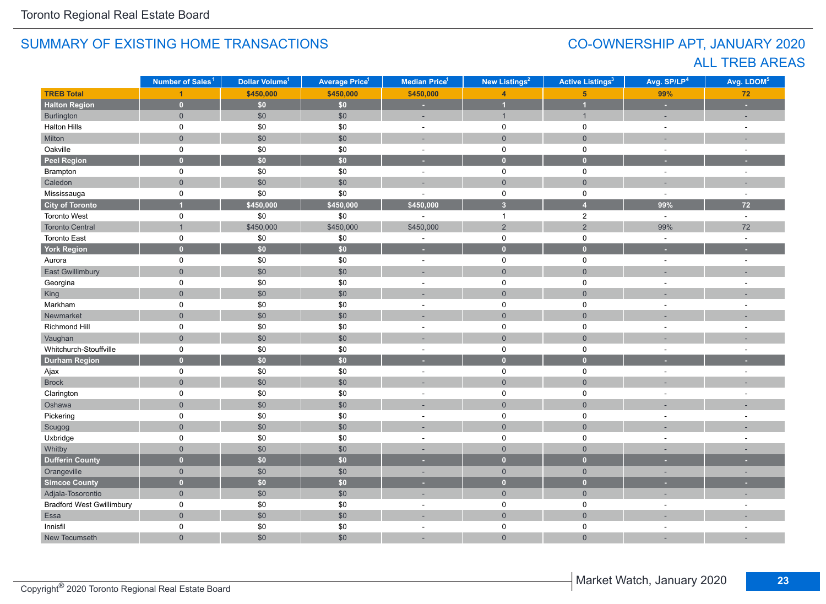# CO-OWNERSHIP APT, JANUARY 2020 ALL TREB AREAS

|                                  | Number of Sales <sup>1</sup> | Dollar Volume <sup>1</sup> | <b>Average Price<sup>1</sup></b> | Median Price <sup>1</sup> | New Listings <sup>2</sup> | <b>Active Listings<sup>3</sup></b> | Avg. SP/LP <sup>4</sup> | Avg. LDOM <sup>5</sup>   |
|----------------------------------|------------------------------|----------------------------|----------------------------------|---------------------------|---------------------------|------------------------------------|-------------------------|--------------------------|
| <b>TREB Total</b>                |                              | \$450,000                  | \$450,000                        | \$450,000                 | $\overline{4}$            | 5 <sup>5</sup>                     | 99%                     | $\bf 72$                 |
| <b>Halton Region</b>             | $\mathbf{0}$                 | \$0\$                      | \$0\$                            | ×.                        | $\overline{1}$            | $\overline{1}$                     | ٠                       | L.                       |
| Burlington                       | $\overline{0}$               | \$0                        | \$0                              | ÷,                        | $\mathbf{1}$              | $\mathbf{1}$                       | ÷,                      | ÷,                       |
| <b>Halton Hills</b>              | 0                            | $\$0$                      | \$0                              | $\bar{a}$                 | 0                         | 0                                  | $\sim$                  | $\sim$                   |
| Milton                           | $\overline{0}$               | $$0$$                      | \$0                              |                           | $\mathbf{0}$              | $\mathsf{O}\xspace$                |                         |                          |
| Oakville                         | 0                            | \$0                        | \$0                              | $\blacksquare$            | $\mathsf 0$               | 0                                  | $\sim$                  | $\overline{\phantom{a}}$ |
| <b>Peel Region</b>               | $\overline{0}$               | $\overline{50}$            | $\overline{50}$                  | н                         | $\overline{0}$            | $\overline{0}$                     |                         |                          |
| Brampton                         | 0                            | \$0                        | \$0                              | $\omega$                  | $\mathsf{O}$              | $\mathsf 0$                        | $\sim$                  | $\bar{a}$                |
| Caledon                          | $\overline{0}$               | $$0$$                      | \$0                              | ٠                         | $\mathbf 0$               | $\mathbf{0}$                       |                         | ٠                        |
| Mississauga                      | 0                            | \$0                        | \$0                              | ÷.                        | $\mathsf{O}$              | $\mathsf 0$                        | $\sim$                  | $\sim$                   |
| <b>City of Toronto</b>           |                              | \$450,000                  | \$450,000                        | \$450,000                 | $\overline{\mathbf{3}}$   | $\overline{4}$                     | 99%                     | 72                       |
| Toronto West                     | 0                            | $\$0$                      | \$0                              |                           | $\overline{1}$            | $\overline{a}$                     | $\sim$                  | $\omega$                 |
| <b>Toronto Central</b>           | $\overline{1}$               | \$450,000                  | \$450,000                        | \$450,000                 | $\overline{2}$            | $\mathbf 2$                        | 99%                     | 72                       |
| <b>Toronto East</b>              | 0                            | \$0                        | $\$0$                            | $\bar{a}$                 | $\mathbf 0$               | 0                                  | $\omega$                | $\bar{a}$                |
| <b>York Region</b>               | $\mathbf{0}$                 | \$0\$                      | \$0                              | ٠                         | $\overline{0}$            | $\overline{0}$                     |                         |                          |
| Aurora                           | 0                            | \$0                        | \$0                              | $\bar{\phantom{a}}$       | $\mathsf{O}$              | $\mathsf 0$                        | $\sim$                  | ÷,                       |
| <b>East Gwillimbury</b>          | $\overline{0}$               | $$0$$                      | \$0                              | ÷,                        | $\mathsf{O}\xspace$       | $\mathsf{O}\xspace$                |                         |                          |
| Georgina                         | 0                            | \$0                        | \$0                              | $\sim$                    | $\mathsf{O}$              | $\mathsf 0$                        | $\sim$                  | $\sim$                   |
| King                             | $\overline{0}$               | $$0$$                      | \$0                              | ÷.                        | $\mathbf 0$               | $\mathbf 0$                        |                         |                          |
| Markham                          | 0                            | \$0                        | \$0                              | ÷.                        | $\mathbf 0$               | $\mathbf 0$                        |                         |                          |
| Newmarket                        | $\overline{0}$               | $$0$$                      | \$0                              |                           | $\mathbf 0$               | $\overline{0}$                     |                         |                          |
| Richmond Hill                    | 0                            | \$0                        | \$0                              | $\sim$                    | 0                         | 0                                  |                         | $\sim$                   |
| Vaughan                          | $\overline{0}$               | \$0                        | \$0                              | i.                        | $\overline{0}$            | $\overline{0}$                     |                         |                          |
| Whitchurch-Stouffville           | 0                            | $\$0$                      | \$0                              | ÷                         | 0                         | 0                                  |                         |                          |
| <b>Durham Region</b>             | $\mathbf{0}$                 | $\overline{\textbf{S0}}$   | $\overline{50}$                  | ٠                         | $\overline{0}$            | $\overline{0}$                     |                         |                          |
| Ajax                             | 0                            | \$0                        | \$0                              | $\omega$                  | $\mathsf{O}\xspace$       | 0                                  | $\omega$                | $\bar{a}$                |
| <b>Brock</b>                     | $\overline{0}$               | $$0$$                      | \$0                              | ٠                         | $\mathsf{O}\xspace$       | $\mathbf 0$                        |                         |                          |
| Clarington                       | 0                            | \$0                        | \$0                              | $\sim$                    | $\mathsf{O}$              | $\mathsf 0$                        | $\sim$                  | ÷.                       |
| Oshawa                           | $\overline{0}$               | $$0$$                      | \$0                              |                           | $\mathbf 0$               | $\mathbf 0$                        |                         |                          |
| Pickering                        | $\mathsf{O}$                 | $\$0$                      | \$0                              | $\sim$                    | $\mathsf{O}$              | $\mathsf 0$                        | $\sim$                  | $\sim$                   |
| Scugog                           | $\overline{0}$               | $$0$$                      | \$0                              | ٠                         | $\overline{0}$            | $\mathbf 0$                        |                         |                          |
| Uxbridge                         | 0                            | \$0                        | \$0                              | ÷.                        | 0                         | 0                                  | $\sim$                  | $\overline{a}$           |
| Whitby                           | $\overline{0}$               | \$0                        | \$0                              | ÷.                        | $\mathbf{0}$              | $\mathbf 0$                        |                         |                          |
| <b>Dufferin County</b>           | $\overline{0}$               | \$0\$                      | \$0                              | н                         | $\overline{0}$            | $\mathbf{0}$                       |                         |                          |
| Orangeville                      | $\overline{0}$               | \$0                        | \$0                              | ٠                         | $\overline{0}$            | $\mathbf 0$                        | $\sim$                  | ٠                        |
| Simcoe County                    | $\overline{0}$               | \$0\$                      | \$0                              | ٠                         | $\overline{0}$            | $\mathbf{0}$                       |                         |                          |
| Adjala-Tosorontio                | $\overline{0}$               | $$0$$                      | \$0                              | ÷,                        | $\overline{0}$            | $\mathbf 0$                        | ٠                       | ÷                        |
| <b>Bradford West Gwillimbury</b> | 0                            | \$0                        | \$0                              | ä,                        | $\mathsf 0$               | $\mathsf 0$                        | $\sim$                  |                          |
| Essa                             | $\overline{0}$               | $$0$$                      | \$0                              | ÷,                        | $\mathbf 0$               | $\mathbf 0$                        |                         |                          |
| Innisfil                         | 0                            | \$0                        | \$0                              | ÷.                        | 0                         | 0                                  | $\sim$                  | ÷.                       |
| New Tecumseth                    | $\overline{0}$               | \$0                        | \$0                              | ÷,                        | $\overline{0}$            | $\overline{0}$                     |                         |                          |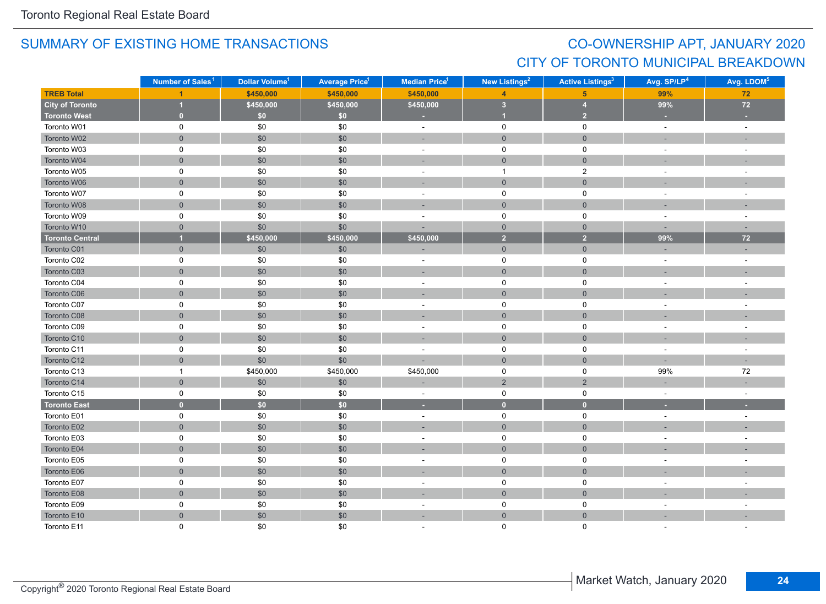# CO-OWNERSHIP APT, JANUARY 2020 CITY OF TORONTO MUNICIPAL BREAKDOWN

|                        | Number of Sales <sup>1</sup> | Dollar Volume <sup>1</sup> | <b>Average Price<sup>1</sup></b> | Median Price <sup>1</sup> | <b>New Listings<sup>2</sup></b> | <b>Active Listings<sup>3</sup></b> | Avg. SP/LP <sup>4</sup>  | Avg. LDOM <sup>5</sup>   |
|------------------------|------------------------------|----------------------------|----------------------------------|---------------------------|---------------------------------|------------------------------------|--------------------------|--------------------------|
| <b>TREB Total</b>      |                              | \$450,000                  | \$450,000                        | \$450,000                 | $\overline{A}$                  | 5 <sup>5</sup>                     | 99%                      | 72                       |
| <b>City of Toronto</b> | 1                            | \$450,000                  | \$450,000                        | \$450,000                 | 3 <sup>2</sup>                  | $\overline{\bf{4}}$                | 99%                      | $72\,$                   |
| <b>Toronto West</b>    | $\bullet$                    | \$0                        | \$0                              |                           | $\overline{1}$                  | $\overline{2}$                     |                          |                          |
| Toronto W01            | $\pmb{0}$                    | \$0                        | \$0                              | $\bar{a}$                 | $\mathsf 0$                     | $\mathsf 0$                        | $\omega$                 | $\omega$                 |
| Toronto W02            | $\mathbf 0$                  | \$0                        | \$0                              | ٠                         | $\mathbf 0$                     | $\mathbf 0$                        | $\overline{\phantom{a}}$ |                          |
| Toronto W03            | $\pmb{0}$                    | \$0                        | \$0                              | $\sim$                    | 0                               | 0                                  | $\sim$                   | $\sim$                   |
| Toronto W04            | $\mathbf{0}$                 | \$0                        | \$0                              |                           | $\mathbf{0}$                    | $\overline{0}$                     |                          |                          |
| Toronto W05            | $\mathbf 0$                  | \$0                        | \$0                              | $\sim$                    | $\mathbf{1}$                    | $\mathbf{2}$                       | $\overline{\phantom{a}}$ | $\overline{\phantom{a}}$ |
| Toronto W06            | $\mathbf 0$                  | \$0                        | \$0                              | ÷.                        | $\overline{0}$                  | $\mathbf{0}$                       |                          |                          |
| Toronto W07            | $\mathbf 0$                  | \$0                        | \$0                              | $\blacksquare$            | $\mathbf 0$                     | $\mathbf 0$                        | $\sim$                   | $\sim$                   |
| Toronto W08            | $\mathsf{O}\xspace$          | \$0                        | \$0                              | ÷                         | $\mathsf{O}\xspace$             | $\mathsf{O}\xspace$                | $\overline{\phantom{a}}$ |                          |
| Toronto W09            | $\pmb{0}$                    | \$0                        | \$0                              | ÷.                        | $\mathbf 0$                     | $\mathbf 0$                        | $\sim$                   | $\sim$                   |
| Toronto W10            | $\mathbf{0}$                 | \$0                        | \$0                              | ä,                        | $\overline{0}$                  | $\overline{0}$                     | ÷.                       | $\sim$                   |
| <b>Toronto Central</b> | $\overline{1}$               | \$450,000                  | \$450,000                        | \$450,000                 | $\overline{2}$                  | $\overline{2}$                     | 99%                      | $72$                     |
| Toronto C01            | $\overline{0}$               | \$0                        | \$0                              |                           | $\overline{0}$                  | $\overline{0}$                     |                          |                          |
| Toronto C02            | $\pmb{0}$                    | \$0                        | \$0                              | $\overline{\phantom{a}}$  | $\mathsf 0$                     | $\mathbf 0$                        | $\sim$                   | $\sim$                   |
| Toronto C03            | $\mathbf 0$                  | \$0                        | \$0                              | ٠                         | $\mathsf{O}\xspace$             | $\mathsf{O}\xspace$                |                          |                          |
| Toronto C04            | $\pmb{0}$                    | \$0                        | \$0                              | $\sim$                    | $\mathsf 0$                     | $\mathsf 0$                        | $\sim$                   |                          |
| Toronto C06            | $\mathbf 0$                  | \$0                        | \$0                              | ÷.                        | $\mathbf 0$                     | $\mathbf 0$                        |                          |                          |
| Toronto C07            | $\mathbf 0$                  | \$0                        | \$0                              | $\blacksquare$            | 0                               | 0                                  |                          |                          |
| Toronto C08            | $\overline{0}$               | \$0                        | \$0                              |                           | $\mathbf 0$                     | $\overline{0}$                     |                          |                          |
| Toronto C09            | $\mathbf 0$                  | \$0                        | \$0                              | $\sim$                    | $\mathbf 0$                     | $\mathbf 0$                        | $\sim$                   | $\overline{\phantom{a}}$ |
| Toronto C10            | $\mathbf 0$                  | \$0                        | \$0                              | ÷                         | $\mathsf{O}\xspace$             | $\mathsf{O}\xspace$                |                          |                          |
| Toronto C11            | $\pmb{0}$                    | \$0                        | \$0                              | $\bar{a}$                 | $\mathbf 0$                     | $\mathbf 0$                        | $\sim$                   | $\sim$                   |
| Toronto C12            | $\mathsf{O}\xspace$          | \$0                        | \$0                              | ×,                        | $\mathsf{O}\xspace$             | $\mathbf 0$                        | $\sim$                   | $\sim$                   |
| Toronto C13            | $\mathbf{1}$                 | \$450,000                  | \$450,000                        | \$450,000                 | $\mathsf 0$                     | 0                                  | 99%                      | 72                       |
| Toronto C14            | $\mathbf{0}$                 | \$0                        | $$0$$                            | Ē.                        | $\overline{2}$                  | $\overline{2}$                     |                          |                          |
| Toronto C15            | $\pmb{0}$                    | \$0                        | \$0                              | $\overline{\phantom{a}}$  | $\mathbf 0$                     | $\mathbf 0$                        | $\sim$                   | $\sim$                   |
| <b>Toronto East</b>    | $\mathbf{0}$                 | \$0                        | \$0                              | ٠                         | $\mathbf{0}$                    | $\bullet$                          |                          |                          |
| Toronto E01            | $\pmb{0}$                    | \$0                        | \$0                              | $\overline{\phantom{a}}$  | $\mathsf 0$                     | $\mathbf 0$                        | $\sim$                   | $\sim$                   |
| Toronto E02            | $\mathbf 0$                  | \$0                        | \$0                              |                           | $\mathsf{O}\xspace$             | $\mathsf{O}\xspace$                |                          |                          |
| Toronto E03            | $\pmb{0}$                    | \$0                        | \$0                              | L.                        | $\mathsf 0$                     | $\mathbf 0$                        |                          |                          |
| Toronto E04            | $\overline{0}$               | \$0                        | \$0                              | ۰                         | $\overline{0}$                  | $\overline{0}$                     |                          |                          |
| Toronto E05            | $\mathbf 0$                  | \$0                        | \$0                              | $\sim$                    | 0                               | 0                                  | $\sim$                   |                          |
| Toronto E06            | $\mathbf 0$                  | \$0                        | \$0                              |                           | $\overline{0}$                  | $\overline{0}$                     |                          |                          |
| Toronto E07            | $\mathbf 0$                  | \$0                        | \$0                              | $\overline{\phantom{a}}$  | $\mathbf 0$                     | $\mathbf 0$                        | $\overline{\phantom{a}}$ |                          |
| Toronto E08            | $\mathbf 0$                  | \$0                        | \$0                              | ÷.                        | $\mathsf{O}\xspace$             | $\mathbf 0$                        |                          |                          |
| Toronto E09            | $\mathbf 0$                  | \$0                        | \$0                              | $\bar{a}$                 | $\mathbf 0$                     | $\mathbf 0$                        | $\sim$                   |                          |
| Toronto E10            | $\mathsf{O}\xspace$          | \$0                        | \$0                              | ÷.                        | $\mathsf{O}\xspace$             | $\mathbf 0$                        |                          |                          |
| Toronto E11            | $\Omega$                     | \$0                        | \$0                              |                           | $\Omega$                        | $\Omega$                           |                          |                          |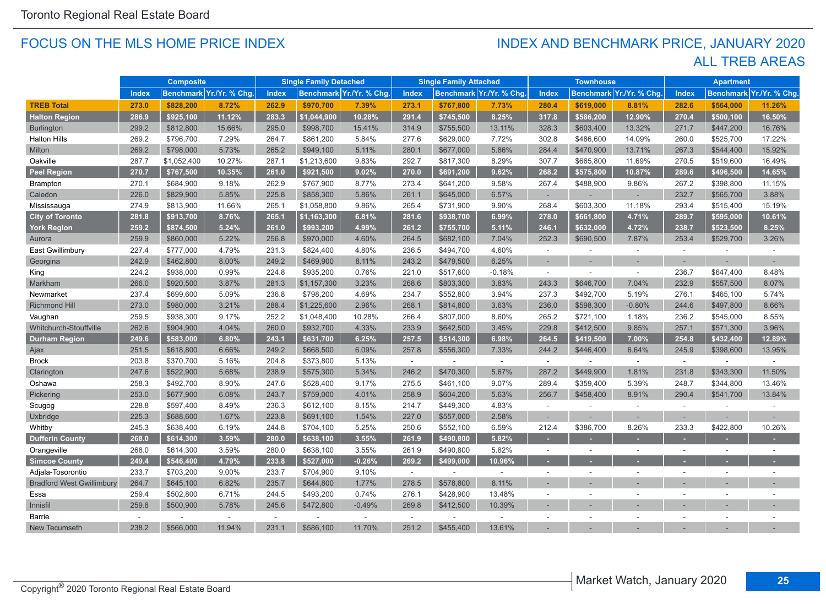#### FOCUS ON THE MLS HOME PRICE INDEX

# ALL TREB AREAS INDEX AND BENCHMARK PRICE, JANUARY 2020

|                                  |              | <b>Composite</b> |                          |        | <b>Single Family Detached</b> |                          |              | <b>Single Family Attached</b> |                          |                          | <b>Townhouse</b> |                          |                          | <b>Apartment</b>         |                         |
|----------------------------------|--------------|------------------|--------------------------|--------|-------------------------------|--------------------------|--------------|-------------------------------|--------------------------|--------------------------|------------------|--------------------------|--------------------------|--------------------------|-------------------------|
|                                  | <b>Index</b> |                  | Benchmark Yr./Yr. % Chg. | Index  |                               | Benchmark Yr./Yr. % Chg. | <b>Index</b> |                               | Benchmark Yr./Yr. % Chg. | <b>Index</b>             |                  | Benchmark Yr./Yr. % Chg. | <b>Index</b>             |                          | Benchmark Yr./Yr. % Chg |
| <b>TREB Total</b>                | 273.0        | \$828,200        | 8.72%                    | 262.9  | \$970,700                     | 7.39%                    | 273.1        | \$767,800                     | 7.73%                    | 280.4                    | \$619,000        | 8.81%                    | 282.6                    | \$564,000                | 11.26%                  |
| <b>Halton Region</b>             | 286.9        | \$925,100        | 11.12%                   | 283.3  | \$1,044,900                   | 10.28%                   | 291.4        | \$745,500                     | 8.25%                    | 317.8                    | \$586,200        | 12.90%                   | 270.4                    | \$500,100                | 16.50%                  |
| <b>Burlington</b>                | 299.2        | \$812,800        | 15.66%                   | 295.0  | \$998,700                     | 15.41%                   | 314.9        | \$755,500                     | 13.11%                   | 328.3                    | \$603,400        | 13.32%                   | 271.7                    | \$447,200                | 16.76%                  |
| <b>Halton Hills</b>              | 269.2        | \$796,700        | 7.29%                    | 264.7  | \$861,200                     | 5.84%                    | 277.6        | \$629,000                     | 7.72%                    | 302.8                    | \$486,600        | 14.09%                   | 260.0                    | \$525,700                | 17.22%                  |
| Milton                           | 269.2        | \$798,000        | 5.73%                    | 265.2  | \$949,100                     | 5.11%                    | 280.1        | \$677,000                     | 5.86%                    | 284.4                    | \$470,900        | 13.71%                   | 267.3                    | \$544,400                | 15.92%                  |
| Oakville                         | 287.7        | \$1,052,400      | 10.27%                   | 287.1  | \$1,213,600                   | 9.83%                    | 292.7        | \$817,300                     | 8.29%                    | 307.7                    | \$665,800        | 11.69%                   | 270.5                    | \$519,600                | 16.49%                  |
| <b>Peel Region</b>               | 270.7        | \$767,500        | 10.35%                   | 261.0  | \$921,500                     | 9.02%                    | 270.0        | \$691,200                     | 9.62%                    | 268.2                    | \$575,800        | 10.87%                   | 289.6                    | \$496,500                | 14.65%                  |
| <b>Brampton</b>                  | 270.1        | \$684,900        | 9.18%                    | 262.9  | \$767,900                     | 8.77%                    | 273.4        | \$641,200                     | 9.58%                    | 267.4                    | \$488,900        | 9.86%                    | 267.2                    | \$398,800                | 11.15%                  |
| Caledon                          | 226.0        | \$829,900        | 5.85%                    | 225.8  | \$858,300                     | 5.86%                    | 261.1        | \$645,000                     | 6.57%                    | ٠                        |                  |                          | 232.7                    | \$565,700                | 3.88%                   |
| Mississauga                      | 274.9        | \$813,900        | 11.66%                   | 265.1  | \$1,058,800                   | 9.86%                    | 265.4        | \$731,900                     | 9.90%                    | 268.4                    | \$603,300        | 11.18%                   | 293.4                    | \$515,400                | 15.19%                  |
| <b>City of Toronto</b>           | 281.8        | \$913,700        | 8.76%                    | 265.1  | \$1,163,300                   | 6.81%                    | 281.6        | \$938,700                     | 6.99%                    | 278.0                    | \$661,800        | 4.71%                    | 289.7                    | \$595,000                | 10.61%                  |
| <b>York Region</b>               | 259.2        | \$874,500        | 5.24%                    | 261.0  | \$993,200                     | 4.99%                    | 261.2        | \$755,700                     | 5.11%                    | 246.1                    | \$632,000        | 4.72%                    | 238.7                    | \$523,500                | 8.25%                   |
| Aurora                           | 259.9        | \$860,000        | 5.22%                    | 256.8  | \$970,000                     | 4.60%                    | 264.5        | \$682,100                     | 7.04%                    | 252.3                    | \$690,500        | 7.87%                    | 253.4                    | \$529,700                | 3.26%                   |
| East Gwillimbury                 | 227.4        | \$777,000        | 4.79%                    | 231.3  | \$824,400                     | 4.80%                    | 236.5        | \$494,700                     | 4.60%                    | $\omega$                 |                  | $\mathbf{r}$             | $\sim$                   |                          |                         |
| Georgina                         | 242.9        | \$462,800        | 8.00%                    | 249.2  | \$469,900                     | 8.11%                    | 243.2        | \$479,500                     | 6.25%                    | ٠                        |                  |                          |                          |                          |                         |
| King                             | 224.2        | \$938,000        | 0.99%                    | 224.8  | \$935,200                     | 0.76%                    | 221.0        | \$517,600                     | $-0.18%$                 | $\sim$                   |                  | $\sim$                   | 236.7                    | \$647,400                | 8.48%                   |
| Markham                          | 266.0        | \$920,500        | 3.87%                    | 281.3  | \$1,157,300                   | 3.23%                    | 268.6        | \$803,300                     | 3.83%                    | 243.3                    | \$646,700        | 7.04%                    | 232.9                    | \$557,500                | 8.07%                   |
| Newmarket                        | 237.4        | \$699,600        | 5.09%                    | 236.8  | \$798,200                     | 4.69%                    | 234.7        | \$552,800                     | 3.94%                    | 237.3                    | \$492,700        | 5.19%                    | 276.1                    | \$465,100                | 5.74%                   |
| <b>Richmond Hill</b>             | 273.0        | \$980.000        | 3.21%                    | 288.4  | \$1,225,600                   | 2.96%                    | 268.1        | \$814,800                     | 3.63%                    | 236.0                    | \$598,300        | $-0.80%$                 | 244.6                    | \$497,800                | 8.66%                   |
| Vaughan                          | 259.5        | \$938,300        | 9.17%                    | 252.2  | \$1,048,400                   | 10.28%                   | 266.4        | \$807,000                     | 8.60%                    | 265.2                    | \$721,100        | 1.18%                    | 236.2                    | \$545,000                | 8.55%                   |
| Whitchurch-Stouffville           | 262.6        | \$904,900        | 4.04%                    | 260.0  | \$932,700                     | 4.33%                    | 233.9        | \$642,500                     | 3.45%                    | 229.8                    | \$412,500        | 9.85%                    | 257.1                    | \$571,300                | 3.96%                   |
| <b>Durham Region</b>             | 249.6        | \$583,000        | 6.80%                    | 243.1  | \$631,700                     | 6.25%                    | 257.5        | \$514,300                     | 6.98%                    | 264.5                    | \$419,500        | 7.00%                    | 254.8                    | \$432,400                | 12.89%                  |
| Ajax                             | 251.5        | \$618,800        | 6.66%                    | 249.2  | \$668,500                     | 6.09%                    | 257.8        | \$556,300                     | 7.33%                    | 244.2                    | \$446,400        | 6.64%                    | 245.9                    | \$398,600                | 13.95%                  |
| <b>Brock</b>                     | 203.8        | \$370,700        | 5.16%                    | 204.8  | \$373,800                     | 5.13%                    | $\sim$       | $\sim$                        | $\sim$                   | $\sim$                   |                  | $\sim$                   | $\omega$                 |                          |                         |
| Clarington                       | 247.6        | \$522,900        | 5.68%                    | 238.9  | \$575,300                     | 5.34%                    | 246.2        | \$470,300                     | 5.67%                    | 287.2                    | \$449,900        | 1.81%                    | 231.8                    | \$343,300                | 11.50%                  |
| Oshawa                           | 258.3        | \$492,700        | 8.90%                    | 247.6  | \$528,400                     | 9.17%                    | 275.5        | \$461,100                     | 9.07%                    | 289.4                    | \$359,400        | 5.39%                    | 248.7                    | \$344,800                | 13.46%                  |
| Pickering                        | 253.0        | \$677,900        | 6.08%                    | 243.7  | \$759,000                     | 4.01%                    | 258.9        | \$604,200                     | 5.63%                    | 256.7                    | \$458,400        | 8.91%                    | 290.4                    | \$541,700                | 13.84%                  |
| Scugog                           | 228.8        | \$597,400        | 8.49%                    | 236.3  | \$612,100                     | 8.15%                    | 214.7        | \$449,300                     | 4.83%                    | ÷.                       |                  | ÷.                       | $\sim$                   |                          |                         |
| Uxbridge                         | 225.3        | \$688,600        | 1.67%                    | 223.8  | \$691,100                     | 1.54%                    | 227.0        | \$557,000                     | 2.58%                    | ÷.                       |                  | ÷                        | $\sim$                   | ÷.                       |                         |
| Whitby                           | 245.3        | \$638,400        | 6.19%                    | 244.8  | \$704,100                     | 5.25%                    | 250.6        | \$552,100                     | 6.59%                    | 212.4                    | \$386,700        | 8.26%                    | 233.3                    | \$422,800                | 10.26%                  |
| <b>Dufferin County</b>           | 268.0        | \$614,300        | 3.59%                    | 280.0  | \$638,100                     | 3.55%                    | 261.9        | \$490,800                     | 5.82%                    |                          |                  |                          |                          |                          |                         |
| Orangeville                      | 268.0        | \$614,300        | 3.59%                    | 280.0  | \$638,100                     | 3.55%                    | 261.9        | \$490,800                     | 5.82%                    |                          |                  |                          |                          |                          |                         |
| <b>Simcoe County</b>             | 249.4        | \$546,400        | 4.79%                    | 233.8  | \$527,000                     | $-0.26%$                 | 269.2        | \$499,000                     | 10.96%                   | и.                       |                  |                          |                          |                          |                         |
| Adjala-Tosorontio                | 233.7        | \$703,200        | 9.00%                    | 233.7  | \$704,900                     | 9.10%                    | $\sim$       | $\sim$                        | $\sim$                   | $\sim$                   | $\sim$           | ÷.                       | $\overline{\phantom{a}}$ | $\overline{\phantom{a}}$ |                         |
| <b>Bradford West Gwillimbury</b> | 264.7        | \$645,100        | 6.82%                    | 235.7  | \$644,800                     | 1.77%                    | 278.5        | \$578,800                     | 8.11%                    |                          |                  |                          |                          |                          |                         |
| Essa                             | 259.4        | \$502,800        | 6.71%                    | 244.5  | \$493,200                     | 0.74%                    | 276.1        | \$428,900                     | 13.48%                   | $\overline{\phantom{a}}$ |                  |                          |                          |                          |                         |
| Innisfil                         | 259.8        | \$500,900        | 5.78%                    | 245.6  | \$472,800                     | $-0.49%$                 | 269.8        | \$412,500                     | 10.39%                   |                          |                  |                          |                          |                          |                         |
| Barrie                           | $\sim$       |                  | $\sim$                   | $\sim$ |                               |                          | $\sim$       |                               | $\sim$                   |                          |                  |                          |                          |                          |                         |
| <b>New Tecumseth</b>             | 238.2        | \$566,000        | 11.94%                   | 231.1  | \$586,100                     | 11.70%                   | 251.2        | \$455,400                     | 13.61%                   |                          |                  |                          |                          |                          |                         |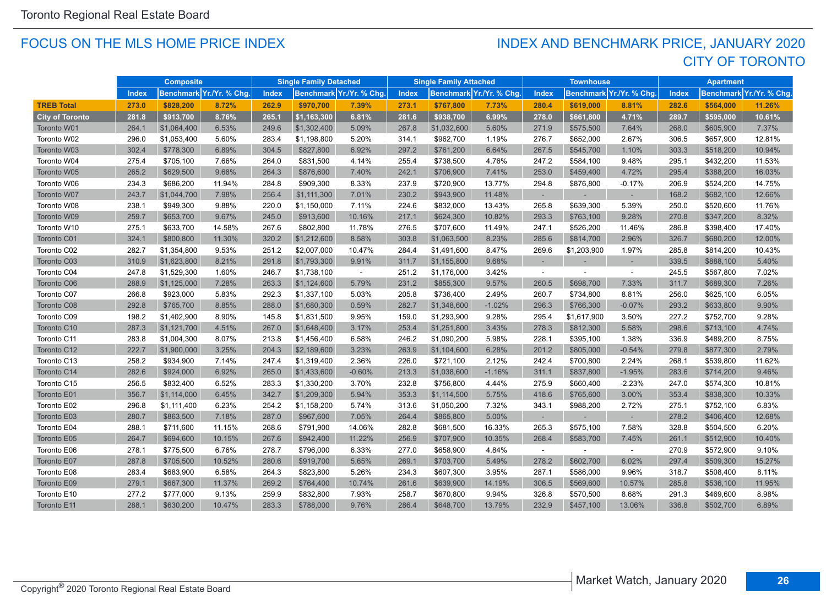#### FOCUS ON THE MLS HOME PRICE INDEX

# CITY OF TORONTO INDEX AND BENCHMARK PRICE, JANUARY 2020

|                        |       | <b>Composite</b> |                         |              | <b>Single Family Detached</b> |                         |              | <b>Single Family Attached</b> |                          |              | <b>Townhouse</b> |                         |              | <b>Apartment</b> |                         |
|------------------------|-------|------------------|-------------------------|--------------|-------------------------------|-------------------------|--------------|-------------------------------|--------------------------|--------------|------------------|-------------------------|--------------|------------------|-------------------------|
|                        | Index |                  | Benchmark Yr./Yr. % Chg | <b>Index</b> |                               | Benchmark Yr./Yr. % Chg | <b>Index</b> |                               | Benchmark Yr./Yr. % Chg. | <b>Index</b> |                  | Benchmark Yr./Yr. % Chg | <b>Index</b> |                  | Benchmark Yr./Yr. % Chg |
| <b>TREB Total</b>      | 273.0 | \$828,200        | 8.72%                   | 262.9        | \$970.700                     | 7.39%                   | 273.1        | \$767,800                     | 7.73%                    | 280.4        | \$619,000        | 8.81%                   | 282.6        | \$564,000        | 11.26%                  |
| <b>City of Toronto</b> | 281.8 | \$913,700        | 8.76%                   | 265.1        | \$1,163,300                   | 6.81%                   | 281.6        | \$938,700                     | 6.99%                    | 278.0        | \$661,800        | 4.71%                   | 289.7        | \$595,000        | 10.61%                  |
| Toronto W01            | 264.1 | \$1,064,400      | 6.53%                   | 249.6        | \$1,302,400                   | 5.09%                   | 267.8        | \$1,032,600                   | 5.60%                    | 271.9        | \$575,500        | 7.64%                   | 268.0        | \$605,900        | 7.37%                   |
| Toronto W02            | 296.0 | \$1,053,400      | 5.60%                   | 283.4        | \$1,198,800                   | 5.20%                   | 314.1        | \$962,700                     | 1.19%                    | 276.7        | \$652,000        | 2.67%                   | 306.5        | \$657,900        | 12.81%                  |
| Toronto W03            | 302.4 | \$778,300        | 6.89%                   | 304.5        | \$827,800                     | 6.92%                   | 297.2        | \$761,200                     | 6.64%                    | 267.5        | \$545,700        | 1.10%                   | 303.3        | \$518,200        | 10.94%                  |
| Toronto W04            | 275.4 | \$705,100        | 7.66%                   | 264.0        | \$831,500                     | 4.14%                   | 255.4        | \$738,500                     | 4.76%                    | 247.2        | \$584,100        | 9.48%                   | 295.1        | \$432,200        | 11.53%                  |
| Toronto W05            | 265.2 | \$629,500        | 9.68%                   | 264.3        | \$876,600                     | 7.40%                   | 242.1        | \$706,900                     | 7.41%                    | 253.0        | \$459,400        | 4.72%                   | 295.4        | \$388,200        | 16.03%                  |
| Toronto W06            | 234.3 | \$686,200        | 11.94%                  | 284.8        | \$909,300                     | 8.33%                   | 237.9        | \$720,900                     | 13.77%                   | 294.8        | \$876,800        | -0.17%                  | 206.9        | \$524,200        | 14.75%                  |
| Toronto W07            | 243.7 | \$1,044,700      | 7.98%                   | 256.4        | \$1,111,300                   | 7.01%                   | 230.2        | \$943,900                     | 11.48%                   |              |                  | $\sim$                  | 168.2        | \$682,100        | 12.66%                  |
| Toronto W08            | 238.1 | \$949,300        | 9.88%                   | 220.0        | \$1,150,000                   | 7.11%                   | 224.6        | \$832,000                     | 13.43%                   | 265.8        | \$639,300        | 5.39%                   | 250.0        | \$520,600        | 11.76%                  |
| Toronto W09            | 259.7 | \$653,700        | 9.67%                   | 245.0        | \$913,600                     | 10.16%                  | 217.1        | \$624,300                     | 10.82%                   | 293.3        | \$763,100        | 9.28%                   | 270.8        | \$347,200        | 8.32%                   |
| Toronto W10            | 275.1 | \$633,700        | 14.58%                  | 267.6        | \$802,800                     | 11.78%                  | 276.5        | \$707,600                     | 11.49%                   | 247.1        | \$526,200        | 11.46%                  | 286.8        | \$398,400        | 17.40%                  |
| Toronto C01            | 324.1 | \$800,800        | 11.30%                  | 320.2        | \$1,212,600                   | 8.58%                   | 303.8        | \$1,063,500                   | 8.23%                    | 285.6        | \$814,700        | 2.96%                   | 326.7        | \$680,200        | 12.00%                  |
| Toronto C02            | 282.7 | \$1,354,800      | 9.53%                   | 251.2        | \$2,007,000                   | 10.47%                  | 284.4        | \$1,491,600                   | 8.47%                    | 269.6        | \$1,203,900      | 1.97%                   | 285.8        | \$814,200        | 10.43%                  |
| Toronto C03            | 310.9 | \$1,623,800      | 8.21%                   | 291.8        | \$1,793,300                   | 9.91%                   | 311.7        | \$1,155,800                   | 9.68%                    |              |                  |                         | 339.5        | \$888,100        | 5.40%                   |
| Toronto C04            | 247.8 | \$1,529,300      | 1.60%                   | 246.7        | \$1,738,100                   | $\sim$                  | 251.2        | \$1,176,000                   | 3.42%                    | $\sim$       |                  | $\sim$                  | 245.5        | \$567,800        | 7.02%                   |
| Toronto C06            | 288.9 | \$1,125,000      | 7.28%                   | 263.3        | \$1,124,600                   | 5.79%                   | 231.2        | \$855,300                     | 9.57%                    | 260.5        | \$698,700        | 7.33%                   | 311.7        | \$689,300        | 7.26%                   |
| Toronto C07            | 266.8 | \$923,000        | 5.83%                   | 292.3        | \$1,337,100                   | 5.03%                   | 205.8        | \$736,400                     | 2.49%                    | 260.7        | \$734,800        | 8.81%                   | 256.0        | \$625,100        | 6.05%                   |
| Toronto C08            | 292.8 | \$765,700        | 8.85%                   | 288.0        | \$1,680,300                   | 0.59%                   | 282.7        | \$1,348,600                   | $-1.02%$                 | 296.3        | \$766,300        | $-0.07%$                | 293.2        | \$633,800        | 9.90%                   |
| Toronto C09            | 198.2 | \$1,402,900      | 8.90%                   | 145.8        | \$1,831,500                   | 9.95%                   | 159.0        | \$1,293,900                   | 9.28%                    | 295.4        | \$1,617,900      | 3.50%                   | 227.2        | \$752,700        | 9.28%                   |
| Toronto C10            | 287.3 | \$1,121,700      | 4.51%                   | 267.0        | \$1,648,400                   | 3.17%                   | 253.4        | \$1,251,800                   | 3.43%                    | 278.3        | \$812,300        | 5.58%                   | 298.6        | \$713,100        | 4.74%                   |
| Toronto C11            | 283.8 | \$1,004,300      | 8.07%                   | 213.8        | \$1,456,400                   | 6.58%                   | 246.2        | \$1,090,200                   | 5.98%                    | 228.1        | \$395,100        | 1.38%                   | 336.9        | \$489,200        | 8.75%                   |
| Toronto C12            | 222.7 | \$1,900,000      | 3.25%                   | 204.3        | \$2,189,600                   | 3.23%                   | 263.9        | \$1,104,600                   | 6.28%                    | 201.2        | \$805,000        | $-0.54%$                | 279.8        | \$877,300        | 2.79%                   |
| Toronto C13            | 258.2 | \$934,900        | 7.14%                   | 247.4        | \$1,319,400                   | 2.36%                   | 226.0        | \$721,100                     | 2.12%                    | 242.4        | \$700,800        | 2.24%                   | 268.1        | \$539,800        | 11.62%                  |
| Toronto C14            | 282.6 | \$924,000        | 6.92%                   | 265.0        | \$1,433,600                   | $-0.60%$                | 213.3        | \$1,038,600                   | $-1.16%$                 | 311.1        | \$837,800        | $-1.95%$                | 283.6        | \$714,200        | 9.46%                   |
| Toronto C15            | 256.5 | \$832,400        | 6.52%                   | 283.3        | \$1,330,200                   | 3.70%                   | 232.8        | \$756,800                     | 4.44%                    | 275.9        | \$660,400        | $-2.23%$                | 247.0        | \$574,300        | 10.81%                  |
| Toronto E01            | 356.7 | \$1,114,000      | 6.45%                   | 342.7        | \$1,209,300                   | 5.94%                   | 353.3        | \$1,114,500                   | 5.75%                    | 418.6        | \$765,600        | 3.00%                   | 353.4        | \$838,300        | 10.33%                  |
| Toronto E02            | 296.8 | \$1,111,400      | 6.23%                   | 254.2        | \$1,158,200                   | 5.74%                   | 313.6        | \$1,050,200                   | 7.32%                    | 343.1        | \$988,200        | 2.72%                   | 275.1        | \$752,100        | 6.83%                   |
| Toronto E03            | 280.7 | \$863,500        | 7.18%                   | 287.0        | \$967,600                     | 7.05%                   | 264.4        | \$865,800                     | 5.00%                    |              |                  | ×,                      | 278.2        | \$406,400        | 12.68%                  |
| Toronto E04            | 288.1 | \$711,600        | 11.15%                  | 268.6        | \$791,900                     | 14.06%                  | 282.8        | \$681,500                     | 16.33%                   | 265.3        | \$575,100        | 7.58%                   | 328.8        | \$504,500        | 6.20%                   |
| Toronto E05            | 264.7 | \$694,600        | 10.15%                  | 267.6        | \$942,400                     | 11.22%                  | 256.9        | \$707,900                     | 10.35%                   | 268.4        | \$583,700        | 7.45%                   | 261.1        | \$512,900        | 10.40%                  |
| Toronto E06            | 278.1 | \$775,500        | 6.76%                   | 278.7        | \$796,000                     | 6.33%                   | 277.0        | \$658,900                     | 4.84%                    |              |                  |                         | 270.9        | \$572,900        | 9.10%                   |
| Toronto E07            | 287.8 | \$705,500        | 10.52%                  | 280.6        | \$919,700                     | 5.65%                   | 269.1        | \$703,700                     | 5.49%                    | 278.2        | \$602,700        | 6.02%                   | 297.4        | \$509,300        | 15.27%                  |
| Toronto E08            | 283.4 | \$683,900        | 6.58%                   | 264.3        | \$823,800                     | 5.26%                   | 234.3        | \$607,300                     | 3.95%                    | 287.1        | \$586,000        | 9.96%                   | 318.7        | \$508,400        | 8.11%                   |
| Toronto E09            | 279.1 | \$667,300        | 11.37%                  | 269.2        | \$764,400                     | 10.74%                  | 261.6        | \$639,900                     | 14.19%                   | 306.5        | \$569,600        | 10.57%                  | 285.8        | \$536,100        | 11.95%                  |
| Toronto E10            | 277.2 | \$777,000        | 9.13%                   | 259.9        | \$832,800                     | 7.93%                   | 258.7        | \$670,800                     | 9.94%                    | 326.8        | \$570,500        | 8.68%                   | 291.3        | \$469,600        | 8.98%                   |
| Toronto E11            | 288.1 | \$630,200        | 10.47%                  | 283.3        | \$788,000                     | 9.76%                   | 286.4        | \$648,700                     | 13.79%                   | 232.9        | \$457,100        | 13.06%                  | 336.8        | \$502,700        | 6.89%                   |